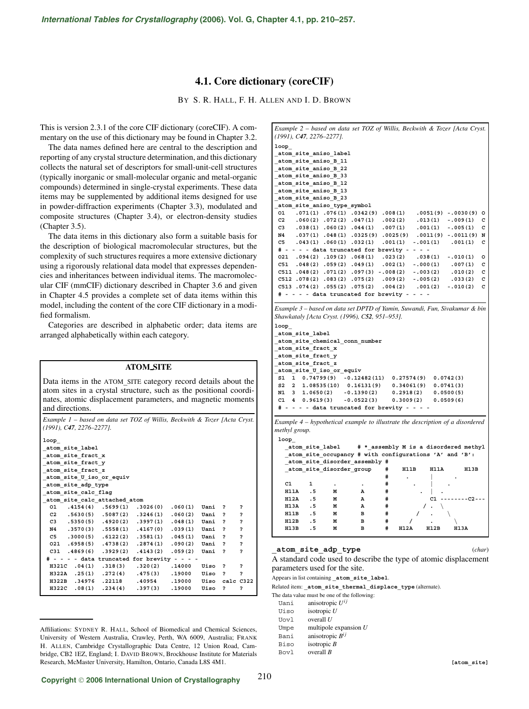# **4.1. Core dictionary (coreCIF)**

BY S. R. HALL, F. H. ALLEN AND I. D. BROWN

*(1991), C47, 2276–2277].*

This is version 2.3.1 of the core CIF dictionary (coreCIF). A commentary on the use of this dictionary may be found in Chapter 3.2.

The data names defined here are central to the description and reporting of any crystal structure determination, and this dictionary collects the natural set of descriptors for small-unit-cell structures (typically inorganic or small-molecular organic and metal-organic compounds) determined in single-crystal experiments. These data items may be supplemented by additional items designed for use in powder-diffraction experiments (Chapter 3.3), modulated and composite structures (Chapter 3.4), or electron-density studies (Chapter 3.5).

The data items in this dictionary also form a suitable basis for the description of biological macromolecular structures, but the complexity of such structures requires a more extensive dictionary using a rigorously relational data model that expresses dependencies and inheritances between individual items. The macromolecular CIF (mmCIF) dictionary described in Chapter 3.6 and given in Chapter 4.5 provides a complete set of data items within this model, including the content of the core CIF dictionary in a modified formalism.

Categories are described in alphabetic order; data items are arranged alphabetically within each category.

# **ATOM SITE**

Data items in the ATOM**\_**SITE category record details about the atom sites in a crystal structure, such as the positional coordinates, atomic displacement parameters, and magnetic moments and directions.

*Example 1 – based on data set TOZ of Willis, Beckwith & Tozer [Acta Cryst. (1991), C47, 2276–2277].*

| loop                                           |  |        |           |                |
|------------------------------------------------|--|--------|-----------|----------------|
| atom site label                                |  |        |           |                |
| atom site fract x                              |  |        |           |                |
| atom site fract y                              |  |        |           |                |
| atom site fract z                              |  |        |           |                |
| atom site U iso or equiv                       |  |        |           |                |
| atom site adp type                             |  |        |           |                |
| atom site calc flag                            |  |        |           |                |
| atom site calc attached atom                   |  |        |           |                |
|                                                |  | Uani ? |           | 2              |
| C2 .5630(5) .5087(2) .3246(1) .060(2) Uani ?   |  |        |           | 2              |
| $C3$ .5350(5) .4920(2) .3997(1) .048(1) Uani ? |  |        |           | 2              |
| N4 .3570(3) .5558(1) .4167(0) .039(1) Uani ?   |  |        |           | 2              |
| C5 .3000(5) .6122(2) .3581(1) .045(1) Uani ?   |  |        |           | 2              |
| 021 .6958(5) .4738(2) .2874(1) .090(2) Uani ?  |  |        |           | 2              |
| $C31$ .4869(6) .3929(2) .4143(2) .059(2) Uani  |  |        | 2         | 5              |
| $# - - -$ - data truncated for brevity - - - - |  |        |           |                |
| 14000. (2) 1321C .04(1) .318(3) .320(2)        |  | Uiso ? |           | 2              |
| H322A .25(1) .272(4) .475(3) .19000            |  | Uiso ? |           | $\overline{P}$ |
| 19000. 19954. 1976. H322B. 34976               |  | Uiso   | calc C322 |                |
| 19000. (397(3) 19000. H322C .08(1) .234(4)     |  | Uiso   | 5         | 5              |
|                                                |  |        |           |                |

Affiliations: SYDNEY R. HALL, School of Biomedical and Chemical Sciences, University of Western Australia, Crawley, Perth, WA 6009, Australia; FRANK H. ALLEN, Cambridge Crystallographic Data Centre, 12 Union Road, Cambridge, CB2 1EZ, England; I. DAVID BROWN, Brockhouse Institute for Materials Research, McMaster University, Hamilton, Ontario, Canada L8S 4M1.

| $\mathtt{loop}_{-}$                                                                                                                                                                                                                                                                                                                                                                                                                                                                                          |                    |
|--------------------------------------------------------------------------------------------------------------------------------------------------------------------------------------------------------------------------------------------------------------------------------------------------------------------------------------------------------------------------------------------------------------------------------------------------------------------------------------------------------------|--------------------|
| atom site aniso label                                                                                                                                                                                                                                                                                                                                                                                                                                                                                        |                    |
| atom site aniso B 11                                                                                                                                                                                                                                                                                                                                                                                                                                                                                         |                    |
| atom site aniso B 22                                                                                                                                                                                                                                                                                                                                                                                                                                                                                         |                    |
| atom site aniso B 33                                                                                                                                                                                                                                                                                                                                                                                                                                                                                         |                    |
| atom site aniso B 12                                                                                                                                                                                                                                                                                                                                                                                                                                                                                         |                    |
| atom site aniso B 13                                                                                                                                                                                                                                                                                                                                                                                                                                                                                         |                    |
| atom site aniso B 23                                                                                                                                                                                                                                                                                                                                                                                                                                                                                         |                    |
| atom site aniso type symbol                                                                                                                                                                                                                                                                                                                                                                                                                                                                                  |                    |
| 01<br>$.071(1)$ $.076(1)$ $.0342(9)$<br>.008(1)<br>$.0051(9) - .0030(9)$                                                                                                                                                                                                                                                                                                                                                                                                                                     | $\circ$            |
| C2<br>.013(1)<br>$.060(2)$ $.072(2)$ $.047(1)$<br>.002(2)<br>$-.009(1)$                                                                                                                                                                                                                                                                                                                                                                                                                                      | с                  |
| C3<br>.007(1)<br>.001(1)<br>$.038(1)$ $.060(2)$ $.044(1)$<br>$-.005(1)$                                                                                                                                                                                                                                                                                                                                                                                                                                      | с                  |
| N4<br>.037(1) .048(1) .0325(9)<br>.0025(9)<br>.0011(9)<br>$-.0011(9)$                                                                                                                                                                                                                                                                                                                                                                                                                                        | N                  |
| C5<br>$.043(1)$ $.060(1)$ $.032(1)$<br>.001(1)<br>$-.001(1)$<br>.001(1)                                                                                                                                                                                                                                                                                                                                                                                                                                      | с                  |
| # - - - - data truncated for brevity -<br>- - -                                                                                                                                                                                                                                                                                                                                                                                                                                                              |                    |
| $.094(2)$ $.109(2)$ $.068(1)$<br>.023(2)<br>021<br>.038(1)<br>$-.010(1)$                                                                                                                                                                                                                                                                                                                                                                                                                                     | o                  |
| C51<br>$.048(2)$ $.059(2)$ $.049(1)$<br>.002(1)<br>$-.000(1)$<br>.007(1)                                                                                                                                                                                                                                                                                                                                                                                                                                     | с                  |
| $C511$ $.048(2)$ $.071(2)$ $.097(3)$ $-.008(2)$<br>$-.003(2)$<br>.010(2)                                                                                                                                                                                                                                                                                                                                                                                                                                     | с                  |
| $C512$ $.078(2)$ $.083(2)$ $.075(2)$<br>.009(2)<br>$-.005(2)$<br>.033(2)                                                                                                                                                                                                                                                                                                                                                                                                                                     | с                  |
| $C513$ . $074(2)$ . $055(2)$ . $075(2)$<br>.004(2)<br>.001(2)<br>$-.010(2)$                                                                                                                                                                                                                                                                                                                                                                                                                                  | с                  |
| # - - - - data truncated for brevity -<br>$\frac{1}{2} \left( \frac{1}{2} \right) + \frac{1}{2} \left( \frac{1}{2} \right) + \frac{1}{2} \left( \frac{1}{2} \right) + \frac{1}{2} \left( \frac{1}{2} \right) + \frac{1}{2} \left( \frac{1}{2} \right) + \frac{1}{2} \left( \frac{1}{2} \right) + \frac{1}{2} \left( \frac{1}{2} \right) + \frac{1}{2} \left( \frac{1}{2} \right) + \frac{1}{2} \left( \frac{1}{2} \right) + \frac{1}{2} \left( \frac{1}{2} \right) + \frac{1}{2} \left($                     |                    |
| Example 3 – based on data set DPTD of Yamin, Suwandi, Fun, Sivakumar & bin<br>Shawkataly [Acta Cryst. (1996), C52, 951–953].<br>loop                                                                                                                                                                                                                                                                                                                                                                         |                    |
| atom site label<br>atom site chemical conn number<br>atom site fract x<br>atom site fract y<br>atom site fract z<br>atom site U iso or equiv<br>$1 \quad 0.74799(9) \quad -0.12482(11)$<br>0.27574(9)<br>S1<br>0.0742(3)<br>S2<br>$\overline{a}$<br>$1.08535(10)$ $0.16131(9)$<br>0.34061(9)<br>0.0741(3)<br>N1<br>$-0.1390(2)$<br>0.2918(2)<br>$\mathbf{3}$<br>1.0650(2)<br>0.0500(5)<br>$C1 \quad 4 \quad 0.9619(3)$<br>$-0.0522(3)$<br>0.3009(2)<br>0.0509(6)<br># - - - - data truncated for brevity - - |                    |
| Example 4 - hypothetical example to illustrate the description of a disordered<br>methyl group.<br>loop<br># * assembly M is a disordered methyl<br>atom site label<br>atom site occupancy # with configurations 'A' and 'B':<br>atom site disorder assembly #<br>atom site disorder group<br>H11B<br>H11A<br>#<br>#<br>C1<br>#<br>1<br>$\bullet$<br>.5<br>H11A<br>#<br>м<br>А<br>. 5<br>H12A<br>М<br>Α<br>#<br>C1                                                                                           | H13B<br>- C2 - - - |

*Example 2 – based on data set TOZ of Willis, Beckwith & Tozer [Acta Cryst.*

#### **\_atom\_site\_adp\_type** (*char*)

A standard code used to describe the type of atomic displacement parameters used for the site.

**H11B .5 M B # / .** \ **H12B .5 M B # / .** \ **H13B .5 M B # H12A H12B H13A**

Appears in list containing **\_atom\_site\_label**.

Related item: **\_atom\_site\_thermal\_displace\_type** (alternate).

The data value must be one of the following:

- Uani anisotropic  $U^{ij}$
- Uiso isotropic *U*
- Uovl overall *U*
- Umpe multipole expansion *U*
- Bani anisotropic  $B^{ij}$
- Biso isotropic *B*
- Bovl overall *B*

210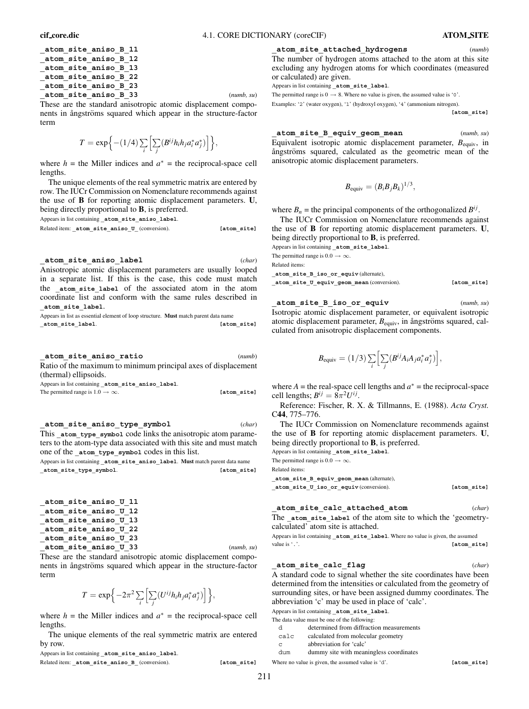| atom site aniso B 11 |            |
|----------------------|------------|
| atom site aniso B 12 |            |
| atom site aniso B 13 |            |
| atom site aniso B 22 |            |
| atom site aniso B 23 |            |
| atom site aniso B 33 | (numb, su) |

These are the standard anisotropic atomic displacement components in ångströms squared which appear in the structure-factor term

$$
T = \exp\left\{-\left(1/4\right)\sum_{i}\left[\sum_{j}\left(B^{ij}h_{i}h_{j}a_{i}^{*}a_{j}^{*}\right)\right]\right\},\,
$$

where  $h =$  the Miller indices and  $a^* =$  the reciprocal-space cell lengths.

The unique elements of the real symmetric matrix are entered by row. The IUCr Commission on Nomenclature recommends against the use of **B** for reporting atomic displacement parameters. **U**, being directly proportional to **B**, is preferred.

Appears in list containing **\_atom\_site\_aniso\_label**.

Related item: **\_atom\_site\_aniso\_U\_** (conversion). **[atom\_site]**

**\_atom\_site\_aniso\_label** (*char*) Anisotropic atomic displacement parameters are usually looped in a separate list. If this is the case, this code must match the **atom** site label of the associated atom in the atom coordinate list and conform with the same rules described in **\_atom\_site\_label**.

Appears in list as essential element of loop structure. **Must** match parent data name **\_atom\_site\_label**. **[atom\_site]**

**\_atom\_site\_aniso\_ratio** (*numb*) Ratio of the maximum to minimum principal axes of displacement (thermal) ellipsoids.

Appears in list containing **\_atom\_site\_aniso\_label**. The permitted range is  $1.0 \rightarrow \infty$ . **[atom\_site]** 

**\_atom\_site\_aniso\_type\_symbol** (*char*) This atom type symbol code links the anisotropic atom parameters to the atom-type data associated with this site and must match one of the **\_atom\_type\_symbol** codes in this list.

Appears in list containing **\_atom\_site\_aniso\_label**. **Must** match parent data name **\_atom\_site\_type\_symbol**. **[atom\_site]**

| atom site aniso U 11 |
|----------------------|
| atom site aniso U 12 |
| atom site aniso U 13 |
| atom site aniso U 22 |
| atom site aniso U 23 |
| atom site aniso U 33 |

These are the standard anisotropic atomic displacement components in ångströms squared which appear in the structure-factor term

$$
T = \exp\bigg\{-2\pi^2\sum_i\bigg[\sum_j(U^{ij}h_ih_ja_i^*a_j^*)\bigg]\bigg\},\,
$$

where  $h =$  the Miller indices and  $a^* =$  the reciprocal-space cell lengths.

The unique elements of the real symmetric matrix are entered by row.

Appears in list containing **\_atom\_site\_aniso\_label**. Related item: **\_atom\_site\_aniso\_B\_** (conversion). **[atom\_site]**

 $(numb, su)$ 

# **\_atom\_site\_attached\_hydrogens** (*numb*)

The number of hydrogen atoms attached to the atom at this site excluding any hydrogen atoms for which coordinates (measured or calculated) are given.

Appears in list containing **\_atom\_site\_label**.

The permitted range is  $0 \rightarrow 8$ . Where no value is given, the assumed value is '0'. Examples: '2' (water oxygen), '1' (hydroxyl oxygen), '4' (ammonium nitrogen).

**[atom\_site]**

**\_atom\_site\_B\_equiv\_geom\_mean** (*numb, su*) Equivalent isotropic atomic displacement parameter, *B*equiv, in ångströms squared, calculated as the geometric mean of the anisotropic atomic displacement parameters.

$$
B_{\text{equiv}} = (B_i B_j B_k)^{1/3},
$$

where  $B_n$  = the principal components of the orthogonalized  $B^{ij}$ .

The IUCr Commission on Nomenclature recommends against the use of **B** for reporting atomic displacement parameters. **U**, being directly proportional to **B**, is preferred.

Appears in list containing **\_atom\_site\_label**.

The permitted range is 0.0  $\rightarrow \infty$ . Related items:

**\_atom\_site\_B\_iso\_or\_equiv** (alternate), **\_atom\_site\_U\_equiv\_geom\_mean** (conversion). **[atom\_site]**

**\_atom\_site\_B\_iso\_or\_equiv** (*numb, su*) Isotropic atomic displacement parameter, or equivalent isotropic atomic displacement parameter,  $B_{\text{equiv}}$ , in angströms squared, calculated from anisotropic displacement components.

$$
B_{\text{equiv}} = (1/3) \sum_{i} \left[ \sum_{j} (B^{ij} A_i A_j a_i^* a_j^*) \right],
$$

where  $A =$  the real-space cell lengths and  $a^* =$  the reciprocal-space cell lengths;  $B^{ij} = 8\pi^2 U^{ij}$ .

Reference: Fischer, R. X. & Tillmanns, E. (1988). *Acta Cryst.* C**44**, 775–776.

The IUCr Commission on Nomenclature recommends against the use of **B** for reporting atomic displacement parameters. **U**, being directly proportional to **B**, is preferred.

Appears in list containing **\_atom\_site\_label**.

The permitted range is 0.0  $\rightarrow \infty$ . Related items:

**\_atom\_site\_B\_equiv\_geom\_mean** (alternate), **\_atom\_site\_U\_iso\_or\_equiv** (conversion). **[atom\_site]**

### **\_atom\_site\_calc\_attached\_atom** (*char*)

The atom site label of the atom site to which the 'geometrycalculated' atom site is attached.

Appears in list containing **\_atom\_site\_label**. Where no value is given, the assumed value is '.'. *atom\_sitel* 

**\_atom\_site\_calc\_flag** (*char*) A standard code to signal whether the site coordinates have been

determined from the intensities or calculated from the geometry of surrounding sites, or have been assigned dummy coordinates. The abbreviation 'c' may be used in place of 'calc'.

Appears in list containing **\_atom\_site\_label**.

- The data value must be one of the following:
	- d determined from diffraction measurements
	- calc calculated from molecular geometry
	- c abbreviation for 'calc'

dum dummy site with meaningless coordinates

Where no value is given, the assumed value is 'd'. [atom\_site]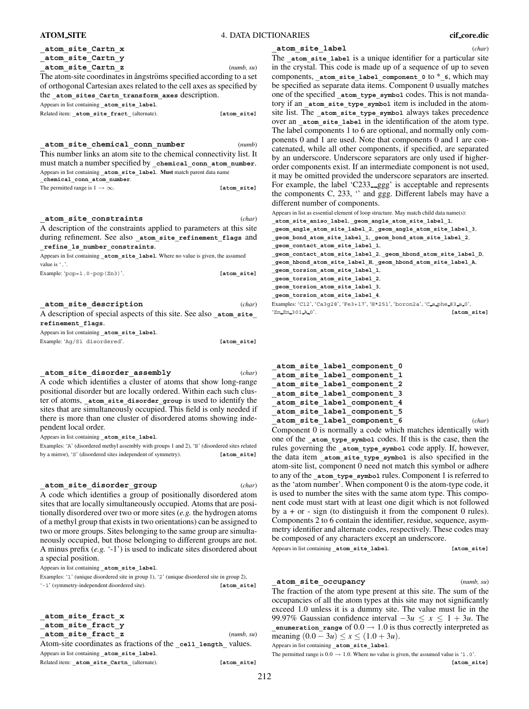# **\_atom\_site\_Cartn\_x \_atom\_site\_Cartn\_y \_atom\_site\_Cartn\_z** (*numb, su*) The atom-site coordinates in angstroms specified according to a set of orthogonal Cartesian axes related to the cell axes as specified by the **\_atom\_sites\_Cartn\_transform\_axes** description. Appears in list containing **\_atom\_site\_label**. Related item: **\_atom\_site\_fract\_** (alternate). **[atom\_site] \_atom\_site\_chemical\_conn\_number** (*numb*)

This number links an atom site to the chemical connectivity list. It must match a number specified by chemical conn atom number. Appears in list containing **\_atom\_site\_label**. **Must** match parent data name **\_chemical\_conn\_atom\_number**.

The permitted range is  $1 \rightarrow \infty$ . **[atom\_site]** 

**\_atom\_site\_constraints** (*char*) A description of the constraints applied to parameters at this site during refinement. See also **\_atom\_site\_refinement\_flags** and **\_refine\_ls\_number\_constraints**. Appears in list containing **\_atom\_site\_label**. Where no value is given, the assumed value is '.'. Example: 'pop=1.0-pop(Zn3)'. **[atom\_site]**

| atom site description                                             | (char)      |
|-------------------------------------------------------------------|-------------|
| A description of special aspects of this site. See also atom site |             |
| refinement flags.                                                 |             |
| Appears in list containing atom site label.                       |             |
| Example: 'Aq/Si disordered'.                                      | [atom site] |

### **\_atom\_site\_disorder\_assembly** (*char*)

A code which identifies a cluster of atoms that show long-range positional disorder but are locally ordered. Within each such cluster of atoms, **\_atom\_site\_disorder\_group** is used to identify the sites that are simultaneously occupied. This field is only needed if there is more than one cluster of disordered atoms showing independent local order.

Appears in list containing **\_atom\_site\_label**.

Examples: 'A' (disordered methyl assembly with groups 1 and 2), 'B' (disordered sites related by a mirror), 'S' (disordered sites independent of symmetry). **[atom\_site]**

**\_atom\_site\_disorder\_group** (*char*) A code which identifies a group of positionally disordered atom sites that are locally simultaneously occupied. Atoms that are positionally disordered over two or more sites (*e.g.* the hydrogen atoms of a methyl group that exists in two orientations) can be assigned to two or more groups. Sites belonging to the same group are simultaneously occupied, but those belonging to different groups are not. A minus prefix (*e.g.* '-1') is used to indicate sites disordered about a special position.

Appears in list containing **\_atom\_site\_label**.

Examples: '1' (unique disordered site in group 1), '2' (unique disordered site in group 2), '-1' (symmetry-independent disordered site). **[atom\_site]**

**\_atom\_site\_fract\_x \_atom\_site\_fract\_y**

**\_atom\_site\_fract\_z** (*numb, su*) Atom-site coordinates as fractions of the cell length values. Appears in list containing **\_atom\_site\_label**.

Related item: **\_atom\_site\_Cartn\_** (alternate). **[atom\_site]**

**\_atom\_site\_label** (*char*) The atom site label is a unique identifier for a particular site in the crystal. This code is made up of a sequence of up to seven components, **\_atom\_site\_label\_component\_0** to \***\_6**, which may be specified as separate data items. Component 0 usually matches one of the specified **\_atom\_type\_symbol** codes. This is not mandatory if an **atom** site type symbol item is included in the atomsite list. The **\_atom\_site\_type\_symbol** always takes precedence over an **atom** site label in the identification of the atom type. The label components 1 to 6 are optional, and normally only components 0 and 1 are used. Note that components 0 and 1 are concatenated, while all other components, if specified, are separated by an underscore. Underscore separators are only used if higherorder components exist. If an intermediate component is not used, it may be omitted provided the underscore separators are inserted. For example, the label 'C233\_ggg' is acceptable and represents the components C, 233, '' and ggg. Different labels may have a different number of components.

Appears in list as essential element of loop structure. May match child data name(s): **\_atom\_site\_aniso\_label**, **\_geom\_angle\_atom\_site\_label\_1**, **\_geom\_angle\_atom\_site\_label\_2**, **\_geom\_angle\_atom\_site\_label\_3**, **\_geom\_bond\_atom\_site\_label\_1**, **\_geom\_bond\_atom\_site\_label\_2**, **\_geom\_contact\_atom\_site\_label\_1**, **\_geom\_contact\_atom\_site\_label\_2**, **\_geom\_hbond\_atom\_site\_label\_D**, **\_geom\_hbond\_atom\_site\_label\_H**, **\_geom\_hbond\_atom\_site\_label\_A**, **\_geom\_torsion\_atom\_site\_label\_1**, **\_geom\_torsion\_atom\_site\_label\_2**, **\_geom\_torsion\_atom\_site\_label\_3**, **\_geom\_torsion\_atom\_site\_label\_4**. Examples: 'C12', 'Ca3g28', 'Fe3+17', 'H\*251', 'boron2a', 'C a phe 83 a 0', 'Zn Zn 301 A 0'. **[atom\_site]**

| atom site label component 0 |        |
|-----------------------------|--------|
| atom site label component 1 |        |
| atom site label component 2 |        |
| atom site label component 3 |        |
| atom site label component 4 |        |
| atom site label component 5 |        |
| atom site label component 6 | (char) |

Component 0 is normally a code which matches identically with one of the **atom** type symbol codes. If this is the case, then the rules governing the **\_atom\_type\_symbol** code apply. If, however, the data item **\_atom\_site\_type\_symbol** is also specified in the atom-site list, component 0 need not match this symbol or adhere to any of the **atom** type symbol rules. Component 1 is referred to as the 'atom number'. When component 0 is the atom-type code, it is used to number the sites with the same atom type. This component code must start with at least one digit which is not followed by  $a + or - sign$  (to distinguish it from the component 0 rules). Components 2 to 6 contain the identifier, residue, sequence, asymmetry identifier and alternate codes, respectively. These codes may be composed of any characters except an underscore. Appears in list containing **\_atom\_site\_label**. **[atom\_site]**

# **\_atom\_site\_occupancy** (*numb, su*)

The fraction of the atom type present at this site. The sum of the occupancies of all the atom types at this site may not significantly exceed 1.0 unless it is a dummy site. The value must lie in the 99.97% Gaussian confidence interval  $-3u \le x \le 1 + 3u$ . The **enumeration** range of  $0.0 \rightarrow 1.0$  is thus correctly interpreted as meaning  $(0.0 - 3u) \le x \le (1.0 + 3u)$ . Appears in list containing **\_atom\_site\_label**.

The permitted range is  $0.0 \rightarrow 1.0$ . Where no value is given, the assumed value is '1.0'.

**[atom\_site]**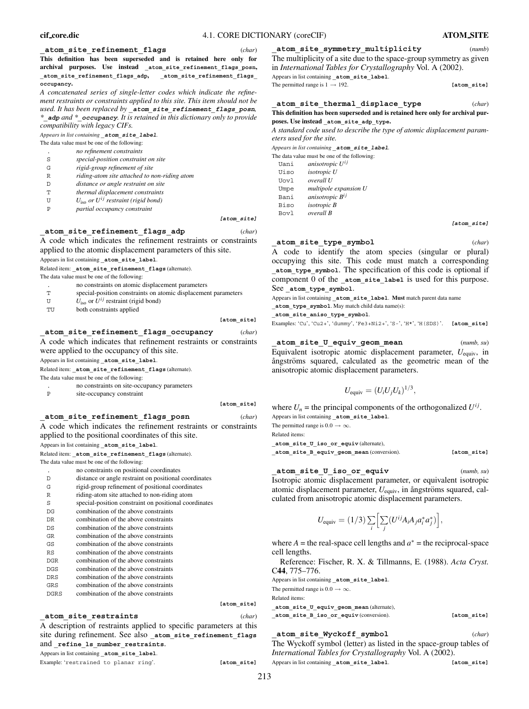#### **\_atom\_site\_refinement\_flags** (*char*)

**This definition has been superseded and is retained here only for archival purposes. Use instead \_atom\_site\_refinement\_flags\_posn, \_atom\_site\_refinement\_flags\_adp, \_atom\_site\_refinement\_flags\_ occupancy.**

*A concatenated series of single-letter codes which indicate the refinement restraints or constraints applied to this site. This item should not be used. It has been replaced by* **\_atom\_site\_refinement\_flags\_posn***, \****\_adp** *and \****\_occupancy***. It is retained in this dictionary only to provide compatibility with legacy CIFs.*

*Appears in list containing* **\_atom\_site\_label***.*

The data value must be one of the following:

. *no refinement constraints*

- S *special-position constraint on site*
- G *rigid-group refinement of site*
- R *riding-atom site attached to non-riding atom*
- D *distance or angle restraint on site*
- T *thermal displacement constraints*
- U  $U_{\text{iso}}$  *or*  $U^{ij}$  *restraint (rigid bond)*
- P *partial occupancy constraint*

**[atom\_site]**

### **\_atom\_site\_refinement\_flags\_adp** (*char*)

A code which indicates the refinement restraints or constraints applied to the atomic displacement parameters of this site.

Appears in list containing **\_atom\_site\_label**.

Related item: **\_atom\_site\_refinement\_flags** (alternate).

The data value must be one of the following:

. no constraints on atomic displacement parameters

T special-position constraints on atomic displacement parameters

- U  $U_{\text{iso}}$  or  $U^{ij}$  restraint (rigid bond)<br>TU both constraints applied
- both constraints applied

**[atom\_site]**

**\_atom\_site\_refinement\_flags\_occupancy** (*char*) A code which indicates that refinement restraints or constraints were applied to the occupancy of this site. Appears in list containing **\_atom\_site\_label**.

Related item: atom site refinement flags (alternate).

The data value must be one of the following:

- . no constraints on site-occupancy parameters
- P site-occupancy constraint

**[atom\_site]**

### **\_atom\_site\_refinement\_flags\_posn** (*char*)

A code which indicates the refinement restraints or constraints applied to the positional coordinates of this site.

Appears in list containing **\_atom\_site\_label**.

Related item: **\_atom\_site\_refinement\_flags** (alternate).

The data value must be one of the following: . no constraints on positional coordinates

| no constraints on positional coordinates              |
|-------------------------------------------------------|
| distance or angle restraint on positional coordinates |

| $\overline{\phantom{a}}$ | distance of angle restraint on positional coordinates |
|--------------------------|-------------------------------------------------------|
| G                        | rigid-group refinement of positional coordinates      |

R riding-atom site attached to non-riding atom

- S special-position constraint on positional coordinates
- DG combination of the above constraints
- DR combination of the above constraints
- DS combination of the above constraints
- GR combination of the above constraints
- GS combination of the above constraints
- RS combination of the above constraints
- DGR combination of the above constraints
- DGS combination of the above constraints
- DRS combination of the above constraints GRS combination of the above constraints
- DGRS combination of the above constraints
- 

**\_atom\_site\_restraints** (*char*)

A description of restraints applied to specific parameters at this site during refinement. See also **\_atom\_site\_refinement\_flags**

and **\_refine\_ls\_number\_restraints**.

Appears in list containing **\_atom\_site\_label**.

Example: 'restrained to planar ring'. **[atom\_site]**

**[atom\_site]**

**\_atom\_site\_symmetry\_multiplicity** (*numb*)

The multiplicity of a site due to the space-group symmetry as given in *International Tables for Crystallography* Vol. A (2002). Appears in list containing **\_atom\_site\_label**. The permitted range is  $1 \rightarrow 192$ . [atom\_site]

**\_atom\_site\_thermal\_displace\_type** (*char*) **This definition has been superseded and is retained here only for archival purposes. Use instead \_atom\_site\_adp\_type.**

*A standard code used to describe the type of atomic displacement parameters used for the site.*

*Appears in list containing* **\_atom\_site\_label***.*

- The data value must be one of the following:
	- Uani *anisotropic Ui j* Uiso *isotropic U* Uovl *overall U*
	- Umpe *multipole expansion U* Bani *anisotropic Bi j* Biso *isotropic B* Bovl *overall B*

**[atom\_site]**

# **\_atom\_site\_type\_symbol** (*char*)

A code to identify the atom species (singular or plural) occupying this site. This code must match a corresponding **\_atom\_type\_symbol**. The specification of this code is optional if component 0 of the **\_atom\_site\_label** is used for this purpose. See atom type symbol.

Appears in list containing **\_atom\_site\_label**. **Must** match parent data name

**\_atom\_type\_symbol**. May match child data name(s): **\_atom\_site\_aniso\_type\_symbol**.

Examples: 'Cu', 'Cu2+', 'dummy', 'Fe3+Ni2+', 'S-', 'H\*', 'H(SDS)'. **[atom\_site]**

# **\_atom\_site\_U\_equiv\_geom\_mean** (*numb, su*)

Equivalent isotropic atomic displacement parameter, *U*equiv, in ångströms squared, calculated as the geometric mean of the anisotropic atomic displacement parameters.

$$
U_{\text{equiv}} = (U_i U_j U_k)^{1/3},
$$

where  $U_n$  = the principal components of the orthogonalized  $U^{ij}$ . Appears in list containing **\_atom\_site\_label**. The permitted range is  $0.0 \rightarrow \infty$ . Related items: **\_atom\_site\_U\_iso\_or\_equiv** (alternate),

**\_atom\_site\_B\_equiv\_geom\_mean** (conversion). **[atom\_site]**

**\_atom\_site\_U\_iso\_or\_equiv** (*numb, su*)

Isotropic atomic displacement parameter, or equivalent isotropic atomic displacement parameter,  $U_{\text{equiv}}$ , in ångströms squared, calculated from anisotropic atomic displacement parameters.

$$
U_{\text{equiv}} = (1/3) \sum_{i} \left[ \sum_{j} (U^{ij} A_i A_j a_i^* a_j^*) \right],
$$

where  $A =$  the real-space cell lengths and  $a^* =$  the reciprocal-space cell lengths.

Reference: Fischer, R. X. & Tillmanns, E. (1988). *Acta Cryst.* C**44**, 775–776.

Appears in list containing **\_atom\_site\_label**.

The permitted range is  $0.0 \rightarrow \infty$ .

Related items:

- 
- **\_atom\_site\_U\_equiv\_geom\_mean** (alternate), **\_atom\_site\_B\_iso\_or\_equiv** (conversion). **[atom\_site]**

# **\_atom\_site\_Wyckoff\_symbol** (*char*)

The Wyckoff symbol (letter) as listed in the space-group tables of *International Tables for Crystallography* Vol. A (2002).

Appears in list containing **\_atom\_site\_label**. **[atom\_site]**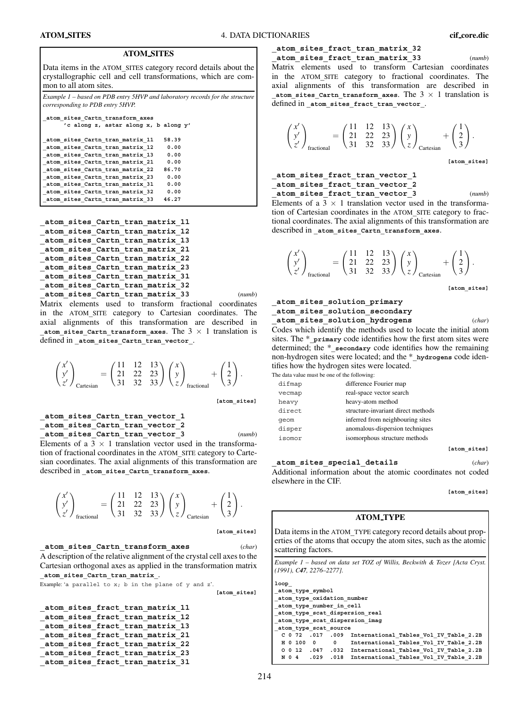### **ATOM SITES**

Data items in the ATOM**\_**SITES category record details about the crystallographic cell and cell transformations, which are common to all atom sites.

*Example 1 – based on PDB entry 5HVP and laboratory records for the structure corresponding to PDB entry 5HVP.*

| atom sites Cartn transform axes       |       |  |  |  |
|---------------------------------------|-------|--|--|--|
| 'c along z, astar along x, b along y' |       |  |  |  |
|                                       |       |  |  |  |
| atom sites Cartn tran matrix 11       | 58.39 |  |  |  |
| atom sites Cartn tran matrix 12       | 0.00  |  |  |  |
| atom sites Cartn tran matrix 13       | 0.00  |  |  |  |
| atom sites Cartn tran matrix 21       | 0.00  |  |  |  |
| atom sites Cartn tran matrix 22       | 86.70 |  |  |  |
| atom sites Cartn tran matrix 23       | 0.00  |  |  |  |
| atom sites Cartn tran matrix 31       | 0.00  |  |  |  |
| atom sites Cartn tran matrix 32       | 0.00  |  |  |  |
| atom sites Cartn tran matrix 33       | 46.27 |  |  |  |
|                                       |       |  |  |  |

**\_atom\_sites\_Cartn\_tran\_matrix\_11 \_atom\_sites\_Cartn\_tran\_matrix\_12 \_atom\_sites\_Cartn\_tran\_matrix\_13 \_atom\_sites\_Cartn\_tran\_matrix\_21 \_atom\_sites\_Cartn\_tran\_matrix\_22 \_atom\_sites\_Cartn\_tran\_matrix\_23 \_atom\_sites\_Cartn\_tran\_matrix\_31 \_atom\_sites\_Cartn\_tran\_matrix\_32 \_atom\_sites\_Cartn\_tran\_matrix\_33** (*numb*)

Matrix elements used to transform fractional coordinates in the ATOM**\_**SITE category to Cartesian coordinates. The axial alignments of this transformation are described in **\_atom\_sites\_Cartn\_transform\_axes**. The 3 × 1 translation is defined in **\_atom\_sites\_Cartn\_tran\_vector\_**.

$$
\begin{pmatrix} x' \\ y' \\ z' \end{pmatrix}_{\text{Cartesian}} = \begin{pmatrix} 11 & 12 & 13 \\ 21 & 22 & 23 \\ 31 & 32 & 33 \end{pmatrix} \begin{pmatrix} x \\ y \\ z \end{pmatrix}_{\text{fractional}} + \begin{pmatrix} 1 \\ 2 \\ 3 \end{pmatrix}.
$$

**[atom\_sites]**

**\_atom\_sites\_Cartn\_tran\_vector\_1 \_atom\_sites\_Cartn\_tran\_vector\_2 \_atom\_sites\_Cartn\_tran\_vector\_3** (*numb*)

Elements of a  $3 \times 1$  translation vector used in the transformation of fractional coordinates in the ATOM**\_**SITE category to Cartesian coordinates. The axial alignments of this transformation are described in **\_atom\_sites\_Cartn\_transform\_axes**.

$$
\begin{pmatrix} x' \\ y' \\ z' \end{pmatrix}_{\text{fractional}} = \begin{pmatrix} 11 & 12 & 13 \\ 21 & 22 & 23 \\ 31 & 32 & 33 \end{pmatrix} \begin{pmatrix} x \\ y \\ z \end{pmatrix}_{\text{Cartesian}} + \begin{pmatrix} 1 \\ 2 \\ 3 \end{pmatrix}.
$$

**[atom\_sites]**

**[atom\_sites]**

**\_atom\_sites\_Cartn\_transform\_axes** (*char*) A description of the relative alignment of the crystal cell axes to the Cartesian orthogonal axes as applied in the transformation matrix **\_atom\_sites\_Cartn\_tran\_matrix\_**.

Example: 'a parallel to x; b in the plane of y and z'.

```
_atom_sites_fract_tran_matrix_11
_atom_sites_fract_tran_matrix_12
_atom_sites_fract_tran_matrix_13
_atom_sites_fract_tran_matrix_21
_atom_sites_fract_tran_matrix_22
_atom_sites_fract_tran_matrix_23
_atom_sites_fract_tran_matrix_31
```
# **\_atom\_sites\_fract\_tran\_matrix\_32**

**\_atom\_sites\_fract\_tran\_matrix\_33** (*numb*)

Matrix elements used to transform Cartesian coordinates in the ATOM**\_**SITE category to fractional coordinates. The axial alignments of this transformation are described in atom sites Cartn transform axes. The  $3 \times 1$  translation is defined in **\_atom\_sites\_fract\_tran\_vector\_**.

$$
\begin{pmatrix} x' \\ y' \\ z' \end{pmatrix}_{\text{fractional}} = \begin{pmatrix} 11 & 12 & 13 \\ 21 & 22 & 23 \\ 31 & 32 & 33 \end{pmatrix} \begin{pmatrix} x \\ y \\ z \end{pmatrix}_{\text{Cartesian}} + \begin{pmatrix} 1 \\ 2 \\ 3 \end{pmatrix}.
$$

**[atom\_sites]**

# **\_atom\_sites\_fract\_tran\_vector\_1 \_atom\_sites\_fract\_tran\_vector\_2**

**\_atom\_sites\_fract\_tran\_vector\_3** (*numb*) Elements of a  $3 \times 1$  translation vector used in the transformation of Cartesian coordinates in the ATOM**\_**SITE category to fractional coordinates. The axial alignments of this transformation are described in **\_atom\_sites\_Cartn\_transform\_axes**.

$$
\begin{pmatrix} x' \\ y' \\ z' \end{pmatrix}_{\text{fractional}} = \begin{pmatrix} 11 & 12 & 13 \\ 21 & 22 & 23 \\ 31 & 32 & 33 \end{pmatrix} \begin{pmatrix} x \\ y \\ z \end{pmatrix}_{\text{Cartesian}} + \begin{pmatrix} 1 \\ 2 \\ 3 \end{pmatrix}.
$$

**[atom\_sites]**

# **\_atom\_sites\_solution\_primary \_atom\_sites\_solution\_secondary \_atom\_sites\_solution\_hydrogens** (*char*)

Codes which identify the methods used to locate the initial atom sites. The \***\_primary** code identifies how the first atom sites were determined; the \***\_secondary** code identifies how the remaining non-hydrogen sites were located; and the \***\_hydrogens** code identifies how the hydrogen sites were located. The data value must be one of the following:

| difmap | difference Fourier map             |
|--------|------------------------------------|
| vecmap | real-space vector search           |
| heavy  | heavy-atom method                  |
| direct | structure-invariant direct methods |
| qeom   | inferred from neighbouring sites   |
| disper | anomalous-dispersion techniques    |
| isomor | isomorphous structure methods      |

**[atom\_sites]**

**\_atom\_sites\_special\_details** (*char*) Additional information about the atomic coordinates not coded elsewhere in the CIF.

**[atom\_sites]**

# **ATOM TYPE**

Data items in the ATOM**\_**TYPE category record details about properties of the atoms that occupy the atom sites, such as the atomic scattering factors.

*Example 1 – based on data set TOZ of Willis, Beckwith & Tozer [Acta Cryst. (1991), C47, 2276–2277].*

| loop                                                                               |  |  |  |  |
|------------------------------------------------------------------------------------|--|--|--|--|
| atom type symbol                                                                   |  |  |  |  |
| atom type oxidation number                                                         |  |  |  |  |
| atom type number in cell                                                           |  |  |  |  |
| atom type scat dispersion real                                                     |  |  |  |  |
| atom type scat dispersion imag                                                     |  |  |  |  |
| atom type scat source                                                              |  |  |  |  |
| C 0 72 .017 .009 International Tables Vol IV Table 2.2B                            |  |  |  |  |
| International Tables Vol IV Table 2.2B<br>H 0 100<br>0<br>$\overline{\phantom{0}}$ |  |  |  |  |
| 0 0 12 .047 .032 International Tables Vol IV Table 2.2B                            |  |  |  |  |
| .029<br>.018<br>International Tables Vol IV Table 2.2B<br>N 0 4                    |  |  |  |  |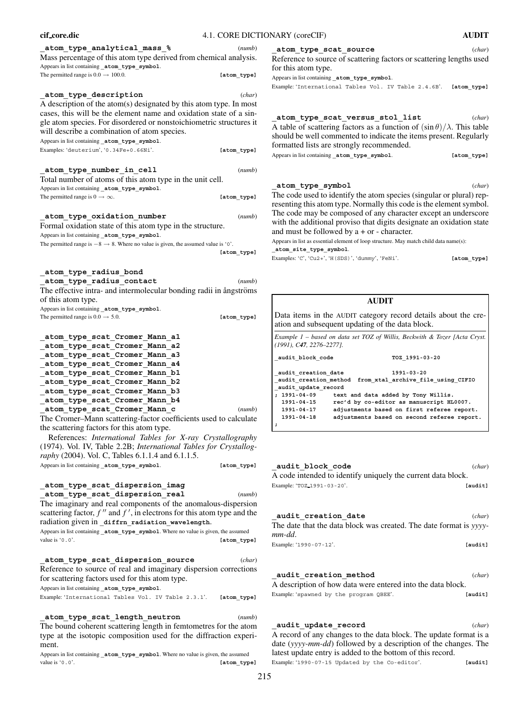| cif_core.dic                                                                                                                                                                                                                                                                                                     | 4.1. CORE DICTIONARY (coreCIF) |                                                                                                                                                                                                                                                                                  | <b>AUDIT</b>      |
|------------------------------------------------------------------------------------------------------------------------------------------------------------------------------------------------------------------------------------------------------------------------------------------------------------------|--------------------------------|----------------------------------------------------------------------------------------------------------------------------------------------------------------------------------------------------------------------------------------------------------------------------------|-------------------|
| _atom_type_analytical_mass_%<br>Mass percentage of this atom type derived from chemical analysis.<br>Appears in list containing _atom_type_symbol.                                                                                                                                                               | (numb)                         | atom_type_scat_source<br>Reference to source of scattering factors or scattering lengths used                                                                                                                                                                                    | (char)            |
| The permitted range is $0.0 \rightarrow 100.0$ .                                                                                                                                                                                                                                                                 | [atom type]                    | for this atom type.<br>Appears in list containing atom type symbol.                                                                                                                                                                                                              |                   |
| _atom_type_description                                                                                                                                                                                                                                                                                           | (char)                         | Example: 'International Tables Vol. IV Table 2.4.6B'.                                                                                                                                                                                                                            | [atom type]       |
| A description of the atom(s) designated by this atom type. In most<br>cases, this will be the element name and oxidation state of a sin-<br>gle atom species. For disordered or nonstoichiometric structures it<br>will describe a combination of atom species.<br>Appears in list containing _atom_type_symbol. |                                | atom_type_scat_versus_stol_list<br>A table of scattering factors as a function of $(\sin \theta)/\lambda$ . This table<br>should be well commented to indicate the items present. Regularly<br>formatted lists are strongly recommended.                                         | (char)            |
| Examples: 'deuterium', '0.34Fe+0.66Ni'.                                                                                                                                                                                                                                                                          | [atom_type]                    | Appears in list containing _atom_type_symbol.                                                                                                                                                                                                                                    | [atom_type]       |
| _atom_type_number_in_cell<br>Total number of atoms of this atom type in the unit cell.<br>Appears in list containing _atom_type_symbol.<br>The permitted range is $0 \rightarrow \infty$ .                                                                                                                       | (numb)<br>[atom_type]          | _atom_type_symbol<br>The code used to identify the atom species (singular or plural) rep-<br>resenting this atom type. Normally this code is the element symbol.                                                                                                                 | (char)            |
| _atom_type_oxidation_number<br>Formal oxidation state of this atom type in the structure.<br>Appears in list containing _atom_type_symbol.<br>The permitted range is $-8 \rightarrow 8$ . Where no value is given, the assumed value is '0'.                                                                     | (numb)                         | The code may be composed of any character except an underscore<br>with the additional proviso that digits designate an oxidation state<br>and must be followed by $a + or$ - character.<br>Appears in list as essential element of loop structure. May match child data name(s): |                   |
|                                                                                                                                                                                                                                                                                                                  | [atom type]                    | atom site_type_symbol.<br>Examples: 'C', 'Cu2+', 'H (SDS)', 'dummy', 'FeNi'.                                                                                                                                                                                                     | [atom_type]       |
| _atom_type_radius_bond<br>atom_type_radius_contact<br>The effective intra- and intermolecular bonding radii in ångströms                                                                                                                                                                                         | (numb)                         |                                                                                                                                                                                                                                                                                  |                   |
| of this atom type.<br>Appears in list containing _atom_type_symbol.                                                                                                                                                                                                                                              |                                | <b>AUDIT</b>                                                                                                                                                                                                                                                                     |                   |
| The permitted range is $0.0 \rightarrow 5.0$ .                                                                                                                                                                                                                                                                   | [atom_type]                    | Data items in the AUDIT category record details about the cre-<br>ation and subsequent updating of the data block.                                                                                                                                                               |                   |
| atom type scat Cromer Mann al<br>atom type scat Cromer Mann a2                                                                                                                                                                                                                                                   |                                | Example 1 – based on data set TOZ of Willis, Beckwith & Tozer [Acta Cryst.<br>$(1991)$ , C47, 2276–2277].                                                                                                                                                                        |                   |
| atom type scat Cromer Mann a3<br>atom type scat Cromer Mann a4                                                                                                                                                                                                                                                   |                                | audit_block_code<br>TOZ_1991-03-20                                                                                                                                                                                                                                               |                   |
| atom type scat Cromer Mann b1<br>atom type scat Cromer Mann b2<br>atom type scat Cromer Mann b3<br>atom type scat Cromer Mann b4                                                                                                                                                                                 |                                | audit creation date<br>1991-03-20<br>audit creation method from xtal archive file using CIFIO<br>audit_update_record<br>$: 1991 - 04 - 09$<br>text and data added by Tony Willis.                                                                                                |                   |
| atom type scat Cromer Mann c<br>The Cromer-Mann scattering-factor coefficients used to calculate<br>the scattering factors for this atom type.                                                                                                                                                                   | (numb)                         | 1991-04-15<br>rec'd by co-editor as manuscript HL0007.<br>1991-04-17<br>adjustments based on first referee report.<br>$1991 - 04 - 18$<br>adjustments based on second referee report.<br>$\ddot{ }$                                                                              |                   |
| References: International Tables for X-ray Crystallography<br>(1974). Vol. IV, Table 2.2B; International Tables for Crystallog-<br>raphy (2004). Vol. C, Tables 6.1.1.4 and 6.1.1.5.                                                                                                                             |                                |                                                                                                                                                                                                                                                                                  |                   |
| Appears in list containing _atom_type_symbol.                                                                                                                                                                                                                                                                    | [atom_type]                    | audit block code<br>A code intended to identify uniquely the current data block.                                                                                                                                                                                                 | (char)            |
| _atom_type_scat_dispersion_imag<br>atom_type_scat_dispersion_real<br>The imaginary and real components of the anomalous-dispersion<br>scattering factor, $f''$ and $f'$ , in electrons for this atom type and the                                                                                                | (numb)                         | Example: 'TOZ_1991-03-20'.                                                                                                                                                                                                                                                       | [audit]           |
| radiation given in _diffrn_radiation_wavelength.<br>Appears in list containing _atom_type_symbol. Where no value is given, the assumed<br>value is '0.0'.                                                                                                                                                        | [atom_type]                    | audit creation date<br>The date that the data block was created. The date format is yyyy-<br>mm-dd.                                                                                                                                                                              | (char)            |
|                                                                                                                                                                                                                                                                                                                  |                                | Example: '1990-07-12'.                                                                                                                                                                                                                                                           | [audit]           |
| _atom_type_scat_dispersion_source<br>Reference to source of real and imaginary dispersion corrections<br>for scattering factors used for this atom type.<br>Appears in list containing _atom_type_symbol.                                                                                                        | (char)                         | audit creation method<br>A description of how data were entered into the data block.<br>Example: 'spawned by the program QBEE'.                                                                                                                                                  | (char)<br>[audit] |
| Example: 'International Tables Vol. IV Table 2.3.1'.                                                                                                                                                                                                                                                             | [atom type]                    |                                                                                                                                                                                                                                                                                  |                   |
| _atom_type_scat_length_neutron<br>The bound coherent scattering length in femtometres for the atom<br>type at the isotopic composition used for the diffraction experi-<br>ment.<br>Appears in list containing <b>atom type symbol</b> . Where no value is given, the assumed                                    | (numb)                         | audit update record<br>A record of any changes to the data block. The update format is a<br>date (yyyy-mm-dd) followed by a description of the changes. The<br>latest update entry is added to the bottom of this record.                                                        | (char)            |

Appears in list containing **\_atom\_type\_symbol**. Wh value is '0.0'.  $[atom\_type]$ 

Example: '1990-07-15 Updated by the Co-editor'. **[audit]**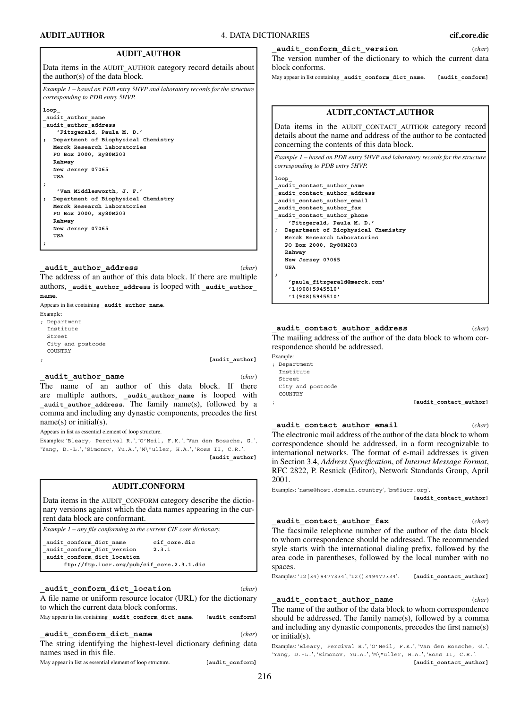# **AUDIT AUTHOR** 4. DATA DICTIONARIES **cif core.dic**

### **AUDIT AUTHOR**

Data items in the AUDIT**\_**AUTHOR category record details about the author(s) of the data block.

*Example 1 – based on PDB entry 5HVP and laboratory records for the structure corresponding to PDB entry 5HVP.*



### **\_audit\_author\_address** (*char*)

The address of an author of this data block. If there are multiple authors, **\_audit\_author\_address** is looped with **\_audit\_author\_ name**.

Appears in list containing **audit** author name. Example: ; Department Institute Street City and postcode COUNTRY

; **[audit\_author]**

### **\_audit\_author\_name** (*char*)

The name of an author of this data block. If there are multiple authors, **\_audit\_author\_name** is looped with audit author address. The family name(s), followed by a comma and including any dynastic components, precedes the first  $name(s)$  or initial(s).

Appears in list as essential element of loop structure.

Examples: 'Bleary, Percival R.', 'O'Neil, F.K.', 'Van den Bossche, G.', 'Yang, D.-L.', 'Simonov, Yu.A.', 'M\"uller, H.A.', 'Ross II, C.R.'. **[audit\_author]**

# **AUDIT CONFORM**

Data items in the AUDIT**\_**CONFORM category describe the dictionary versions against which the data names appearing in the current data block are conformant.

*Example 1 – any file conforming to the current CIF core dictionary.*

| audit conform dict name                   | cif core.dic |
|-------------------------------------------|--------------|
| audit conform dict version                | 2.3.1        |
| audit conform dict location               |              |
| ftp://ftp.iucr.org/pub/cif core.2.3.1.dic |              |

# **\_audit\_conform\_dict\_location** (*char*)

A file name or uniform resource locator (URL) for the dictionary to which the current data block conforms.

May appear in list containing **\_audit\_conform\_dict\_name**. **[audit\_conform]**

**\_audit\_conform\_dict\_name** (*char*) The string identifying the highest-level dictionary defining data names used in this file.

May appear in list as essential element of loop structure. [audit\_conform]

**\_audit\_conform\_dict\_version** (*char*)

The version number of the dictionary to which the current data block conforms.

May appear in list containing **\_audit\_conform\_dict\_name**. **[audit\_conform]**

# **AUDIT CONTACT AUTHOR**

Data items in the AUDIT**\_**CONTACT**\_**AUTHOR category record details about the name and address of the author to be contacted concerning the contents of this data block.

*Example 1 – based on PDB entry 5HVP and laboratory records for the structure corresponding to PDB entry 5HVP.*

| loop                                  |
|---------------------------------------|
| audit contact author name             |
| audit contact author address          |
| audit contact author email            |
| audit contact author fax              |
| audit contact author phone            |
| 'Fitzgerald, Paula M. D.'             |
| ; Department of Biophysical Chemistry |
| Merck Research Laboratories           |
| PO Box 2000, Ry80M203                 |
| Rahway                                |
| New Jersey 07065                      |
| USA                                   |
|                                       |
| 'paula fitzgerald@merck.com'          |
| '1(908)5945510'                       |
| '1(908)5945510'                       |

### **\_audit\_contact\_author\_address** (*char*)

The mailing address of the author of the data block to whom correspondence should be addressed.

| Example:          |
|-------------------|
| ; Department      |
| Tnstitute         |
| Street            |
| City and postcode |
| COUNTRY           |
|                   |

[audit contact author]

**\_audit\_contact\_author\_email** (*char*) The electronic mail address of the author of the data block to whom correspondence should be addressed, in a form recognizable to international networks. The format of e-mail addresses is given in Section 3.4, *Address Specification*, of *Internet Message Format*, RFC 2822, P. Resnick (Editor), Network Standards Group, April 2001.

Examples: 'name@host.domain.country', 'bm@iucr.org'. **[audit\_contact\_author]**

# **\_audit\_contact\_author\_fax** (*char*)

The facsimile telephone number of the author of the data block to whom correspondence should be addressed. The recommended style starts with the international dialing prefix, followed by the area code in parentheses, followed by the local number with no spaces.

Examples: '12(34)9477334', '12()349477334'. **[audit\_contact\_author]**

# **\_audit\_contact\_author\_name** (*char*)

The name of the author of the data block to whom correspondence should be addressed. The family name(s), followed by a comma and including any dynastic components, precedes the first name(s) or initial(s).

Examples: 'Bleary, Percival R.', 'O'Neil, F.K.', 'Van den Bossche, G.', 'Yang, D.-L.', 'Simonov, Yu.A.', 'M\"uller, H.A.', 'Ross II, C.R.'.

**[audit\_contact\_author]**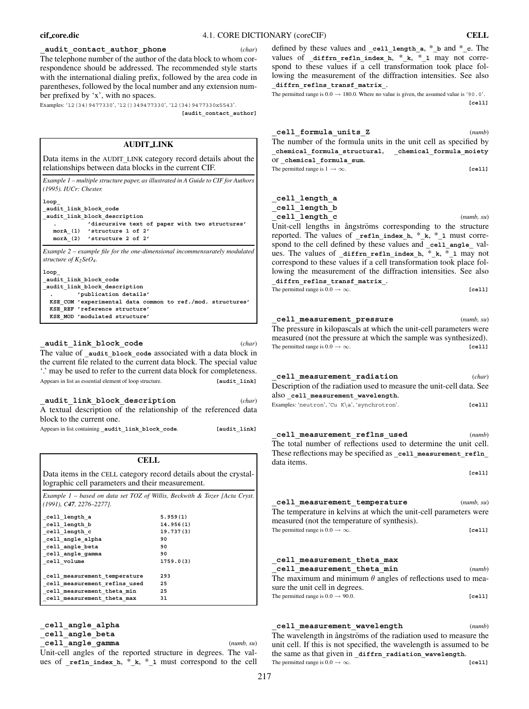### **\_audit\_contact\_author\_phone** (*char*)

The telephone number of the author of the data block to whom correspondence should be addressed. The recommended style starts with the international dialing prefix, followed by the area code in parentheses, followed by the local number and any extension number prefixed by 'x', with no spaces.

Examples: '12(34)9477330', '12()349477330', '12(34)9477330x5543'.

**[audit\_contact\_author]**

# **AUDIT LINK**

Data items in the AUDIT**\_**LINK category record details about the relationships between data blocks in the current CIF.

*Example 1 – multiple structure paper, as illustrated in A Guide to CIF for Authors (1995). IUCr: Chester.*

| loop                 |                                                |
|----------------------|------------------------------------------------|
|                      | audit link block code                          |
|                      | audit link block description                   |
| <b>All Contracts</b> | 'discursive text of paper with two structures' |
|                      | morA (1) 'structure 1 of 2'                    |
|                      | morA (2) 'structure 2 of 2'                    |

*Example 2 – example file for the one-dimensional incommensurately modulated structure of K2SeO4.*

**loop\_ \_audit\_link\_block\_code \_audit\_link\_block\_description . 'publication details' KSE\_COM 'experimental data common to ref./mod. structures' KSE\_REF 'reference structure' KSE\_MOD 'modulated structure'**

**\_audit\_link\_block\_code** (*char*) The value of **\_audit\_block\_code** associated with a data block in the current file related to the current data block. The special value '.' may be used to refer to the current data block for completeness. Appears in list as essential element of loop structure. **[audit link]** 

**\_audit\_link\_block\_description** (*char*) A textual description of the relationship of the referenced data block to the current one.

Appears in list containing **\_audit\_link\_block\_code**. **[audit\_link]**

### **CELL**

Data items in the CELL category record details about the crystallographic cell parameters and their measurement.

*Example 1 – based on data set TOZ of Willis, Beckwith & Tozer [Acta Cryst. (1991), C47, 2276–2277].* **\_cell\_length\_a 5.959(1) \_cell\_length\_b 14.956(1) \_cell\_length\_c 19.737(3) \_cell\_angle\_alpha 90 \_cell\_angle\_beta 90 \_cell\_angle\_gamma 90 \_cell\_volume 1759.0(3) \_cell\_measurement\_temperature 293 \_cell\_measurement\_reflns\_used 25 \_cell\_measurement\_theta\_min 25 \_cell\_measurement\_theta\_max 31**

**\_cell\_angle\_alpha**

**\_cell\_angle\_beta**

**\_cell\_angle\_gamma** (*numb, su*) Unit-cell angles of the reported structure in degrees. The values of **\_refln\_index\_h**, \***\_k**, \***\_l** must correspond to the cell defined by these values and **\_cell\_length\_a**, \***\_b** and \***\_c**. The values of **\_diffrn\_refln\_index\_h**, \***\_k**, \***\_l** may not correspond to these values if a cell transformation took place following the measurement of the diffraction intensities. See also **\_diffrn\_reflns\_transf\_matrix\_**.

The permitted range is  $0.0 \rightarrow 180.0$ . Where no value is given, the assumed value is '90.0'. **[cell]**

| cell formula units Z                                             | (numb) |
|------------------------------------------------------------------|--------|
| The number of the formula units in the unit cell as specified by |        |
| chemical formula structural, chemical formula moiety             |        |
| Of chemical formula sum.                                         |        |
| The permitted range is $1 \rightarrow \infty$ .                  | [cell] |
|                                                                  |        |

# **\_cell\_length\_a \_cell\_length\_b \_cell\_length\_c** (*numb, su*)

Unit-cell lengths in ångströms corresponding to the structure reported. The values of **\_refln\_index\_h**, \***\_k**, \***\_l** must correspond to the cell defined by these values and **\_cell\_angle\_** values. The values of **\_diffrn\_refln\_index\_h**, \***\_k**, \***\_l** may not correspond to these values if a cell transformation took place following the measurement of the diffraction intensities. See also **\_diffrn\_reflns\_transf\_matrix\_**. The permitted range is  $0.0 \rightarrow \infty$ . **[cell]** 

**\_cell\_measurement\_pressure** (*numb, su*) The pressure in kilopascals at which the unit-cell parameters were measured (not the pressure at which the sample was synthesized). The permitted range is  $0.0 \rightarrow \infty$ . **[cell]** 

| cell measurement radiation                                                  | (char) |
|-----------------------------------------------------------------------------|--------|
| Description of the radiation used to measure the unit-cell data. See        |        |
| also cell measurement wavelength.                                           |        |
| Examples: 'neutron', 'Cu K\a', 'synchrotron'.                               | [cell] |
|                                                                             |        |
| cell measurement reflns used                                                | (numb) |
| The total number of reflections used to determine the unit cell.            |        |
| These reflections may be specified as cell measurement refln<br>data items. |        |
|                                                                             | [cell] |

| cell measurement temperature                                      | (numb, su) |
|-------------------------------------------------------------------|------------|
| The temperature in kelvins at which the unit-cell parameters were |            |
| measured (not the temperature of synthesis).                      |            |
| The permitted range is $0.0 \rightarrow \infty$ .                 | [cell]     |

# **\_cell\_measurement\_theta\_max**

**\_cell\_measurement\_theta\_min** (*numb*) The maximum and minimum  $\theta$  angles of reflections used to measure the unit cell in degrees. The permitted range is  $0.0 \rightarrow 90.0$ . **[cell]** 

# **\_cell\_measurement\_wavelength** (*numb*) The wavelength in ångströms of the radiation used to measure the unit cell. If this is not specified, the wavelength is assumed to be

the same as that given in **\_diffrn\_radiation\_wavelength**. The permitted range is  $0.0 \rightarrow \infty$ . **[cell]**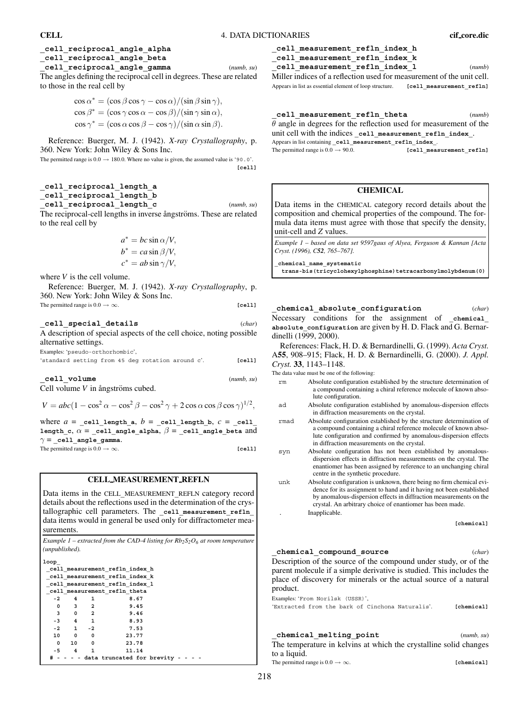**\_cell\_reciprocal\_angle\_alpha \_cell\_reciprocal\_angle\_beta \_cell\_reciprocal\_angle\_gamma** (*numb, su*)

The angles defining the reciprocal cell in degrees. These are related to those in the real cell by

$$
\cos \alpha^* = (\cos \beta \cos \gamma - \cos \alpha)/(\sin \beta \sin \gamma),
$$
  
\n
$$
\cos \beta^* = (\cos \gamma \cos \alpha - \cos \beta)/(\sin \gamma \sin \alpha),
$$
  
\n
$$
\cos \gamma^* = (\cos \alpha \cos \beta - \cos \gamma)/(\sin \alpha \sin \beta).
$$

Reference: Buerger, M. J. (1942). *X-ray Crystallography*, p. 360. New York: John Wiley & Sons Inc.

The permitted range is  $0.0 \rightarrow 180.0$ . Where no value is given, the assumed value is '90.0'. **[cell]**

```
_cell_reciprocal_length_a
_cell_reciprocal_length_b
_cell_reciprocal_length_c (numb, su)
```
The reciprocal-cell lengths in inverse ångströms. These are related to the real cell by

$$
a^* = bc \sin \alpha / V,
$$
  
\n
$$
b^* = ca \sin \beta / V,
$$
  
\n
$$
c^* = ab \sin \gamma / V,
$$

where *V* is the cell volume.

Reference: Buerger, M. J. (1942). *X-ray Crystallography*, p. 360. New York: John Wiley & Sons Inc.

The permitted range is  $0.0 \rightarrow \infty$ . **[cell]** 

**\_cell\_special\_details** (*char*)

A description of special aspects of the cell choice, noting possible alternative settings.

Examples: 'pseudo-orthorhombic', 'standard setting from 45 deg rotation around c'. **[cell]**

**\_cell\_volume** (*numb, su*) Cell volume  $V$  in ångströms cubed.

 $V = abc(1 - \cos^2 \alpha - \cos^2 \beta - \cos^2 \gamma + 2 \cos \alpha \cos \beta \cos \gamma)^{1/2},$ 

where  $a =$   $\text{\_cell\_length\_a}, b = \text{\_cell\_length\_b}, c = \text{\_cell}$ length\_c,  $\alpha$  = \_cell\_angle\_alpha,  $\beta$  = \_cell\_angle\_beta and  $\gamma =$  cell angle gamma. The permitted range is  $0.0 \rightarrow \infty$ . **[cell]** 

### **CELL MEASUREMENT REFLN**

Data items in the CELL**\_**MEASUREMENT**\_**REFLN category record details about the reflections used in the determination of the crystallographic cell parameters. The cell measurement refln data items would in general be used only for diffractometer measurements.

*Example 1 – extracted from the CAD-4 listing for*  $Rb_2S_2O_6$  *at room temperature (unpublished).*

**loop\_ \_cell\_measurement\_refln\_index\_h \_cell\_measurement\_refln\_index\_k \_cell\_measurement\_refln\_index\_l \_cell\_measurement\_refln\_theta -2 4 1 8.67 0 3 2 9.45 3 0 2 9.46 -3 4 1 8.93 -2 1 -2 7.53 10 0 0 23.77 0 10 0 23.78 -5 4 1 11.14 # - - - - data truncated for brevity - - - -** **\_cell\_measurement\_refln\_index\_h**

# **\_cell\_measurement\_refln\_index\_k**

**\_cell\_measurement\_refln\_index\_l** (*numb*) Miller indices of a reflection used for measurement of the unit cell. Appears in list as essential element of loop structure. [cell measurement refln]

**\_cell\_measurement\_refln\_theta** (*numb*)

 $\theta$  angle in degrees for the reflection used for measurement of the unit cell with the indices **\_cell\_measurement\_refln\_index\_**. Appears in list containing **\_cell\_measurement\_refln\_index\_**. The permitted range is  $0.0 \rightarrow 90.0$ . **[cell\_measurement\_refln]** 

# **CHEMICAL**

Data items in the CHEMICAL category record details about the composition and chemical properties of the compound. The formula data items must agree with those that specify the density, unit-cell and *Z* values.

*Example 1 – based on data set 9597gaus of Alyea, Ferguson & Kannan [Acta Cryst. (1996), C52, 765–767].*

**\_chemical\_name\_systematic**

**trans-bis(tricyclohexylphosphine)tetracarbonylmolybdenum(0)**

**\_chemical\_absolute\_configuration** (*char*)

Necessary conditions for the assignment of chemical **absolute\_configuration** are given by H. D. Flack and G. Bernardinelli (1999, 2000).

References: Flack, H. D. & Bernardinelli, G. (1999). *Acta Cryst.* A**55**, 908–915; Flack, H. D. & Bernardinelli, G. (2000). *J. Appl. Cryst.* **33**, 1143–1148.

The data value must be one of the following:

- rm Absolute configuration established by the structure determination of a compound containing a chiral reference molecule of known absolute configuration.
- ad Absolute configuration established by anomalous-dispersion effects in diffraction measurements on the crystal.
- rmad Absolute configuration established by the structure determination of a compound containing a chiral reference molecule of known absolute configuration and confirmed by anomalous-dispersion effects in diffraction measurements on the crystal.
- syn Absolute configuration has not been established by anomalousdispersion effects in diffraction measurements on the crystal. The enantiomer has been assigned by reference to an unchanging chiral centre in the synthetic procedure.
- unk Absolute configuration is unknown, there being no firm chemical evidence for its assignment to hand and it having not been established by anomalous-dispersion effects in diffraction measurements on the crystal. An arbitrary choice of enantiomer has been made. . Inapplicable.

**[chemical]**

### **\_chemical\_compound\_source** (*char*)

Description of the source of the compound under study, or of the parent molecule if a simple derivative is studied. This includes the place of discovery for minerals or the actual source of a natural product.

Examples: 'From Norilsk (USSR)',

'Extracted from the bark of Cinchona Naturalis'. **[chemical]**

**\_chemical\_melting\_point** (*numb, su*) The temperature in kelvins at which the crystalline solid changes to a liquid. The permitted range is  $0.0 \rightarrow \infty$ . **[chemical]**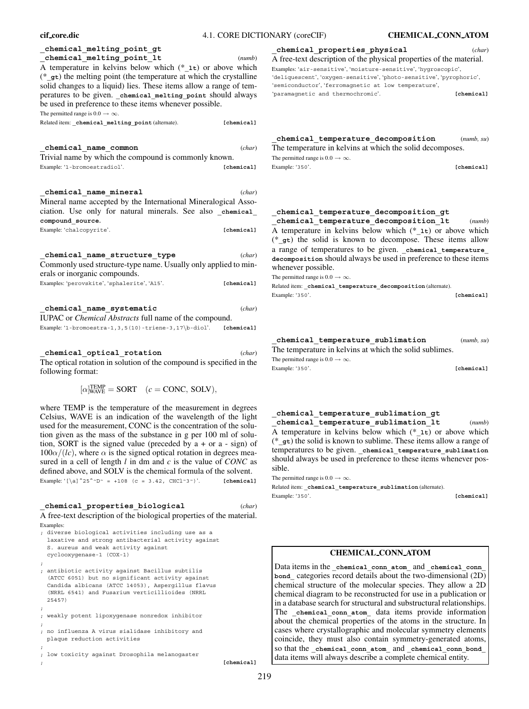| chemical_melting_point_gt                                                                                                | _chemical_properties_physical<br>(char)                                                         |
|--------------------------------------------------------------------------------------------------------------------------|-------------------------------------------------------------------------------------------------|
| chemical_melting_point_lt<br>(numb)                                                                                      | A free-text description of the physical properties of the material.                             |
| A temperature in kelvins below which $(*_1\texttt{t})$ or above which                                                    | Examples: 'air-sensitive', 'moisture-sensitive', 'hygroscopic',                                 |
| $(*$ <sub>g</sub> $t)$ the melting point (the temperature at which the crystalline                                       | 'deliquescent', 'oxygen-sensitive', 'photo-sensitive', 'pyrophoric',                            |
| solid changes to a liquid) lies. These items allow a range of tem-                                                       | 'semiconductor', 'ferromagnetic at low temperature',                                            |
| peratures to be given. _ chemical_melting_point should always<br>be used in preference to these items whenever possible. | 'paramagnetic and thermochromic'.<br>[chemical]                                                 |
| The permitted range is $0.0 \rightarrow \infty$ .                                                                        |                                                                                                 |
| Related item: _ chemical_melting_point (alternate).<br>[chemical]                                                        |                                                                                                 |
|                                                                                                                          | _chemical_temperature_decomposition<br>(numb, su)                                               |
| _chemical_name_common<br>(char)                                                                                          | The temperature in kelvins at which the solid decomposes.                                       |
| Trivial name by which the compound is commonly known.                                                                    | The permitted range is $0.0 \rightarrow \infty$ .                                               |
| Example: '1-bromoestradiol'.<br>[chemical]                                                                               | Example: '350'.<br>[chemical]                                                                   |
| chemical_name_mineral<br>(char)                                                                                          |                                                                                                 |
| Mineral name accepted by the International Mineralogical Asso-                                                           |                                                                                                 |
| ciation. Use only for natural minerals. See also _chemical_                                                              | chemical temperature decomposition gt                                                           |
| compound source.                                                                                                         | _chemical_temperature_decomposition_lt<br>(numb)                                                |
| Example: 'chalcopyrite'.<br>[chemical]                                                                                   | A temperature in kelvins below which (* 1t) or above which                                      |
|                                                                                                                          | $(*$ gt) the solid is known to decompose. These items allow                                     |
|                                                                                                                          | a range of temperatures to be given. _ chemical_temperature_                                    |
| _chemical_name_structure_type<br>(char)                                                                                  | decomposition should always be used in preference to these items                                |
| Commonly used structure-type name. Usually only applied to min-                                                          | whenever possible.                                                                              |
| erals or inorganic compounds.                                                                                            | The permitted range is $0.0 \rightarrow \infty$ .                                               |
| Examples: 'perovskite', 'sphalerite', 'A15'.<br>[chemical]                                                               | Related item: _chemical_temperature_decomposition (alternate).<br>Example: '350'.<br>[chemical] |
| _chemical_name_systematic<br>(char)                                                                                      |                                                                                                 |
| IUPAC or <i>Chemical Abstracts</i> full name of the compound.                                                            |                                                                                                 |
| Example: '1-bromoestra-1, 3, 5(10) -triene-3, $17\b{-diol}$ .<br>[chemical]                                              |                                                                                                 |
|                                                                                                                          |                                                                                                 |
|                                                                                                                          | _chemical_temperature_sublimation<br>(numb, su)                                                 |
| chemical optical rotation<br>(char)                                                                                      | The temperature in kelvins at which the solid sublimes.                                         |
| The optical rotation in solution of the compound is specified in the                                                     | The permitted range is $0.0 \rightarrow \infty$ .                                               |
| following format:                                                                                                        | Example: '350'.<br>[chemical]                                                                   |
| $[\alpha]_{\text{WAVE}}^{\text{TEMP}} = \text{SORT}$ $(c = \text{CONC}, \text{SOLV}),$                                   |                                                                                                 |
| where TEMP is the temperature of the measurement in degrees                                                              |                                                                                                 |
| Celsius, WAVE is an indication of the wavelength of the light                                                            | chemical temperature sublimation gt                                                             |
| used for the measurement, CONC is the concentration of the solu-                                                         | chemical temperature sublimation lt<br>(numb)                                                   |
| tion given as the mass of the substance in g per 100 ml of solu-                                                         | A temperature in kelvins below which (* 1t) or above which                                      |
| tion, SORT is the signed value (preceded by $a + or a - sign$ ) of                                                       | (* $gt$ ) the solid is known to sublime. These items allow a range of                           |
| $100\alpha/(lc)$ , where $\alpha$ is the signed optical rotation in degrees mea-                                         | temperatures to be given. _ chemical_temperature_sublimation                                    |
| sured in a cell of length $l$ in dm and $c$ is the value of CONC as                                                      | should always be used in preference to these items whenever pos-<br>sible.                      |
| defined above, and SOLV is the chemical formula of the solvent.                                                          |                                                                                                 |
| Example: '[\a] $^25^{\sim}D^{\sim} = +108$ (c = 3.42, CHCl ~ 3 ~)'.<br>[chemical]                                        | The permitted range is $0.0 \rightarrow \infty$ .                                               |
|                                                                                                                          | Related item: _chemical_temperature_sublimation (alternate).<br>Example: '350'.<br>[chemical]   |
| chemical properties biological<br>(char)                                                                                 |                                                                                                 |
| A free-text description of the biological properties of the material.                                                    |                                                                                                 |
| Examples:                                                                                                                |                                                                                                 |
| ; diverse biological activities including use as a                                                                       |                                                                                                 |
| laxative and strong antibacterial activity against                                                                       |                                                                                                 |
| S. aureus and weak activity against                                                                                      | <b>CHEMICAL CONN ATOM</b>                                                                       |
| cyclooxygenase-1 (COX-1)                                                                                                 |                                                                                                 |
| ; antibiotic activity against Bacillus subtilis                                                                          | Data items in the _chemical_conn_atom_and _chemical_conn_                                       |
| (ATCC 6051) but no significant activity against                                                                          | bond_ categories record details about the two-dimensional (2D)                                  |
| Candida albicans (ATCC 14053), Aspergillus flavus                                                                        | chemical structure of the molecular species. They allow a 2D                                    |
| (NRRL 6541) and Fusarium verticillioides (NRRL                                                                           | chemical diagram to be reconstructed for use in a publication or                                |
| 25457)                                                                                                                   | in a database search for structural and substructural relationships.                            |
| $\ddot{i}$<br>; weakly potent lipoxygenase nonredox inhibitor                                                            | The chemical conn atom data items provide information                                           |

; no influenza A virus sialidase inhibitory and plaque reduction activities ;

;

; low toxicity against Drosophila melanogaster ; **[chemical]**

# **cif core.dic** 4.1. CORE DICTIONARY (coreCIF) **CHEMICAL CONN ATOM**

# **\_chemical\_temperature\_decomposition\_gt**

# **\_chemical\_temperature\_sublimation\_gt**

# **CHEMICAL CONN ATOM**

chemical conn **b**-dimensional (2D) They allow a 2D in a publication or tural relationships. tovide information about the chemical properties of the atoms in the structure. In cases where crystallographic and molecular symmetry elements coincide, they must also contain symmetry-generated atoms, so that the **\_chemical\_conn\_atom\_** and **\_chemical\_conn\_bond\_** data items will always describe a complete chemical entity.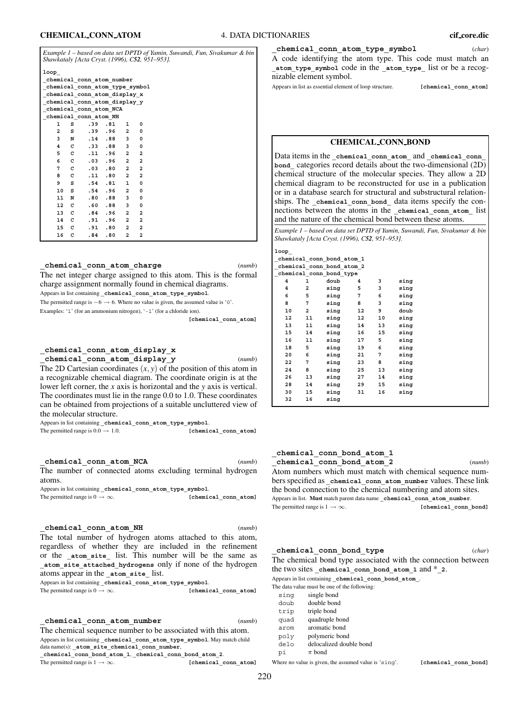*Example 1 – based on data set DPTD of Yamin, Suwandi, Fun, Sivakumar & bin Shawkataly [Acta Cryst. (1996), C52, 951–953].*

| loop                    |   |                                |     |                         |                |  |
|-------------------------|---|--------------------------------|-----|-------------------------|----------------|--|
|                         |   | chemical conn atom number      |     |                         |                |  |
|                         |   | chemical_conn_atom_type symbol |     |                         |                |  |
|                         |   | chemical_conn_atom_display_x   |     |                         |                |  |
|                         |   | chemical conn atom display y   |     |                         |                |  |
|                         |   | chemical conn atom NCA         |     |                         |                |  |
|                         |   | chemical conn atom NH          |     |                         |                |  |
| $\mathbf{1}$            | s | .39.81                         |     | 1                       | 0              |  |
| $\overline{\mathbf{2}}$ | s | .39.96                         |     | $\overline{a}$          | $\mathbf 0$    |  |
| 3                       | N | $.14$ .88                      |     | 3                       | $\mathbf 0$    |  |
| 4                       | с | .33.88                         |     | 3                       | 0              |  |
| 5                       | с | $.11$ .96                      |     | $\overline{\mathbf{2}}$ | 2              |  |
| 6                       | c | .03                            | .96 | $\overline{\mathbf{2}}$ | 2              |  |
| 7                       | C | .03.08                         |     | $\overline{a}$          | $\overline{a}$ |  |
| 8                       | c | $.11 - .80$                    |     | $\overline{a}$          | $\overline{a}$ |  |
| 9                       | s | .54.81                         |     | 1                       | 0              |  |
| 10                      | s | .54.96                         |     | $\overline{\mathbf{2}}$ | 0              |  |
| 11                      | N | .80                            | .88 | 3                       | 0              |  |
| 12 <sup>2</sup>         | C | .60                            | .88 | 3                       | 0              |  |
| 13                      | C | .84                            | .96 | $\overline{a}$          | $\overline{a}$ |  |
| 14                      | c | .91                            | .96 | $\overline{a}$          | $\overline{a}$ |  |
| 15                      | с | .91                            | .80 | $\overline{\mathbf{2}}$ | $\overline{a}$ |  |
| 16                      | C | .84                            | .80 | $\overline{a}$          | 2              |  |

**\_chemical\_conn\_atom\_charge** (*numb*) The net integer charge assigned to this atom. This is the formal charge assignment normally found in chemical diagrams. Appears in list containing chemical conn atom type symbol. The permitted range is  $-6 \rightarrow 6$ . Where no value is given, the assumed value is '0'.

Examples: '1' (for an ammonium nitrogen), '-1' (for a chloride ion).

**[chemical\_conn\_atom]**

# **\_chemical\_conn\_atom\_display\_x**

**\_chemical\_conn\_atom\_display\_y** (*numb*) The 2D Cartesian coordinates  $(x, y)$  of the position of this atom in a recognizable chemical diagram. The coordinate origin is at the lower left corner, the *x* axis is horizontal and the *y* axis is vertical. The coordinates must lie in the range 0.0 to 1.0. These coordinates can be obtained from projections of a suitable uncluttered view of the molecular structure.

Appears in list containing **\_chemical\_conn\_atom\_type\_symbol**. The permitted range is  $0.0 \rightarrow 1.0$ . **[chemical conn atom]** 

**\_chemical\_conn\_atom\_NCA** (*numb*) The number of connected atoms excluding terminal hydrogen atoms.

Appears in list containing **\_chemical\_conn\_atom\_type\_symbol**.

The permitted range is  $0 \to \infty$ . **[chemical connatom]** 

**\_chemical\_conn\_atom\_NH** (*numb*)

The total number of hydrogen atoms attached to this atom, regardless of whether they are included in the refinement or the **\_atom\_site\_** list. This number will be the same as **\_atom\_site\_attached\_hydrogens** only if none of the hydrogen atoms appear in the **\_atom\_site\_** list.

Appears in list containing **\_chemical\_conn\_atom\_type\_symbol**.

The permitted range is  $0 \to \infty$ . **[chemical\_conn\_atom]** 

**\_chemical\_conn\_atom\_number** (*numb*) The chemical sequence number to be associated with this atom.

Appears in list containing **\_chemical\_conn\_atom\_type\_symbol**. May match child data name(s): **atom** site chemical conn number, **\_chemical\_conn\_bond\_atom\_1**, **\_chemical\_conn\_bond\_atom\_2**.

The permitted range is  $1 \rightarrow \infty$ . **[chemical conn atom]** 

**\_chemical\_conn\_atom\_type\_symbol** (*char*)

A code identifying the atom type. This code must match an **\_atom\_type\_symbol** code in the **\_atom\_type\_** list or be a recognizable element symbol.

Appears in list as essential element of loop structure. **[chemical\_conn\_atom]** 

# **CHEMICAL CONN BOND**

Data items in the chemical conn atom and chemical conn **bond\_** categories record details about the two-dimensional (2D) chemical structure of the molecular species. They allow a 2D chemical diagram to be reconstructed for use in a publication or in a database search for structural and substructural relationships. The **\_chemical\_conn\_bond\_** data items specify the connections between the atoms in the chemical conn atom list and the nature of the chemical bond between these atoms.

*Example 1 – based on data set DPTD of Yamin, Suwandi, Fun, Sivakumar & bin Shawkataly [Acta Cryst. (1996), C52, 951–953].*

# **loop\_**

| ⊥∪ບບຼ                     |                         |                           |    |    |      |
|---------------------------|-------------------------|---------------------------|----|----|------|
| chemical conn bond atom 1 |                         |                           |    |    |      |
|                           |                         | chemical conn bond atom 2 |    |    |      |
|                           |                         | chemical conn bond type   |    |    |      |
| 4                         | 1                       | doub                      | 4  | 3  | sing |
| 4                         | $\overline{\mathbf{2}}$ | sinq                      | 5  | 3  | sinq |
| 6                         | 5                       | sinq                      | 7  | 6  | sing |
| 8                         | 7                       | sinq                      | 8  | 3  | sinq |
| 10                        | 2                       | sinq                      | 12 | 9  | doub |
| 12                        | 11                      | sing                      | 12 | 10 | sing |
| 13                        | 11                      | sinq                      | 14 | 13 | sing |
| 15                        | 14                      | sing                      | 16 | 15 | sing |
| 16                        | 11                      | sinq                      | 17 | 5  | sing |
| 18                        | 5                       | sinq                      | 19 | 6  | sing |
| 20                        | 6                       | sinq                      | 21 | 7  | sing |
| 22                        | 7                       | sing                      | 23 | 8  | sing |
| 24                        | 8                       | sinq                      | 25 | 13 | sing |
| 26                        | 13                      | sing                      | 27 | 14 | sing |
| 28                        | 14                      | sing                      | 29 | 15 | sing |
| 30                        | 15                      | sinq                      | 31 | 16 | sinq |
| 32                        | 16                      | sing                      |    |    |      |

# **\_chemical\_conn\_bond\_atom\_1 \_chemical\_conn\_bond\_atom\_2** (*numb*) Atom numbers which must match with chemical sequence num-

bers specified as **\_chemical\_conn\_atom\_number** values. These link the bond connection to the chemical numbering and atom sites. Appears in list. **Must** match parent data name **\_chemical\_conn\_atom\_number**. The permitted range is  $1 \rightarrow \infty$ . **[chemical\_conn\_bond]** 

#### **\_chemical\_conn\_bond\_type** (*char*)

The chemical bond type associated with the connection between the two sites **\_chemical\_conn\_bond\_atom\_1** and \***\_2**.

Appears in list containing **\_chemical\_conn\_bond\_atom\_**.

The data value must be one of the following:

| sınq | single bond |
|------|-------------|
|      |             |

- doub double bond
- 
- trip triple bond
- quad quadruple bond
- arom aromatic bond
- poly polymeric bond
- delo delocalized double bond<br>pi  $\pi$  bond

 $\pi$  bond

Where no value is given, the assumed value is 'sing'. [chemical\_conn\_bond]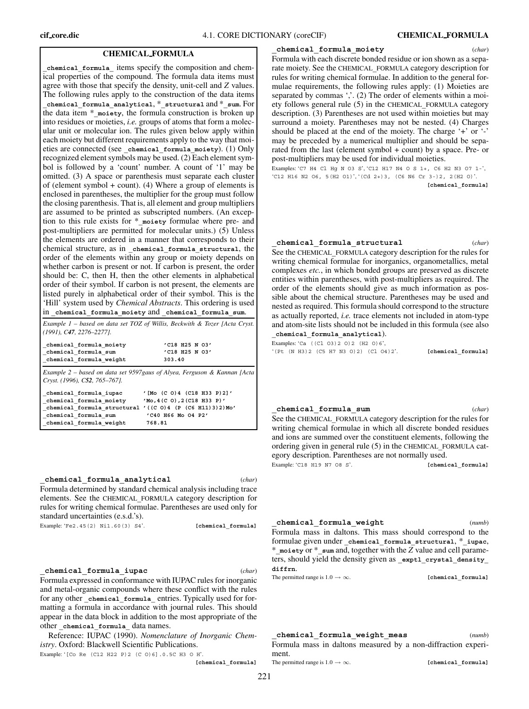#### **CHEMICAL FORMULA**

**\_chemical\_formula\_** items specify the composition and chemical properties of the compound. The formula data items must agree with those that specify the density, unit-cell and *Z* values. The following rules apply to the construction of the data items **\_chemical\_formula\_analytical**, \***\_structural** and \***\_sum**. For the data item \***\_moiety**, the formula construction is broken up into residues or moieties, *i.e.* groups of atoms that form a molecular unit or molecular ion. The rules given below apply within each moiety but different requirements apply to the way that moieties are connected (see **\_chemical\_formula\_moiety**). (1) Only recognized element symbols may be used. (2) Each element symbol is followed by a 'count' number. A count of '1' may be omitted. (3) A space or parenthesis must separate each cluster of (element symbol + count). (4) Where a group of elements is enclosed in parentheses, the multiplier for the group must follow the closing parenthesis. That is, all element and group multipliers are assumed to be printed as subscripted numbers. (An exception to this rule exists for \***\_moiety** formulae where pre- and post-multipliers are permitted for molecular units.) (5) Unless the elements are ordered in a manner that corresponds to their chemical structure, as in **\_chemical\_formula\_structural**, the order of the elements within any group or moiety depends on whether carbon is present or not. If carbon is present, the order should be: C, then H, then the other elements in alphabetical order of their symbol. If carbon is not present, the elements are listed purely in alphabetical order of their symbol. This is the 'Hill' system used by *Chemical Abstracts*. This ordering is used in **\_chemical\_formula\_moiety** and **\_chemical\_formula\_sum**.

*Example 1 – based on data set TOZ of Willis, Beckwith & Tozer [Acta Cryst. (1991), C47, 2276–2277].*

| chemical formula moiety | $'$ C18 H25 N 03' |
|-------------------------|-------------------|
| chemical formula sum    | $'$ C18 H25 N 03' |
| chemical formula weight | 303.40            |
|                         |                   |

*Example 2 – based on data set 9597gaus of Alyea, Ferguson & Kannan [Acta Cryst. (1996), C52, 765–767].*

| chemical formula iupac                                          | $'$ [Mo (C 0) 4 (C18 H33 P) 2]' |
|-----------------------------------------------------------------|---------------------------------|
| chemical formula moiety                                         | 'Mo, 4(C 0), 2(C18 H33 P)'      |
| chemical formula structural $\prime$ ((C O)4 (P (C6 H11)3)2)Mo' |                                 |
| chemical formula sum                                            | 'C40 H66 Mo O4 P2'              |
| chemical formula weight                                         | 768.81                          |

### **\_chemical\_formula\_analytical** (*char*)

Formula determined by standard chemical analysis including trace elements. See the CHEMICAL**\_**FORMULA category description for rules for writing chemical formulae. Parentheses are used only for standard uncertainties (e.s.d.'s).

Example: 'Fe2.45(2) Ni1.60(3) S4'. **[chemical\_formula]**

### **\_chemical\_formula\_iupac** (*char*)

Formula expressed in conformance with IUPAC rules for inorganic and metal-organic compounds where these conflict with the rules for any other **\_chemical\_formula\_** entries. Typically used for formatting a formula in accordance with journal rules. This should appear in the data block in addition to the most appropriate of the other **\_chemical\_formula\_** data names.

Reference: IUPAC (1990). *Nomenclature of Inorganic Chemistry*. Oxford: Blackwell Scientific Publications.

Example: '[Co Re (C12 H22 P)2 (C O)6].0.5C H3 O H'.

**[chemical\_formula]**

#### **\_chemical\_formula\_moiety** (*char*)

Formula with each discrete bonded residue or ion shown as a separate moiety. See the CHEMICAL**\_**FORMULA category description for rules for writing chemical formulae. In addition to the general formulae requirements, the following rules apply: (1) Moieties are separated by commas ','. (2) The order of elements within a moiety follows general rule (5) in the CHEMICAL**\_**FORMULA category description. (3) Parentheses are not used within moieties but may surround a moiety. Parentheses may not be nested. (4) Charges should be placed at the end of the moiety. The charge '+' or '-' may be preceded by a numerical multiplier and should be separated from the last (element symbol + count) by a space. Pre- or post-multipliers may be used for individual moieties.

Examples: 'C7 H4 Cl Hg N O3 S', 'C12 H17 N4 O S 1+, C6 H2 N3 O7 1-', 'C12 H16 N2 O6, 5(H2 O1)', '(Cd 2+)3, (C6 N6 Cr 3-)2, 2(H2 O)'. **[chemical\_formula]**

# **\_chemical\_formula\_structural** (*char*)

See the CHEMICAL**\_**FORMULA category description for the rules for writing chemical formulae for inorganics, organometallics, metal complexes *etc.*, in which bonded groups are preserved as discrete entities within parentheses, with post-multipliers as required. The order of the elements should give as much information as possible about the chemical structure. Parentheses may be used and nested as required. This formula should correspond to the structure as actually reported, *i.e.* trace elements not included in atom-type and atom-site lists should not be included in this formula (see also **\_chemical\_formula\_analytical**).

Examples: 'Ca ((Cl O3)2 O)2 (H2 O)6', '(Pt (N H3)2 (C5 H7 N3 O)2) (Cl O4)2'. **[chemical\_formula]**

**\_chemical\_formula\_sum** (*char*)

See the CHEMICAL**\_**FORMULA category description for the rules for writing chemical formulae in which all discrete bonded residues and ions are summed over the constituent elements, following the ordering given in general rule (5) in the CHEMICAL**\_**FORMULA category description. Parentheses are not normally used.

Example: 'C18 H19 N7 O8 S'. **[chemical\_formula]** 

### **\_chemical\_formula\_weight** (*numb*)

Formula mass in daltons. This mass should correspond to the formulae given under **\_chemical\_formula\_structural**, \***\_iupac**, \***\_moiety** or \***\_sum** and, together with the *Z* value and cell parameters, should yield the density given as **\_exptl\_crystal\_density\_ diffrn**.

The permitted range is  $1.0 \rightarrow \infty$ . **[chemical\_formula]** 

**\_chemical\_formula\_weight\_meas** (*numb*) Formula mass in daltons measured by a non-diffraction experiment.

The permitted range is  $1.0 \rightarrow \infty$ . **[chemical formula]**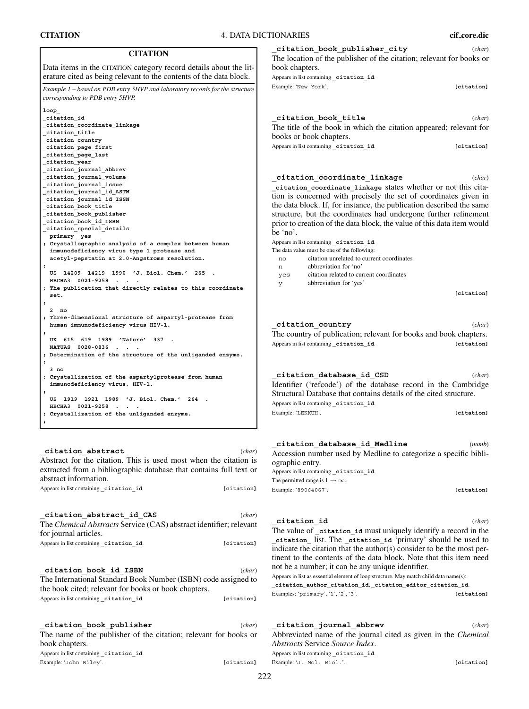| CITATION<br><b>4. DATA DICTIONARIES</b> | cif_core.dic |
|-----------------------------------------|--------------|
|-----------------------------------------|--------------|

```
CITATION
Data items in the CITATION category record details about the lit-
erature cited as being relevant to the contents of the data block.
Example 1 – based on PDB entry 5HVP and laboratory records for the structure
corresponding to PDB entry 5HVP.
loop_
_citation_id
_citation_coordinate_linkage
_citation_title
_citation_country
_citation_page_first
_citation_page_last
_citation_year
_citation_journal_abbrev
_citation_journal_volume
_citation_journal_issue
_citation_journal_id_ASTM
_citation_journal_id_ISSN
_citation_book_title
_citation_book_publisher
_citation_book_id_ISBN
_citation_special_details
 primary yes
; Crystallographic analysis of a complex between human
 immunodeficiency virus type 1 protease and
 acetyl-pepstatin at 2.0-Angstroms resolution.
;
 US 14209 14219 1990 'J. Biol. Chem.' 265 .
 HBCHA3 0021-9258
; The publication that directly relates to this coordinate
 set.
;
 2 no
; Three-dimensional structure of aspartyl-protease from
 human immunodeficiency virus HIV-1.
;
 UK 615 619 1989 'Nature' 337 .
 NATUAS 0028-0836 . . .
; Determination of the structure of the unliganded enzyme.
;
 3 no
; Crystallization of the aspartylprotease from human
  immunodeficiency virus, HIV-1.
;
  US 1919 1921 1989 'J. Biol. Chem.' 264 .
 HBCHA3 0021-9258 . . .
 ; Crystallization of the unliganded enzyme.
;
_citation_abstract (char)
                                                               _citation_book_publisher_city (char)
                                                               The location of the publisher of the citation; relevant for books or
                                                               book chapters.
                                                               Appears in list containing citation id.
                                                               Example: 'New York'. [citation]
                                                               _citation_book_title (char)
                                                               The title of the book in which the citation appeared; relevant for
                                                               books or book chapters.
                                                               Appears in list containing _citation_id. [citation]
                                                               _citation_coordinate_linkage (char)
                                                               _citation_coordinate_linkage states whether or not this cita-
                                                               tion is concerned with precisely the set of coordinates given in
                                                               the data block. If, for instance, the publication described the same
                                                               structure, but the coordinates had undergone further refinement
                                                               prior to creation of the data block, the value of this data item would
                                                               be 'no'.
                                                               Appears in list containing _citation_id.
                                                               The data value must be one of the following:
                                                                no citation unrelated to current coordinates
                                                                n abbreviation for 'no'
                                                                yes citation related to current coordinates
                                                                y abbreviation for 'yes'
                                                                                                                 [citation]
                                                                _citation_country (char)
                                                               The country of publication; relevant for books and book chapters.
                                                               Appears in list containing _citation_id. [citation]
                                                               _citation_database_id_CSD (char)
                                                               Identifier ('refcode') of the database record in the Cambridge
                                                               Structural Database that contains details of the cited structure.
                                                               Appears in list containing citation id.
                                                               Example: 'LEKKUH'. [citation]
```
Abstract for the citation. This is used most when the citation is extracted from a bibliographic database that contains full text or abstract information. Appears in list containing **\_citation\_id**. **[citation] \_citation\_abstract\_id\_CAS** (*char*) The *Chemical Abstracts* Service (CAS) abstract identifier; relevant for journal articles. Appears in list containing **\_citation\_id**. **[citation] \_citation\_book\_id\_ISBN** (*char*) The International Standard Book Number (ISBN) code assigned to the book cited; relevant for books or book chapters. Appears in list containing **citation** id. **[citation] \_citation\_book\_publisher** (*char*) The name of the publisher of the citation; relevant for books or book chapters. Appears in list containing citation id.

Example: 'John Wiley'. **[citation]**

**\_citation\_database\_id\_Medline** (*numb*) Accession number used by Medline to categorize a specific bibliographic entry. Appears in list containing **\_citation\_id**. The permitted range is  $1 \rightarrow \infty$ . Example: '89064067'. **[citation]**

### **\_citation\_id** (*char*)

The value of citation id must uniquely identify a record in the **\_citation\_** list. The **\_citation\_id** 'primary' should be used to indicate the citation that the author(s) consider to be the most pertinent to the contents of the data block. Note that this item need not be a number; it can be any unique identifier.

Appears in list as essential element of loop structure. May match child data name(s): **\_citation\_author\_citation\_id**, **\_citation\_editor\_citation\_id**. Examples: 'primary', '1', '2', '3'. **[citation]**

| citation journal abbrev                                               |  | (char)     |
|-----------------------------------------------------------------------|--|------------|
| Abbreviated name of the journal cited as given in the <i>Chemical</i> |  |            |
| <i>Abstracts</i> Service Source Index.                                |  |            |
| Appears in list containing citation id.                               |  |            |
| Example: 'J. Mol. Biol.'.                                             |  | [citation] |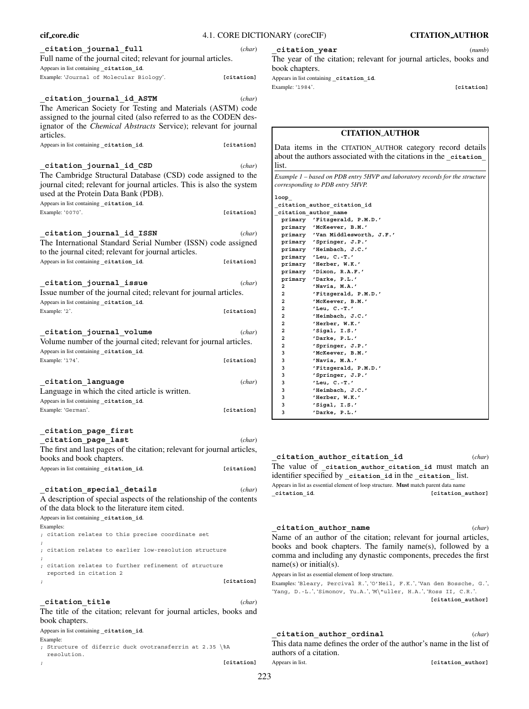| cif_core.dic                                                                                                                                                                                                                    |            | 4.1. CORE DICTIONARY (coreCIF)<br><b>CITATION_AUTHOR</b>                                                                                           |
|---------------------------------------------------------------------------------------------------------------------------------------------------------------------------------------------------------------------------------|------------|----------------------------------------------------------------------------------------------------------------------------------------------------|
| citation_journal_full<br>Full name of the journal cited; relevant for journal articles.<br>Appears in list containing _citation_id.                                                                                             | (char)     | citation year<br>(numb)<br>The year of the citation; relevant for journal articles, books and<br>book chapters.                                    |
| Example: 'Journal of Molecular Biology'.                                                                                                                                                                                        | [citation] | Appears in list containing citation id.<br>Example: '1984'.<br>[citation]                                                                          |
| citation_journal_id_ASTM<br>The American Society for Testing and Materials (ASTM) code<br>assigned to the journal cited (also referred to as the CODEN des-<br>ignator of the Chemical Abstracts Service); relevant for journal | (char)     |                                                                                                                                                    |
| articles.                                                                                                                                                                                                                       |            | <b>CITATION_AUTHOR</b>                                                                                                                             |
| Appears in list containing citation id.                                                                                                                                                                                         | [citation] | Data items in the CITATION AUTHOR category record details<br>about the authors associated with the citations in the citation                       |
| citation_journal_id CSD<br>The Cambridge Structural Database (CSD) code assigned to the<br>journal cited; relevant for journal articles. This is also the system<br>used at the Protein Data Bank (PDB).                        | (char)     | list.<br>Example 1 - based on PDB entry 5HVP and laboratory records for the structure<br>corresponding to PDB entry 5HVP.<br>loop                  |
| Appears in list containing _citation_id.                                                                                                                                                                                        |            | citation_author_citation_id                                                                                                                        |
| Example: '0070'.                                                                                                                                                                                                                | [citation] | citation author name<br>primary 'Fitzgerald, P.M.D.'<br>primary 'McKeever, B.M.'                                                                   |
| citation journal id ISSN                                                                                                                                                                                                        | (char)     | primary<br>'Van Middlesworth, J.F.'<br>'Springer, J.P.'                                                                                            |
| The International Standard Serial Number (ISSN) code assigned<br>to the journal cited; relevant for journal articles.                                                                                                           |            | primary<br>primary<br>'Heimbach, J.C.'                                                                                                             |
| Appears in list containing citation id.                                                                                                                                                                                         | [citation] | $'$ Leu, C.-T.'<br>primary                                                                                                                         |
|                                                                                                                                                                                                                                 |            | 'Herber, W.K.'<br>primary<br>'Dixon, R.A.F.'<br>primary                                                                                            |
| _citation_journal_issue                                                                                                                                                                                                         | (char)     | primary<br>'Darke, P.L.'                                                                                                                           |
| Issue number of the journal cited; relevant for journal articles.                                                                                                                                                               |            | 2<br>'Navia, M.A.'<br>2<br>'Fitzgerald, P.M.D.'                                                                                                    |
| Appears in list containing citation id.                                                                                                                                                                                         |            | 2<br>'McKeever, B.M.'                                                                                                                              |
| Example: '2'.                                                                                                                                                                                                                   | [citation] | 2<br>$'$ Leu, C.-T.'                                                                                                                               |
|                                                                                                                                                                                                                                 |            | $\overline{\mathbf{2}}$<br>'Heimbach, J.C.'<br>$\overline{\mathbf{2}}$<br>'Herber, W.K.'                                                           |
| citation_journal_volume_                                                                                                                                                                                                        | (char)     | 2<br>'Sigal, I.S.'                                                                                                                                 |
| Volume number of the journal cited; relevant for journal articles.                                                                                                                                                              |            | 2<br>'Darke, P.L.'                                                                                                                                 |
| Appears in list containing citation id.                                                                                                                                                                                         |            | $\overline{\mathbf{2}}$<br>'Springer, J.P.'<br>3<br>'McKeever, B.M.'                                                                               |
| Example: '174'.                                                                                                                                                                                                                 | [citation] | 3<br>'Navia, M.A.'<br>3<br>'Fitzgerald, P.M.D.'                                                                                                    |
| citation language                                                                                                                                                                                                               | (char)     | 3<br>'Springer, J.P.'<br>3<br>$'$ Leu, C.-T.'                                                                                                      |
| Language in which the cited article is written.                                                                                                                                                                                 |            | 3<br>'Heimbach, J.C.'                                                                                                                              |
| Appears in list containing _citation_id.                                                                                                                                                                                        |            | 3<br>'Herber, W.K.'                                                                                                                                |
| Example: 'German'.                                                                                                                                                                                                              | [citation] | 3<br>'Sigal, I.S.'<br>3<br>'Darke, P.L.'                                                                                                           |
| _citation_page_first                                                                                                                                                                                                            |            |                                                                                                                                                    |
| citation_page_last                                                                                                                                                                                                              | (char)     |                                                                                                                                                    |
| The first and last pages of the citation; relevant for journal articles,<br>books and book chapters.                                                                                                                            |            | _citation_author_citation_id<br>(char)<br>The value of _citation_author_citation_id must match an                                                  |
| Appears in list containing citation id.                                                                                                                                                                                         | [citation] | identifier specified by _citation_id in the _citation_list.<br>Appears in list as essential element of loop structure. Must match parent data name |
| _citation_special_details<br>A description of special aspects of the relationship of the contents<br>of the data block to the literature item cited.                                                                            | (char)     | ${\tt_{citation\_id.}}$<br>[citation_author]                                                                                                       |
| Appears in list containing _citation_id.<br>Examples:                                                                                                                                                                           |            | citation_author_name<br>(char)                                                                                                                     |
| ; citation relates to this precise coordinate set<br>citation relates to earlier low-resolution structure                                                                                                                       |            | Name of an author of the citation; relevant for journal articles,<br>books and book chapters. The family name(s), followed by a                    |
| ; citation relates to further refinement of structure                                                                                                                                                                           |            | comma and including any dynastic components, precedes the first<br>$name(s)$ or initial(s).                                                        |
| reported in citation 2<br>$\ddot{i}$                                                                                                                                                                                            | [citation] | Appears in list as essential element of loop structure.<br>Examples: 'Bleary, Percival R.', 'O'Neil, F.K.', 'Van den Bossche, G.',                 |
| citation_title_                                                                                                                                                                                                                 | (char)     | 'Yang, D.-L.', 'Simonov, Yu.A.', 'M\"uller, H.A.', 'Ross II, C.R.'.<br>[citation author]                                                           |
| The title of the citation; relevant for journal articles, books and<br>book chapters.                                                                                                                                           |            |                                                                                                                                                    |
| Appears in list containing _citation_id.                                                                                                                                                                                        |            | _citation_author_ordinal<br>(char)                                                                                                                 |
| Example:                                                                                                                                                                                                                        |            | This data name defines the order of the outhor's name in the list of                                                                               |

; Structure of diferric duck ovotransferrin at 2.35 \%A resolution. ; **[citation]**

# **CITATION AUTHOR**

|                | citation author citation id      |
|----------------|----------------------------------|
|                | citation author name             |
|                | primary 'Fitzgerald, P.M.D.'     |
|                | primary 'McKeever, B.M.'         |
|                | primary 'Van Middlesworth, J.F.' |
|                | primary 'Springer, J.P.'         |
|                | primary 'Heimbach, J.C.'         |
|                | primary 'Leu, C.-T.'             |
|                | primary 'Herber, W.K.'           |
|                | primary 'Dixon, R.A.F.'          |
|                | primary 'Darke, P.L.'            |
| $\overline{a}$ | 'Navia, M.A.'                    |
| $\overline{a}$ | 'Fitzgerald, P.M.D.'             |
| $\overline{a}$ | 'McKeever, B.M.'                 |
| $\overline{a}$ | $'$ Leu, C.-T.'                  |
| 2              | 'Heimbach, J.C.'                 |
| $\overline{a}$ | 'Herber, W.K.'                   |
| $\overline{a}$ | 'Sigal, I.S.'                    |
| $\overline{a}$ | 'Darke, P.L.'                    |
| $\overline{a}$ | 'Springer, J.P.'                 |
| 3              | 'McKeever, B.M.'                 |
| 3              | 'Navia, M.A.'                    |
| 3              | 'Fitzgerald, P.M.D.'             |
| 3              | 'Springer, J.P.'                 |
| 3              | $'$ Leu, C.-T.'                  |
| 3              | 'Heimbach, J.C.'                 |
| 3              | 'Herber, W.K.'                   |
| 3              | 'Sigal, I.S.'                    |
| 3              | 'Darke, P.L.'                    |

# **\_citation\_author\_ordinal** (*char*)

This data name defines the order of the author's name in the list of authors of a citation. Appears in list. **[citation\_author]**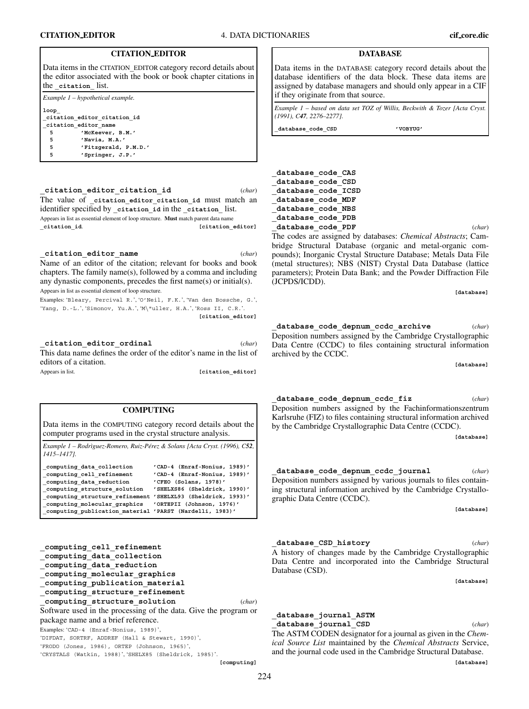## **CITATION EDITOR**

Data items in the CITATION**\_**EDITOR category record details about the editor associated with the book or book chapter citations in the **\_citation\_** list.

*Example 1 – hypothetical example.* **loop\_ \_citation\_editor\_citation\_id \_citation\_editor\_name 5 'McKeever, B.M.' 5 'Navia, M.A.' 5 'Fitzgerald, P.M.D.' 5 'Springer, J.P.'**

**\_citation\_editor\_citation\_id** (*char*) The value of citation editor citation id must match an identifier specified by citation id in the citation list. Appears in list as essential element of loop structure. **Must** match parent data name **\_citation\_id**. **[citation\_editor]**

**\_citation\_editor\_name** (*char*) Name of an editor of the citation; relevant for books and book chapters. The family name(s), followed by a comma and including any dynastic components, precedes the first name(s) or initial(s). Appears in list as essential element of loop structure.

Examples: 'Bleary, Percival R.', 'O'Neil, F.K.', 'Van den Bossche, G.', 'Yang, D.-L.', 'Simonov, Yu.A.', 'M\"uller, H.A.', 'Ross II, C.R.'. **[citation\_editor]**

**\_citation\_editor\_ordinal** (*char*) This data name defines the order of the editor's name in the list of editors of a citation. Appears in list. *Appears* in list.

## **COMPUTING**

Data items in the COMPUTING category record details about the computer programs used in the crystal structure analysis.

*Example 1 – Rodr`ıguez-Romero, Ruiz-Perez & Solans [Acta Cryst. (1996), C ´ 52, 1415–1417].*

**\_computing\_data\_collection 'CAD-4 (Enraf-Nonius, 1989)' \_computing\_cell\_refinement 'CAD-4 (Enraf-Nonius, 1989)' \_computing\_data\_reduction 'CFEO (Solans, 1978)' \_computing\_structure\_solution 'SHELXS86 (Sheldrick, 1990)' \_computing\_structure\_refinement 'SHELXL93 (Sheldrick, 1993)' \_computing\_molecular\_graphics 'ORTEPII (Johnson, 1976)' \_computing\_publication\_material 'PARST (Nardelli, 1983)'**

**\_computing\_cell\_refinement \_computing\_data\_collection \_computing\_data\_reduction \_computing\_molecular\_graphics \_computing\_publication\_material \_computing\_structure\_refinement \_computing\_structure\_solution** (*char*) Software used in the processing of the data. Give the program or package name and a brief reference. Examples: 'CAD-4 (Enraf-Nonius, 1989)', 'DIFDAT, SORTRF, ADDREF (Hall & Stewart, 1990)', 'FRODO (Jones, 1986), ORTEP (Johnson, 1965)', 'CRYSTALS (Watkin, 1988)', 'SHELX85 (Sheldrick, 1985)'.

# **DATABASE**

Data items in the DATABASE category record details about the database identifiers of the data block. These data items are assigned by database managers and should only appear in a CIF if they originate from that source.

*Example 1 – based on data set TOZ of Willis, Beckwith & Tozer [Acta Cryst. (1991), C47, 2276–2277].*

**\_database\_code\_CSD 'VOBYUG'**

| database code CAS  |  |  |  |        |
|--------------------|--|--|--|--------|
| database code CSD  |  |  |  |        |
| database code ICSD |  |  |  |        |
| database code MDF  |  |  |  |        |
| database code NBS  |  |  |  |        |
| database code PDB  |  |  |  |        |
| database code PDF  |  |  |  | (char) |
| $\mathbf{r}$       |  |  |  |        |

The codes are assigned by databases: *Chemical Abstracts*; Cambridge Structural Database (organic and metal-organic compounds); Inorganic Crystal Structure Database; Metals Data File (metal structures); NBS (NIST) Crystal Data Database (lattice parameters); Protein Data Bank; and the Powder Diffraction File (JCPDS/ICDD).

**[database]**

**\_database\_code\_depnum\_ccdc\_archive** (*char*) Deposition numbers assigned by the Cambridge Crystallographic Data Centre (CCDC) to files containing structural information archived by the CCDC.

**[database]**

**\_database\_code\_depnum\_ccdc\_fiz** (*char*)

Deposition numbers assigned by the Fachinformationszentrum Karlsruhe (FIZ) to files containing structural information archived by the Cambridge Crystallographic Data Centre (CCDC).

**[database]**

**\_database\_code\_depnum\_ccdc\_journal** (*char*) Deposition numbers assigned by various journals to files containing structural information archived by the Cambridge Crystallographic Data Centre (CCDC).

**[database]**

**\_database\_CSD\_history** (*char*) A history of changes made by the Cambridge Crystallographic Data Centre and incorporated into the Cambridge Structural Database (CSD).

**[database]**

# **\_database\_journal\_ASTM \_database\_journal\_CSD** (*char*)

The ASTM CODEN designator for a journal as given in the *Chemical Source List* maintained by the *Chemical Abstracts* Service, and the journal code used in the Cambridge Structural Database.

224

**[computing]**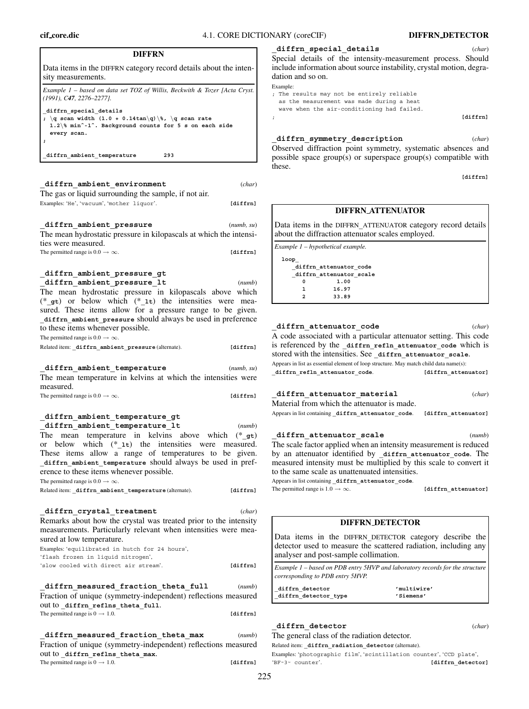| <b>DIFFRN</b>                                                                                                                                                                                                                                                                                                                 |                                 |
|-------------------------------------------------------------------------------------------------------------------------------------------------------------------------------------------------------------------------------------------------------------------------------------------------------------------------------|---------------------------------|
| Data items in the DIFFRN category record details about the inten-<br>sity measurements.                                                                                                                                                                                                                                       |                                 |
| Example 1 – based on data set TOZ of Willis, Beckwith & Tozer [Acta Cryst.<br>(1991), C47, 2276-2277].                                                                                                                                                                                                                        |                                 |
| diffrn special details<br>; $\q$ scan width (1.0 + 0.14tan $\q$ ) $\$ , $\q$ scan rate<br>1.2\% min^-1^. Background counts for 5 s on each side<br>every scan.                                                                                                                                                                |                                 |
| diffrn ambient temperature<br>293                                                                                                                                                                                                                                                                                             |                                 |
|                                                                                                                                                                                                                                                                                                                               |                                 |
| diffrn ambient environment<br>The gas or liquid surrounding the sample, if not air.                                                                                                                                                                                                                                           | (char)                          |
| Examples: 'He', 'vacuum', 'mother liquor'.                                                                                                                                                                                                                                                                                    | [diffrn]                        |
| diffrn ambient pressure                                                                                                                                                                                                                                                                                                       | (numb, su)                      |
| The mean hydrostatic pressure in kilopascals at which the intensi-<br>ties were measured.                                                                                                                                                                                                                                     |                                 |
| The permitted range is $0.0 \rightarrow \infty$ .                                                                                                                                                                                                                                                                             | [diffrn]                        |
| diffrn ambient pressure gt                                                                                                                                                                                                                                                                                                    |                                 |
| diffrn ambient pressure lt<br>The mean hydrostatic pressure in kilopascals above which<br>(*_gt) or below which (*_1t) the intensities were mea-<br>sured. These items allow for a pressure range to be given.<br>diffrn_ambient_pressure should always be used in preference<br>to these items whenever possible.            | (numb)                          |
| The permitted range is $0.0 \rightarrow \infty$ .<br>Related item: diffrn ambient pressure (alternate).                                                                                                                                                                                                                       | [diffrn]                        |
| diffrn ambient temperature<br>The mean temperature in kelvins at which the intensities were                                                                                                                                                                                                                                   | (numb, su)                      |
| measured.<br>The permitted range is $0.0 \rightarrow \infty$ .                                                                                                                                                                                                                                                                | [diffrn]                        |
| diffrn ambient temperature gt<br>diffrn_ambient temperature lt                                                                                                                                                                                                                                                                |                                 |
| temperature in kelvins above which<br>The<br>mean<br>or below which<br>$(* 1t)$ the intensities were<br>These items allow a range of temperatures to be given.<br>_diffrn_ambient_temperature should always be used in pref-<br>erence to these items whenever possible.<br>The permitted range is $0.0 \rightarrow \infty$ . | (numb)<br>$(*$ gt)<br>measured. |
| Related item: diffrn ambient temperature (alternate).                                                                                                                                                                                                                                                                         | [diffrn]                        |
| diffrn crystal treatment<br>Remarks about how the crystal was treated prior to the intensity<br>measurements. Particularly relevant when intensities were mea-<br>sured at low temperature.<br>Examples: 'equilibrated in hutch for 24 hours',<br>'flash frozen in liquid nitrogen',                                          | (char)                          |
| 'slow cooled with direct air stream'.                                                                                                                                                                                                                                                                                         | [diffrn]                        |
| diffrn measured fraction theta full<br>Fraction of unique (symmetry-independent) reflections measured                                                                                                                                                                                                                         | (numb)                          |
| out to diffrn reflns theta full.                                                                                                                                                                                                                                                                                              |                                 |
| The permitted range is $0 \rightarrow 1.0$ .                                                                                                                                                                                                                                                                                  | [diffrn]                        |

**\_diffrn\_measured\_fraction\_theta\_max** (*numb*) Fraction of unique (symmetry-independent) reflections measured out to diffrn reflns theta max. The permitted range is  $0 \rightarrow 1.0$ . **[diffrn]** 

# **\_diffrn\_special\_details** (*char*)

pecial details of the intensity-measurement process. Should clude information about source instability, crystal motion, degradation and so on.

ample:

The results may not be entirely reliable as the measurement was made during a heat

wave when the air-conditioning had failed.

; **[diffrn]**

# **\_diffrn\_symmetry\_description** (*char*)

bserved diffraction point symmetry, systematic absences and possible space group(s) or superspace group(s) compatible with ese.

**[diffrn]**

# **DIFFRN ATTENUATOR**

Data items in the DIFFRN**\_**ATTENUATOR category record details bout the diffraction attenuator scales employed.

*Example 1 – hypothetical example.* **loop\_**

|   | diffrn attenuator code  |
|---|-------------------------|
|   | diffrn attenuator scale |
| n | 1.00                    |
|   | 16.97                   |
|   | 33.89                   |

**\_diffrn\_attenuator\_code** (*char*) code associated with a particular attenuator setting. This code

referenced by the diffrn refln attenuator code which is ored with the intensities. See diffrn attenuator scale. pears in list as essential element of loop structure. May match child data name(s): **\_diffrn\_refln\_attenuator\_code**. **[diffrn\_attenuator]**

#### **\_diffrn\_attenuator\_material** (*char*)

laterial from which the attenuator is made.

Appears in list containing **\_diffrn\_attenuator\_code**. **[diffrn\_attenuator]**

#### **\_diffrn\_attenuator\_scale** (*numb*)

he scale factor applied when an intensity measurement is reduced by an attenuator identified by **\_diffrn\_attenuator\_code**. The measured intensity must be multiplied by this scale to convert it the same scale as unattenuated intensities. Appears in list containing **\_diffrn\_attenuator\_code**.

 $\epsilon$  permitted range is  $1.0 \rightarrow \infty$ . **[diffrn\_attenuator]** 

# **DIFFRN DETECTOR**

Data items in the DIFFRN**\_**DETECTOR category describe the letector used to measure the scattered radiation, including any analyser and post-sample collimation.

*Example 1 – based on PDB entry 5HVP and laboratory records for the structure corresponding to PDB entry 5HVP.*

| diffrn detector      | 'multiwire' |
|----------------------|-------------|
| diffrn detector type | 'Siemens'   |

# **\_diffrn\_detector** (*char*)

The general class of the radiation detector. Related item: **\_diffrn\_radiation\_detector** (alternate).

Examples: 'photographic film', 'scintillation counter', 'CCD plate', 'BF~3~ counter'. **[diffrn detector**]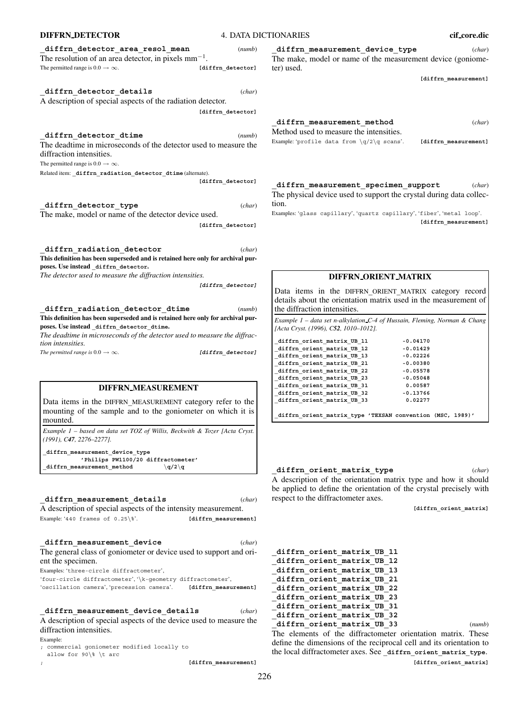| diffrn detector area resol mean                           | (numb)            |
|-----------------------------------------------------------|-------------------|
| The resolution of an area detector, in pixels $mm^{-1}$ . |                   |
| The permitted range is $0.0 \rightarrow \infty$ .         | [diffrn detector] |

**\_diffrn\_detector\_details** (*char*) A description of special aspects of the radiation detector. **[diffrn\_detector]**

**\_diffrn\_detector\_dtime** (*numb*) The deadtime in microseconds of the detector used to measure the diffraction intensities. The permitted range is  $0.0 \rightarrow \infty$ . Related item: **\_diffrn\_radiation\_detector\_dtime** (alternate).

**\_diffrn\_detector\_type** (*char*) The make, model or name of the detector device used.

**\_diffrn\_radiation\_detector** (*char*)

**This definition has been superseded and is retained here only for archival purposes. Use instead \_diffrn\_detector.** *The detector used to measure the diffraction intensities.*

**[diffrn\_detector]**

**[diffrn\_detector]**

**[diffrn\_detector]**

**\_diffrn\_radiation\_detector\_dtime** (*numb*) **This definition has been superseded and is retained here only for archival purposes. Use instead \_diffrn\_detector\_dtime.**

*The deadtime in microseconds of the detector used to measure the diffraction intensities.*

*The permitted range is*  $0.0 \rightarrow \infty$ . **[diffrn** detector]

# **DIFFRN MEASUREMENT**

Data items in the DIFFRN**\_**MEASUREMENT category refer to the mounting of the sample and to the goniometer on which it is mounted.

*Example 1 – based on data set TOZ of Willis, Beckwith & Tozer [Acta Cryst. (1991), C47, 2276–2277].*

**\_diffrn\_measurement\_device\_type 'Philips PW1100/20 diffractometer' \_diffrn\_measurement\_method** \**q/2**\**q**

**\_diffrn\_measurement\_details** (*char*) A description of special aspects of the intensity measurement. Example: '440 frames of  $0.25\$ <sup>2</sup>'. **[diffrn\_measurement]** 

**\_diffrn\_measurement\_device** (*char*) The general class of goniometer or device used to support and orient the specimen.

Examples: 'three-circle diffractometer',

'four-circle diffractometer', '\k-geometry diffractometer', 'oscillation camera', 'precession camera'. **[diffrn\_measurement]**

**\_diffrn\_measurement\_device\_details** (*char*)

A description of special aspects of the device used to measure the diffraction intensities.

Example:

; commercial goniometer modified locally to

allow for 90\% \t arc

; **[diffrn\_measurement]**

**\_diffrn\_measurement\_device\_type** (*char*) The make, model or name of the measurement device (goniometer) used.

**[diffrn\_measurement]**

**\_diffrn\_measurement\_method** (*char*) Method used to measure the intensities. Example: 'profile data from  $\qquad \qquad$   $q/2$  scans'. **[diffrn measurement]** 

**\_diffrn\_measurement\_specimen\_support** (*char*) The physical device used to support the crystal during data collection.

Examples: 'glass capillary', 'quartz capillary', 'fiber', 'metal loop'. **[diffrn\_measurement]**

# **DIFFRN ORIENT MATRIX**

Data items in the DIFFRN**\_**ORIENT**\_**MATRIX category record details about the orientation matrix used in the measurement of the diffraction intensities.

*Example 1 – data set n-alkylation C-4 of Hussain, Fleming, Norman & Chang [Acta Cryst. (1996), C52, 1010–1012].*

**\_diffrn\_orient\_matrix\_UB\_11 -0.04170** diffrn orient matrix UB 12 **\_diffrn\_orient\_matrix\_UB\_13 -0.02226 \_diffrn\_orient\_matrix\_UB\_21 -0.00380 \_diffrn\_orient\_matrix\_UB\_22 -0.05578 \_diffrn\_orient\_matrix\_UB\_23 -0.05048** -<br>diffrn\_orient\_matrix\_UB\_31 0.00587 -<br>diffrn\_orient\_matrix\_UB\_32 -0.13766 **\_diffrn\_orient\_matrix\_UB\_33 0.02277**

**\_diffrn\_orient\_matrix\_type 'TEXSAN convention (MSC, 1989)'**

# **\_diffrn\_orient\_matrix\_type** (*char*)

A description of the orientation matrix type and how it should be applied to define the orientation of the crystal precisely with respect to the diffractometer axes.

**[diffrn\_orient\_matrix]**

| diffrn orient matrix UB 11 |  |
|----------------------------|--|
| diffrn orient matrix UB 12 |  |
| diffrn orient matrix UB 13 |  |
| diffrn orient matrix UB 21 |  |
| diffrn orient matrix UB 22 |  |
| diffrn orient matrix UB 23 |  |
| diffrn orient matrix UB 31 |  |
| diffrn orient matrix UB 32 |  |
| diffrn orient matrix UB 33 |  |

The elements of the diffractometer orientation matrix. These define the dimensions of the reciprocal cell and its orientation to the local diffractometer axes. See diffrn orient matrix type.

**[diffrn\_orient\_matrix]**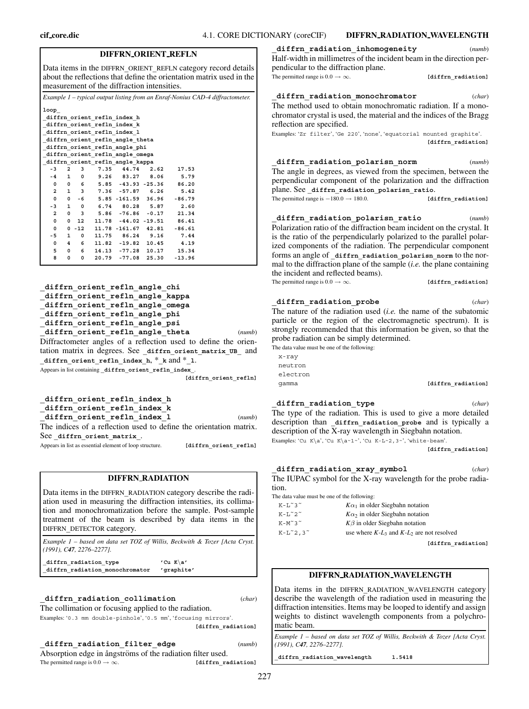# **DIFFRN ORIENT REFLN**

Data items in the DIFFRN**\_**ORIENT**\_**REFLN category record details about the reflections that define the orientation matrix used in the measurement of the diffraction intensities.

*Example 1 – typical output listing from an Enraf-Nonius CAD-4 diffractometer.*

| loop                        |                         |                |  |                                 |  |                                       |  |  |
|-----------------------------|-------------------------|----------------|--|---------------------------------|--|---------------------------------------|--|--|
| diffrn orient refln index h |                         |                |  |                                 |  |                                       |  |  |
| diffrn orient refln index k |                         |                |  |                                 |  |                                       |  |  |
|                             |                         |                |  | diffrn orient refln index 1     |  |                                       |  |  |
|                             |                         |                |  | diffrn orient refln angle theta |  |                                       |  |  |
|                             |                         |                |  | diffrn orient refln angle phi   |  |                                       |  |  |
|                             |                         |                |  | diffrn orient refln angle omega |  |                                       |  |  |
|                             |                         |                |  | diffrn orient refln angle kappa |  |                                       |  |  |
| $-3$                        |                         |                |  | 2 3 7.35 44.74 2.62             |  | 17.53                                 |  |  |
|                             |                         |                |  |                                 |  | $-4$ 1 0 9.26 83.27 8.06 5.79         |  |  |
| $\mathbf{0}$                | $\overline{\mathbf{0}}$ |                |  | $6$ 5.85 -43.93 -25.36          |  | 86.20                                 |  |  |
| $\mathbf{2}$                | 1                       |                |  |                                 |  | 3 7.36 -57.87 6.26 5.42               |  |  |
| $\mathbf 0$                 | 0                       |                |  |                                 |  | $-6$ 5.85 -161.59 36.96 -86.79        |  |  |
| -3                          | $\mathbf{1}$            |                |  | $0$ 6.74 80.28 5.87             |  | 2.60                                  |  |  |
| $\overline{a}$              | 0                       |                |  |                                 |  | 3 5.86 -76.86 -0.17 21.34             |  |  |
| 0                           | 0                       |                |  |                                 |  | 12 11.78 -44.02 -19.51 86.41          |  |  |
| 0                           |                         |                |  |                                 |  | $0 - 12$ 11.78 - 161.67 42.81 - 86.61 |  |  |
| -5                          | $\mathbf{1}$            | $\overline{0}$ |  | 11.75 86.24 9.16                |  | 7.44                                  |  |  |
| 0                           | 4                       | 6 <sup>6</sup> |  |                                 |  | 11.82 -19.82 10.45 4.19               |  |  |
| 5                           | 0                       | $6^{\circ}$    |  |                                 |  | 14.13 -77.28 10.17 15.34              |  |  |
| 8                           | 0                       | 0              |  | 20.79 -77.08 25.30              |  | $-13.96$                              |  |  |
|                             |                         |                |  |                                 |  |                                       |  |  |

```
_diffrn_orient_refln_angle_chi
_diffrn_orient_refln_angle_kappa
_diffrn_orient_refln_angle_omega
_diffrn_orient_refln_angle_phi
_diffrn_orient_refln_angle_psi
_diffrn_orient_refln_angle_theta (numb)
```
Diffractometer angles of a reflection used to define the orientation matrix in degrees. See diffrn orient matrix UB and **\_diffrn\_orient\_refln\_index\_h**, \***\_k** and \***\_l**. Appears in list containing **\_diffrn\_orient\_refln\_index\_**.

**[diffrn\_orient\_refln]**

**\_diffrn\_orient\_refln\_index\_h \_diffrn\_orient\_refln\_index\_k \_diffrn\_orient\_refln\_index\_l** (*numb*) The indices of a reflection used to define the orientation matrix. See **\_diffrn\_orient\_matrix\_**. Appears in list as essential element of loop structure. **[diffrn orient refln]** 

# **DIFFRN RADIATION**

Data items in the DIFFRN**\_**RADIATION category describe the radiation used in measuring the diffraction intensities, its collimation and monochromatization before the sample. Post-sample treatment of the beam is described by data items in the DIFFRN**\_**DETECTOR category.

*Example 1 – based on data set TOZ of Willis, Beckwith & Tozer [Acta Cryst. (1991), C47, 2276–2277].*

**\_diffrn\_radiation\_type 'Cu K**\**a' \_diffrn\_radiation\_monochromator 'graphite'**

**\_diffrn\_radiation\_collimation** (*char*)

The collimation or focusing applied to the radiation.

Examples: '0.3 mm double-pinhole', '0.5 mm', 'focusing mirrors'. **[diffrn\_radiation]**

**\_diffrn\_radiation\_filter\_edge** (*numb*)

Absorption edge in angstroms of the radiation filter used. The permitted range is  $0.0 \rightarrow \infty$ . **[diffrn\_radiation**]

**\_diffrn\_radiation\_inhomogeneity** (*numb*) Half-width in millimetres of the incident beam in the direction perpendicular to the diffraction plane. The permitted range is  $0.0 \rightarrow \infty$ . **[diffrn** radiation]

**\_diffrn\_radiation\_monochromator** (*char*) The method used to obtain monochromatic radiation. If a monochromator crystal is used, the material and the indices of the Bragg reflection are specified.

Examples: 'Zr filter', 'Ge 220', 'none', 'equatorial mounted graphite'. **[diffrn\_radiation]**

# **\_diffrn\_radiation\_polarisn\_norm** (*numb*)

The angle in degrees, as viewed from the specimen, between the perpendicular component of the polarization and the diffraction plane. See **\_diffrn\_radiation\_polarisn\_ratio**. The permitted range is  $-180.0 \rightarrow 180.0$ . **[diffrn radiation]** 

**\_diffrn\_radiation\_polarisn\_ratio** (*numb*) Polarization ratio of the diffraction beam incident on the crystal. It is the ratio of the perpendicularly polarized to the parallel polarized components of the radiation. The perpendicular component forms an angle of diffrn radiation polarisn norm to the normal to the diffraction plane of the sample (*i.e.* the plane containing the incident and reflected beams). The permitted range is  $0.0 \rightarrow \infty$ . **[diffrn** radiation]

# **\_diffrn\_radiation\_probe** (*char*)

The nature of the radiation used (*i.e.* the name of the subatomic particle or the region of the electromagnetic spectrum). It is strongly recommended that this information be given, so that the probe radiation can be simply determined.

The data value must be one of the following:

x-ray neutron electron

### gamma **[diffrn\_radiation]**

# **\_diffrn\_radiation\_type** (*char*)

The type of the radiation. This is used to give a more detailed description than diffrn radiation probe and is typically a description of the X-ray wavelength in Siegbahn notation. Examples: 'Cu K\a', 'Cu K\a˜1˜', 'Cu K-L˜2,3˜', 'white-beam'.

**[diffrn\_radiation]**

**\_diffrn\_radiation\_xray\_symbol** (*char*) The IUPAC symbol for the X-ray wavelength for the probe radiation.

The data value must be one of the following:

| $K-L^3$ <sup>~</sup> | $K\alpha_1$ in older Siegbahn notation         |
|----------------------|------------------------------------------------|
| $K-L^2$ <sup>~</sup> | $K\alpha_2$ in older Siegbahn notation         |
| $K-M^{\sim}3^{\sim}$ | $K\beta$ in older Siegbahn notation            |
| $K-L^2,3^{\sim}$     | use where $K-L_3$ and $K-L_2$ are not resolved |
|                      |                                                |

**[diffrn\_radiation]**

# **DIFFRN RADIATION WAVELENGTH**

Data items in the DIFFRN**\_**RADIATION**\_**WAVELENGTH category describe the wavelength of the radiation used in measuring the diffraction intensities. Items may be looped to identify and assign weights to distinct wavelength components from a polychromatic beam.

*Example 1 – based on data set TOZ of Willis, Beckwith & Tozer [Acta Cryst. (1991), C47, 2276–2277].*

**\_diffrn\_radiation\_wavelength 1.5418**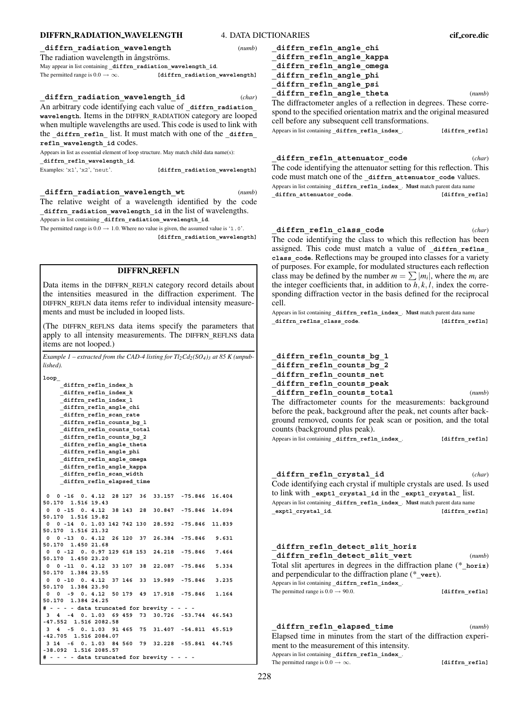# **DIFFRN RADIATION WAVELENGTH** 4. DATA DICTIONARIES **cif core.dic**

# **\_diffrn\_radiation\_wavelength** (*numb*)

The radiation wavelength in ångströms.

May appear in list containing **\_diffrn\_radiation\_wavelength\_id**. The permitted range is  $0.0 \rightarrow \infty$ . **[diffrn\_radiation\_wavelength]** 

**\_diffrn\_radiation\_wavelength\_id** (*char*) An arbitrary code identifying each value of diffrn radiation **wavelength**. Items in the DIFFRN**\_**RADIATION category are looped when multiple wavelengths are used. This code is used to link with the **diffrn** refln list. It must match with one of the **diffrn refln\_wavelength\_id** codes.

Appears in list as essential element of loop structure. May match child data name(s):

**\_diffrn\_refln\_wavelength\_id**.

Examples: 'x1', 'x2', 'neut'. **[diffrn\_radiation\_wavelength]** 

**\_diffrn\_radiation\_wavelength\_wt** (*numb*) The relative weight of a wavelength identified by the code **\_diffrn\_radiation\_wavelength\_id** in the list of wavelengths. Appears in list containing **\_diffrn\_radiation\_wavelength\_id**.

The permitted range is  $0.0 \rightarrow 1.0$ . Where no value is given, the assumed value is '1.0'. **[diffrn\_radiation\_wavelength]**

# **DIFFRN REFLN**

Data items in the DIFFRN**\_**REFLN category record details about the intensities measured in the diffraction experiment. The DIFFRN**\_**REFLN data items refer to individual intensity measurements and must be included in looped lists.

(The DIFFRN REFLNS data items specify the parameters that apply to all intensity measurements. The DIFFRN REFLNS data items are not looped.)

*Example 1 – extracted from the CAD-4 listing for*  $Tl_2Cd_2(SO_4)_3$  *at 85 K (unpublished).*

| $\mathtt{loop}_{-}$                                             |                      |  |                          |        |  |  |  |  |  |
|-----------------------------------------------------------------|----------------------|--|--------------------------|--------|--|--|--|--|--|
| diffrn refln index h                                            |                      |  |                          |        |  |  |  |  |  |
| diffrn refln index k                                            |                      |  |                          |        |  |  |  |  |  |
|                                                                 | diffrn refln index 1 |  |                          |        |  |  |  |  |  |
| _diffrn_refln_angle_chi                                         |                      |  |                          |        |  |  |  |  |  |
| $\_diffrn\_refln\_scan\_rate$                                   |                      |  |                          |        |  |  |  |  |  |
| _diffrn_refln_counts_bg 1                                       |                      |  |                          |        |  |  |  |  |  |
| $\_diffrn\_refln\_counts\_total$                                |                      |  |                          |        |  |  |  |  |  |
| ${\tt diffrn\_refln\_counts\_bg\_2}$                            |                      |  |                          |        |  |  |  |  |  |
| $\_diffrn\_refln\_angle\_theta$                                 |                      |  |                          |        |  |  |  |  |  |
| $\_diffrn\_refln\_angle\_phi$                                   |                      |  |                          |        |  |  |  |  |  |
| $\_diffrn\_refln\_angle\_omega$                                 |                      |  |                          |        |  |  |  |  |  |
| ${\tt diffrn\_refln\_angle\_kappa}$                             |                      |  |                          |        |  |  |  |  |  |
| ${\it \_diffrn\_refln\_scan\_width}$                            |                      |  |                          |        |  |  |  |  |  |
| diffrn refln elapsed time                                       |                      |  |                          |        |  |  |  |  |  |
|                                                                 |                      |  |                          |        |  |  |  |  |  |
| 0 0 -16 0. 4.12 28 127 36 33.157 -75.846 16.404                 |                      |  |                          |        |  |  |  |  |  |
| 50.170 1.516 19.43                                              |                      |  |                          |        |  |  |  |  |  |
| $0 \t 0 \t -15 \t 0 \t 4 \t 12 \t 38 \t 143$                    |                      |  | 28 30.847 -75.846        | 14.094 |  |  |  |  |  |
| 50.170 1.516 19.82                                              |                      |  |                          |        |  |  |  |  |  |
| 0 -14 0. 1.03 142 742 130 28.592 -75.846 11.839<br>$\Omega$     |                      |  |                          |        |  |  |  |  |  |
| 50.170 1.516 21.32                                              |                      |  |                          |        |  |  |  |  |  |
| 0 0 -13 0. 4.12 26 120 37 26.384 -75.846 9.631                  |                      |  |                          |        |  |  |  |  |  |
| 50.170 1.450 21.68                                              |                      |  |                          |        |  |  |  |  |  |
| 0 0 -12 0.0.97 129 618 153 24.218 -75.846<br>50.170 1.450 23.20 |                      |  |                          | 7.464  |  |  |  |  |  |
| $0 \t 0 \t -11 \t 0 \t 4 \t 12 \t 33 \t 107$                    |                      |  | 38 22.087 - 75.846 5.334 |        |  |  |  |  |  |
| 50.170 1.384 23.55                                              |                      |  |                          |        |  |  |  |  |  |
| $0 \quad 0 \quad -10 \quad 0.4.12 \quad 37 \quad 146$           | 33                   |  | 19.989 -75.846           | 3.235  |  |  |  |  |  |
| 50.170 1.384 23.90                                              |                      |  |                          |        |  |  |  |  |  |
| $0 \t 0 \t -9 \t 0.4.12 \t 50 \t 179$                           | 49                   |  | 17.918 -75.846           | 1.164  |  |  |  |  |  |
| 50.170 1.384 24.25                                              |                      |  |                          |        |  |  |  |  |  |
| # - - - - data truncated for brevity - - -                      |                      |  |                          |        |  |  |  |  |  |
| 3 4 -4 0.1.03 69 459 73 30.726 -53.744 46.543                   |                      |  |                          |        |  |  |  |  |  |
| $-47.552$ 1.516 2082.58                                         |                      |  |                          |        |  |  |  |  |  |
| 3 4 -5 0.1.03 91 465 75 31.407 -54.811 45.519                   |                      |  |                          |        |  |  |  |  |  |
| $-42.705$ 1.516 2084.07                                         |                      |  |                          |        |  |  |  |  |  |
| 3 14 -6 0. 1.03 84 560 79 32.228 -55.841 44.745                 |                      |  |                          |        |  |  |  |  |  |
| -38.092 1.516 2085.57                                           |                      |  |                          |        |  |  |  |  |  |
| # - - - - data truncated for brevity -                          |                      |  |                          |        |  |  |  |  |  |

| diffrn refln angle chi                                              |        |
|---------------------------------------------------------------------|--------|
| diffrn refln angle kappa                                            |        |
| diffrn refln angle omega                                            |        |
| diffrn refln angle phi                                              |        |
| diffrn refln angle psi                                              |        |
| diffrn refln angle theta                                            | (numb) |
| The diffractometer angles of a reflection in degrees. These corre-  |        |
| epend to the epecified orientation matrix and the original measured |        |

spond to the specified orientation matrix and the original measured cell before any subsequent cell transformations.

Appears in list containing **\_diffrn\_refln\_index\_**. **[diffrn\_refln]**

**\_diffrn\_refln\_attenuator\_code** (*char*) The code identifying the attenuator setting for this reflection. This code must match one of the diffrn attenuator code values. Appears in list containing **\_diffrn\_refln\_index\_**. **Must** match parent data name **\_diffrn\_attenuator\_code**. **[diffrn\_refln]**

# **\_diffrn\_refln\_class\_code** (*char*)

cell.

The code identifying the class to which this reflection has been assigned. This code must match a value of diffrn reflns **class\_code**. Reflections may be grouped into classes for a variety of purposes. For example, for modulated structures each reflection class may be defined by the number  $m = \sum |m_i|$ , where the  $m_i$  are the integer coefficients that, in addition to  $h, k, l$ , index the corresponding diffraction vector in the basis defined for the reciprocal

Appears in list containing **\_diffrn\_refln\_index\_**. **Must** match parent data name **\_diffrn\_reflns\_class\_code**. **[diffrn\_refln]**

```
_diffrn_refln_counts_bg_1
_diffrn_refln_counts_bg_2
_diffrn_refln_counts_net
_diffrn_refln_counts_peak
_diffrn_refln_counts_total (numb)
```
The diffractometer counts for the measurements: background before the peak, background after the peak, net counts after background removed, counts for peak scan or position, and the total counts (background plus peak). Appears in list containing **\_diffrn\_refln\_index\_**. **[diffrn\_refln]**

**\_diffrn\_refln\_crystal\_id** (*char*) Code identifying each crystal if multiple crystals are used. Is used to link with **\_exptl\_crystal\_id** in the **\_exptl\_crystal\_** list. Appears in list containing **\_diffrn\_refln\_index\_**. **Must** match parent data name **\_exptl\_crystal\_id**. **[diffrn\_refln]**

# **\_diffrn\_refln\_detect\_slit\_horiz**

**\_diffrn\_refln\_detect\_slit\_vert** (*numb*) Total slit apertures in degrees in the diffraction plane (\***\_horiz**) and perpendicular to the diffraction plane (\***\_vert**). Appears in list containing **\_diffrn\_refln\_index\_**. The permitted range is  $0.0 \rightarrow 90.0$ . **[diffrn** refln]

# **\_diffrn\_refln\_elapsed\_time** (*numb*)

Elapsed time in minutes from the start of the diffraction experiment to the measurement of this intensity.

Appears in list containing **\_diffrn\_refln\_index\_**. The permitted range is  $0.0 \rightarrow \infty$ . **[diffrn\_refln]**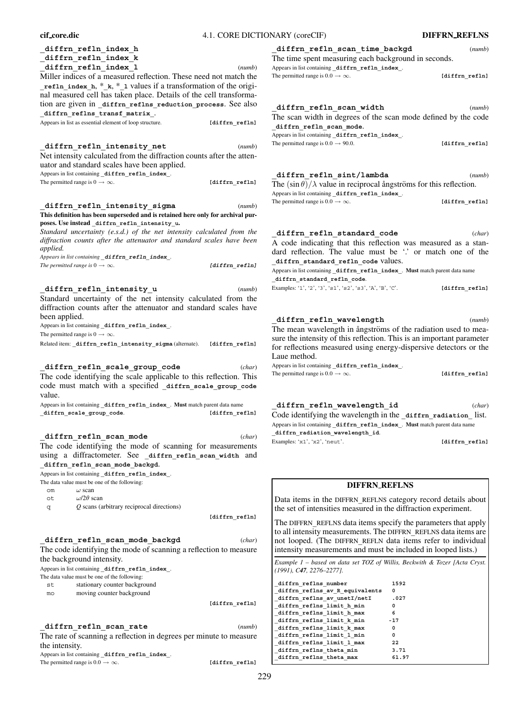#### **\_diffrn\_refln\_index\_h \_diffrn\_refln\_index\_k \_diffrn\_refln\_index\_l** (*numb*) Miller indices of a measured reflection. These need not match the **\_refln\_index\_h**, \***\_k**, \***\_l** values if a transformation of the original measured cell has taken place. Details of the cell transformation are given in **\_diffrn\_reflns\_reduction\_process**. See also **\_diffrn\_reflns\_transf\_matrix\_**. Appears in list as essential element of loop structure. **[diffrn** refln] **\_diffrn\_refln\_intensity\_net** (*numb*) Net intensity calculated from the diffraction counts after the attenuator and standard scales have been applied. Appears in list containing **\_diffrn\_refln\_index\_**. The permitted range is  $0 \rightarrow \infty$ . **[diffrn** refln] **\_diffrn\_refln\_intensity\_sigma** (*numb*) **This definition has been superseded and is retained here only for archival purposes. Use instead \_diffrn\_refln\_intensity\_u.** *Standard uncertainty (e.s.d.) of the net intensity calculated from the diffraction counts after the attenuator and standard scales have been applied. Appears in list containing* **\_diffrn\_refln\_index\_***. The permitted range is*  $0 \rightarrow \infty$ . **[diffrn refln] \_diffrn\_refln\_intensity\_u** (*numb*) Standard uncertainty of the net intensity calculated from the diffraction counts after the attenuator and standard scales have been applied. Appears in list containing diffrn refln index. The permitted range is  $0 \rightarrow \infty$ . Related item: **\_diffrn\_refln\_intensity\_sigma** (alternate). **[diffrn\_refln] \_diffrn\_refln\_scale\_group\_code** (*char*) The code identifying the scale applicable to this reflection. This code must match with a specified **\_diffrn\_scale\_group\_code** value. Appears in list containing diffrn refln index . Must match parent data name **\_diffrn\_scale\_group\_code**. **[diffrn\_refln] \_diffrn\_refln\_scan\_mode** (*char*) The code identifying the mode of scanning for measurements using a diffractometer. See diffrn refln scan width and **\_diffrn\_refln\_scan\_mode\_backgd**. Appears in list containing **\_diffrn\_refln\_index\_**. The data value must be one of the following: om ω scan ot  $\omega/2\theta$  scan q *Q* scans (arbitrary reciprocal directions) **[diffrn\_refln] \_diffrn\_refln\_scan\_mode\_backgd** (*char*) The code identifying the mode of scanning a reflection to measure the background intensity. Appears in list containing **\_diffrn\_refln\_index\_**. The data value must be one of the following: st stationary counter background mo moving counter background **[diffrn\_refln] \_diffrn\_refln\_scan\_rate** (*numb*) The rate of scanning a reflection in degrees per minute to measure the intensity. Appears in list containing **\_diffrn\_refln\_index\_**. **\_diffrn\_refln\_scan\_time\_backgd** (*numb*) The time spent measuring each background in seconds. Appears in list containing **\_diffrn\_refln\_index\_**. The permitted range is  $0.0 \rightarrow \infty$ . **[diffrn** refln] **\_diffrn\_refln\_scan\_width** (*numb*) The scan width in degrees of the scan mode defined by the code **\_diffrn\_refln\_scan\_mode**. Appears in list containing **\_diffrn\_refln\_index\_**. The permitted range is  $0.0 \rightarrow 90.0$ . **[diffrn\_refln] \_diffrn\_refln\_sint/lambda** (*numb*) The  $(\sin \theta)/\lambda$  value in reciprocal angströms for this reflection. Appears in list containing **\_diffrn\_refln\_index\_**. The permitted range is  $0.0 \rightarrow \infty$ . **[diffrn** refln] **\_diffrn\_refln\_standard\_code** (*char*) A code indicating that this reflection was measured as a standard reflection. The value must be '.' or match one of the **\_diffrn\_standard\_refln\_code** values. Appears in list containing **\_diffrn\_refln\_index\_**. **Must** match parent data name **\_diffrn\_standard\_refln\_code**. Examples: '1', '2', '3', 's1', 's2', 's3', 'A', 'B', 'C'. **[diffrn\_refln] \_diffrn\_refln\_wavelength** (*numb*) The mean wavelength in ångströms of the radiation used to measure the intensity of this reflection. This is an important parameter for reflections measured using energy-dispersive detectors or the Laue method. Appears in list containing **\_diffrn\_refln\_index\_**. The permitted range is  $0.0 \rightarrow \infty$ . **[diffrn\_refln] \_diffrn\_refln\_wavelength\_id** (*char*) Code identifying the wavelength in the **\_diffrn\_radiation\_** list. Appears in list containing **\_diffrn\_refln\_index\_**. **Must** match parent data name **\_diffrn\_radiation\_wavelength\_id**. Examples: 'x1', 'x2', 'neut'. **[diffrn refln] DIFFRN REFLNS** Data items in the DIFFRN**\_**REFLNS category record details about the set of intensities measured in the diffraction experiment. The DIFFRN REFLNS data items specify the parameters that apply to all intensity measurements. The DIFFRN**\_**REFLNS data items are not looped. (The DIFFRN**\_**REFLN data items refer to individual intensity measurements and must be included in looped lists.) *Example 1 – based on data set TOZ of Willis, Beckwith & Tozer [Acta Cryst. (1991), C47, 2276–2277].* **\_diffrn\_reflns\_number 1592 \_diffrn\_reflns\_av\_R\_equivalents 0** diffrn\_reflns\_av\_unetI/netI .027 **\_diffrn\_reflns\_limit\_h\_min 0 \_diffrn\_reflns\_limit\_h\_max 6 \_diffrn\_reflns\_limit\_k\_min -17 \_diffrn\_reflns\_limit\_k\_max 0 \_diffrn\_reflns\_limit\_l\_min 0 \_diffrn\_reflns\_limit\_l\_max 22 \_diffrn\_reflns\_theta\_min 3.71 \_diffrn\_reflns\_theta\_max 61.97**

**cif core.dic** 4.1. CORE DICTIONARY (coreCIF) **DIFFRN REFLNS**

The permitted range is  $0.0 \rightarrow \infty$ . **[diffrn\_refln]**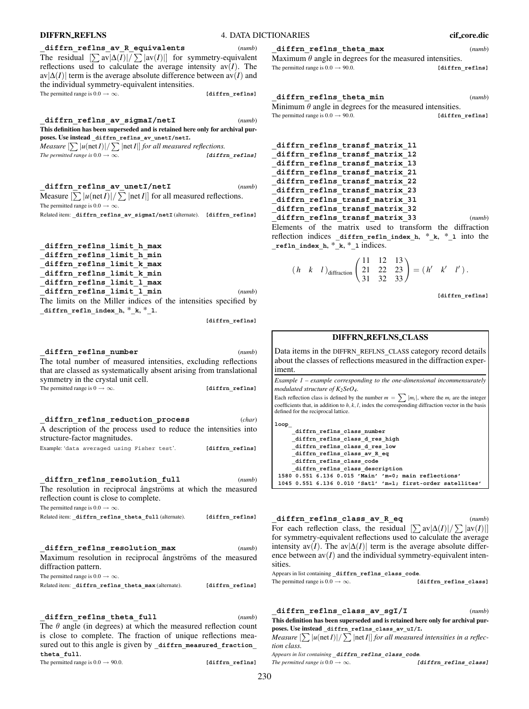**DIFFRN REFLNS** 4. DATA DICTIONARIES **cif core.dic**

**\_diffrn\_reflns\_av\_R\_equivalents** (*numb*) The residual  $[\sum av|\Delta(I)|/\sum |av(I)|]$  for symmetry-equivalent reflections used to calculate the average intensity  $av(I)$ . The  $av|\Delta(I)|$  term is the average absolute difference between  $av(I)$  and the individual symmetry-equivalent intensities. The permitted range is  $0.0 \rightarrow \infty$ . **[diffrn\_reflns]** 

**\_diffrn\_reflns\_av\_sigmaI/netI** (*numb*) **This definition has been superseded and is retained here only for archival purposes. Use instead \_diffrn\_reflns\_av\_unetI/netI.** *Measure*  $\sum |u(\text{net } I)| / \sum |\text{net } I|$  *for all measured reflections. The permitted range is*  $0.0 \rightarrow \infty$ *.* **[diffrn\_reflns]** 

**\_diffrn\_reflns\_av\_unetI/netI** (*numb*) Measure  $\sum |u(\text{net } I)| / \sum |\text{net } I|$  for all measured reflections. The permitted range is  $0.0 \rightarrow \infty$ . Related item: **\_diffrn\_reflns\_av\_sigmaI/netI** (alternate). **[diffrn\_reflns]**

**\_diffrn\_reflns\_limit\_h\_max \_diffrn\_reflns\_limit\_h\_min \_diffrn\_reflns\_limit\_k\_max \_diffrn\_reflns\_limit\_k\_min \_diffrn\_reflns\_limit\_l\_max \_diffrn\_reflns\_limit\_l\_min** (*numb*) The limits on the Miller indices of the intensities specified by **\_diffrn\_refln\_index\_h**, \***\_k**, \***\_l**.

**[diffrn\_reflns]**

**\_diffrn\_reflns\_number** (*numb*) The total number of measured intensities, excluding reflections that are classed as systematically absent arising from translational symmetry in the crystal unit cell. The permitted range is  $0 \to \infty$ . **[diffrn\_reflns] \_diffrn\_reflns\_reduction\_process** (*char*) A description of the process used to reduce the intensities into structure-factor magnitudes. Example: 'data averaged using Fisher test'. **[diffrn\_reflns] \_diffrn\_reflns\_resolution\_full** (*numb*) The resolution in reciprocal ångströms at which the measured reflection count is close to complete.

The permitted range is  $0.0 \rightarrow \infty$ .

Related item: **\_diffrn\_reflns\_theta\_full** (alternate). **[diffrn\_reflns]**

**\_diffrn\_reflns\_resolution\_max** (*numb*) Maximum resolution in reciprocal ångströms of the measured diffraction pattern. The permitted range is  $0.0 \rightarrow \infty$ .

Related item: **\_diffrn\_reflns\_theta\_max** (alternate). **[diffrn\_reflns]**

**\_diffrn\_reflns\_theta\_full** (*numb*)

The  $\theta$  angle (in degrees) at which the measured reflection count is close to complete. The fraction of unique reflections measured out to this angle is given by diffrn measured fraction **theta\_full**. The permitted range is  $0.0 \rightarrow 90.0$ . **[diffrn reflns]** 

**\_diffrn\_reflns\_theta\_max** (*numb*) Maximum  $\theta$  angle in degrees for the measured intensities. The permitted range is  $0.0 \rightarrow 90.0$ . **[diffrn\_reflns]** 

**\_diffrn\_reflns\_theta\_min** (*numb*)

Minimum  $\theta$  angle in degrees for the measured intensities. The permitted range is  $0.0 \rightarrow 90.0$ . **[diffrn** reflns]

**\_diffrn\_reflns\_transf\_matrix\_11 \_diffrn\_reflns\_transf\_matrix\_12 \_diffrn\_reflns\_transf\_matrix\_13 \_diffrn\_reflns\_transf\_matrix\_21 \_diffrn\_reflns\_transf\_matrix\_22 \_diffrn\_reflns\_transf\_matrix\_23 \_diffrn\_reflns\_transf\_matrix\_31 \_diffrn\_reflns\_transf\_matrix\_32 \_diffrn\_reflns\_transf\_matrix\_33** (*numb*)

Elements of the matrix used to transform the diffraction reflection indices **\_diffrn\_refln\_index\_h**, \***\_k**, \***\_l** into the refln index h,  $*$  k,  $*$  1 indices.

$$
(h \quad k \quad l)
$$
<sub>diffraction</sub>  $\begin{pmatrix} 11 & 12 & 13 \\ 21 & 22 & 23 \\ 31 & 32 & 33 \end{pmatrix} = (h' \quad k' \quad l').$ 

**[diffrn\_reflns]**

# **DIFFRN REFLNS CLASS**

Data items in the DIFFRN**\_**REFLNS**\_**CLASS category record details about the classes of reflections measured in the diffraction experiment.

*Example 1 – example corresponding to the one-dimensional incommensurately modulated structure of K2SeO4.* Each reflection class is defined by the number  $m = \sum |m_i|$ , where the  $m_i$  are the integer

coefficients that, in addition to  $h, k, l$ , index the corresponding diffraction vector in the basis defined for the reciprocal lattice.

**loop\_**

```
_diffrn_reflns_class_number
     _diffrn_reflns_class_d_res_high
    _diffrn_reflns_class_d_res_low
    _diffrn_reflns_class_av_R_eq
    _diffrn_reflns_class_code
     _diffrn_reflns_class_description
1580 0.551 6.136 0.015 'Main' 'm=0; main reflections'
1045 0.551 6.136 0.010 'Sat1' 'm=1; first-order satellites'
```
**\_diffrn\_reflns\_class\_av\_R\_eq** (*numb*) For each reflection class, the residual  $[\sum av|\Delta(I)|/\sum |av(I)|]$ for symmetry-equivalent reflections used to calculate the average intensity av(*I*). The av $|\Delta(I)|$  term is the average absolute difference between  $av(I)$  and the individual symmetry-equivalent intensities.

Appears in list containing **\_diffrn\_reflns\_class\_code**. The permitted range is  $0.0 \rightarrow \infty$ . **[diffrn\_reflns\_class]** 

# **\_diffrn\_reflns\_class\_av\_sgI/I** (*numb*)

**This definition has been superseded and is retained here only for archival purposes. Use instead \_diffrn\_reflns\_class\_av\_uI/I.**

 $\mathit{Measure}\left[\sum |u(\text{net } I)| / \sum |\text{net } I|\right]$  *for all measured intensities in a reflection class.*

*Appears in list containing* **\_diffrn\_reflns\_class\_code***. The permitted range is*  $0.0 \rightarrow \infty$ . **[diffrn\_reflns\_class]**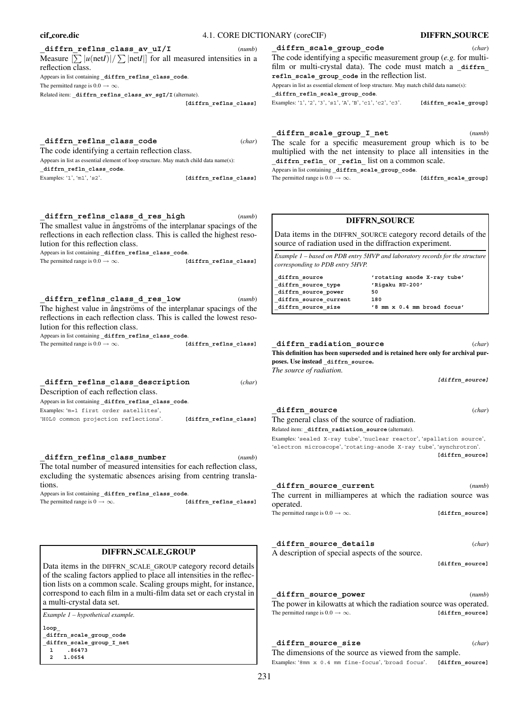**cif core.dic** 4.1. CORE DICTIONARY (coreCIF) **DIFFRN SOURCE**

| diffrn reflns class av uI/I                                                              | (numb) |
|------------------------------------------------------------------------------------------|--------|
| Measure $[\sum  u(\text{net}I)  / \sum  \text{net}I ]$ for all measured intensities in a |        |
| reflection class.                                                                        |        |
| Appears in list containing diffrn reflns class code.                                     |        |
| The permitted range is $0.0 \rightarrow \infty$ .                                        |        |
| Related item: diffrn reflns class av sgI/I (alternate).                                  |        |

**[diffrn\_reflns\_class]**

# **\_diffrn\_reflns\_class\_code** (*char*) The code identifying a certain reflection class.

Appears in list as essential element of loop structure. May match child data name(s): **\_diffrn\_refln\_class\_code**.

| Examples: ' $1'$ , ' $m1'$ , ' $s2'$ . |  |  | [diffrn reflns class] |  |
|----------------------------------------|--|--|-----------------------|--|
|                                        |  |  |                       |  |

**\_diffrn\_reflns\_class\_d\_res\_high** (*numb*) The smallest value in angströms of the interplanar spacings of the reflections in each reflection class. This is called the highest resolution for this reflection class.

Appears in list containing **\_diffrn\_reflns\_class\_code**.

| The permitted range is $0.0 \rightarrow \infty$ . | [diffrn reflns class] |
|---------------------------------------------------|-----------------------|
|                                                   |                       |
|                                                   |                       |

**\_diffrn\_reflns\_class\_d\_res\_low** (*numb*) The highest value in ångströms of the interplanar spacings of the reflections in each reflection class. This is called the lowest resolution for this reflection class.

Appears in list containing **\_diffrn\_reflns\_class\_code**.

The permitted range is  $0.0 \rightarrow \infty$ . **[diffrn\_reflns\_class**]

**\_diffrn\_reflns\_class\_description** (*char*) Description of each reflection class. Appears in list containing **\_diffrn\_reflns\_class\_code**. Examples: 'm=1 first order satellites', 'H0L0 common projection reflections'. **[diffrn\_reflns\_class]**

**\_diffrn\_reflns\_class\_number** (*numb*) The total number of measured intensities for each reflection class, excluding the systematic absences arising from centring translations.

Appears in list containing **\_diffrn\_reflns\_class\_code**.

The permitted range is  $0 \rightarrow \infty$ . **[diffrn** reflns class]

# **DIFFRN SCALE GROUP**

Data items in the DIFFRN**\_**SCALE**\_**GROUP category record details of the scaling factors applied to place all intensities in the reflection lists on a common scale. Scaling groups might, for instance, correspond to each film in a multi-film data set or each crystal in a multi-crystal data set.

*Example 1 – hypothetical example.* **loop\_**

**\_diffrn\_scale\_group\_code \_diffrn\_scale\_group\_I\_net 1 .86473 2 1.0654**

**\_diffrn\_scale\_group\_code** (*char*) The code identifying a specific measurement group (*e.g.* for multifilm or multi-crystal data). The code must match a diffrn **refln\_scale\_group\_code** in the reflection list. Appears in list as essential element of loop structure. May match child data name(s): **\_diffrn\_refln\_scale\_group\_code**.

Examples: '1', '2', '3', 's1', 'A', 'B', 'c1', 'c2', 'c3'. **[diffrn\_scale\_group]**

**\_diffrn\_scale\_group\_I\_net** (*numb*) The scale for a specific measurement group which is to be multiplied with the net intensity to place all intensities in the **\_diffrn\_refln\_** or **\_refln\_** list on a common scale. Appears in list containing **\_diffrn\_scale\_group\_code**.  $\text{The permitted range is } 0.0 \rightarrow \infty. \hspace{2cm} \text{[diffrn\_scale\_group]}$ 

# **DIFFRN SOURCE**

Data items in the DIFFRN**\_**SOURCE category record details of the source of radiation used in the diffraction experiment.

*Example 1 – based on PDB entry 5HVP and laboratory records for the structure corresponding to PDB entry 5HVP.*

| diffrn source         | 'rotating anode X-ray tube' |
|-----------------------|-----------------------------|
| diffrn source type    | 'Rigaku RU-200'             |
| diffrn source power   | 50                          |
| diffrn source current | 180                         |
| diffrn source size    | '8 mm x 0.4 mm broad focus' |

| ı                 | diffrn radiation source<br>This definition has been superseded and is retained here only for archival pur-<br>poses. Use instead diffrn source.<br>The source of radiation. | (char)                    |
|-------------------|-----------------------------------------------------------------------------------------------------------------------------------------------------------------------------|---------------------------|
| r)                |                                                                                                                                                                             | [diffrn source]           |
|                   | diffrn source                                                                                                                                                               | (char)                    |
| ı                 | The general class of the source of radiation.<br>Related item: diffrn radiation source (alternate).                                                                         |                           |
| C<br>š,           | Examples: 'sealed X-ray tube', 'nuclear reactor', 'spallation source',<br>'electron microscope', 'rotating-anode X-ray tube', 'synchrotron'.                                | [diffrn source]           |
| $\mathsf{L}$<br>ı | diffrn source current<br>The current in milliamperes at which the radiation source was<br>operated.                                                                         | (numb)                    |
|                   | The permitted range is $0.0 \rightarrow \infty$ .                                                                                                                           | [diffrn source]           |
|                   | diffrn source details<br>A description of special aspects of the source.                                                                                                    | (char)<br>[diffrn source] |
|                   | diffrn source power<br>The power in kilowatts at which the radiation source was operated.<br>The permitted range is $0.0 \rightarrow \infty$ .                              | (numb)<br>[diffrn source] |
|                   | diffrn source size                                                                                                                                                          | (char)                    |

The dimensions of the source as viewed from the sample. Examples: '8mm x 0.4 mm fine-focus', 'broad focus'. **[diffrn\_source]**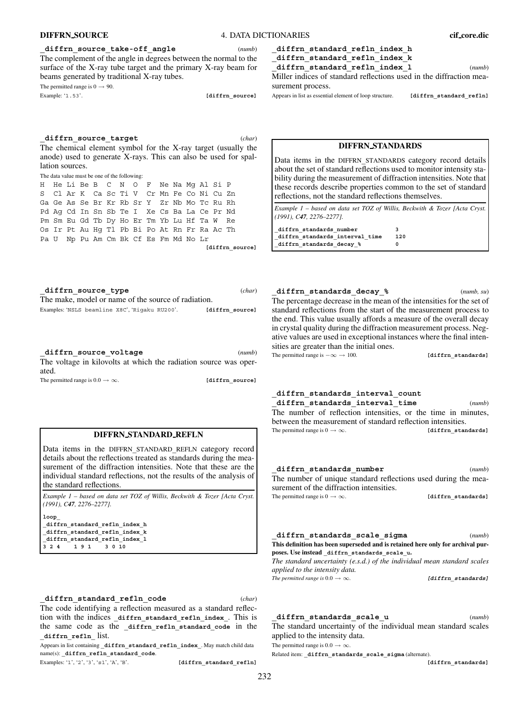# **DIFFRN SOURCE** 4. DATA DICTIONARIES **cif core.dic**

## **\_diffrn\_source\_take-off\_angle** (*numb*)

The complement of the angle in degrees between the normal to the surface of the X-ray tube target and the primary X-ray beam for beams generated by traditional X-ray tubes.

The permitted range is  $0 \rightarrow 90$ .<br>Example: '1.53'.

Example: '1.53'. **[diffrn\_source]**

**\_diffrn\_source\_target** (*char*) The chemical element symbol for the X-ray target (usually the anode) used to generate X-rays. This can also be used for spallation sources.

# The data value must be one of the following:

H He Li Be B C N O F Ne Na Mg Al Si P S Cl Ar K Ca Sc Ti V Cr Mn Fe Co Ni Cu Zn Ga Ge As Se Br Kr Rb Sr Y Zr Nb Mo Tc Ru Rh Pd Ag Cd In Sn Sb Te I Xe Cs Ba La Ce Pr Nd Pm Sm Eu Gd Tb Dy Ho Er Tm Yb Lu Hf Ta W Re Os Ir Pt Au Hg Tl Pb Bi Po At Rn Fr Ra Ac Th Pa U Np Pu Am Cm Bk Cf Es Fm Md No Lr **[diffrn\_source]**

| (char)                                              |
|-----------------------------------------------------|
| The make, model or name of the source of radiation. |
| [diffrn source]                                     |
|                                                     |

**\_diffrn\_source\_voltage** (*numb*) The voltage in kilovolts at which the radiation source was operated.

The permitted range is  $0.0 \rightarrow \infty$ . **[diffrn source]** 

# **DIFFRN STANDARD REFLN**

Data items in the DIFFRN**\_**STANDARD**\_**REFLN category record details about the reflections treated as standards during the measurement of the diffraction intensities. Note that these are the individual standard reflections, not the results of the analysis of the standard reflections.

*Example 1 – based on data set TOZ of Willis, Beckwith & Tozer [Acta Cryst. (1991), C47, 2276–2277].*

**loop\_**

**\_diffrn\_standard\_refln\_index\_h \_diffrn\_standard\_refln\_index\_k \_diffrn\_standard\_refln\_index\_l 3 2 4 1 9 1 3 0 10**

**\_diffrn\_standard\_refln\_code** (*char*) The code identifying a reflection measured as a standard reflection with the indices **\_diffrn\_standard\_refln\_index\_**. This is the same code as the diffrn refln standard code in the **\_diffrn\_refln\_** list.

Appears in list containing **\_diffrn\_standard\_refln\_index\_**. May match child data name(s): **\_diffrn\_refln\_standard\_code**.

Examples: '1', '2', '3', 's1', 'A', 'B'. **[diffrn\_standard\_refln]** 

# **\_diffrn\_standard\_refln\_index\_h**

**\_diffrn\_standard\_refln\_index\_k**

**\_diffrn\_standard\_refln\_index\_l** (*numb*)

Miller indices of standard reflections used in the diffraction measurement process.

Appears in list as essential element of loop structure. [diffrn\_standard\_refln]

# **DIFFRN STANDARDS**

Data items in the DIFFRN**\_**STANDARDS category record details about the set of standard reflections used to monitor intensity stability during the measurement of diffraction intensities. Note that these records describe properties common to the set of standard reflections, not the standard reflections themselves.

*Example 1 – based on data set TOZ of Willis, Beckwith & Tozer [Acta Cryst. (1991), C47, 2276–2277].*

**\_diffrn\_standards\_number 3 \_diffrn\_standards\_interval\_time 120 \_diffrn\_standards\_decay\_% 0**

**\_diffrn\_standards\_decay\_%** (*numb, su*) The percentage decrease in the mean of the intensities for the set of standard reflections from the start of the measurement process to the end. This value usually affords a measure of the overall decay in crystal quality during the diffraction measurement process. Negative values are used in exceptional instances where the final intensities are greater than the initial ones.

The permitted range is  $-\infty \to 100$ . [diffrn standards]

# **\_diffrn\_standards\_interval\_count**

**\_diffrn\_standards\_interval\_time** (*numb*) The number of reflection intensities, or the time in minutes, between the measurement of standard reflection intensities. The permitted range is  $0 \to \infty$ . **[diffrn standards]** 

### **\_diffrn\_standards\_number** (*numb*)

The number of unique standard reflections used during the measurement of the diffraction intensities. The permitted range is  $0 \to \infty$ . **[diffrn standards]** 

**\_diffrn\_standards\_scale\_sigma** (*numb*) **This definition has been superseded and is retained here only for archival purposes. Use instead \_diffrn\_standards\_scale\_u.**

*The standard uncertainty (e.s.d.) of the individual mean standard scales applied to the intensity data.*

*The permitted range is*  $0.0 \rightarrow \infty$ . **[diffrn\_standards]** 

# **\_diffrn\_standards\_scale\_u** (*numb*)

The standard uncertainty of the individual mean standard scales applied to the intensity data.

The permitted range is  $0.0 \rightarrow \infty$ .

Related item: **\_diffrn\_standards\_scale\_sigma** (alternate).

**[diffrn\_standards]**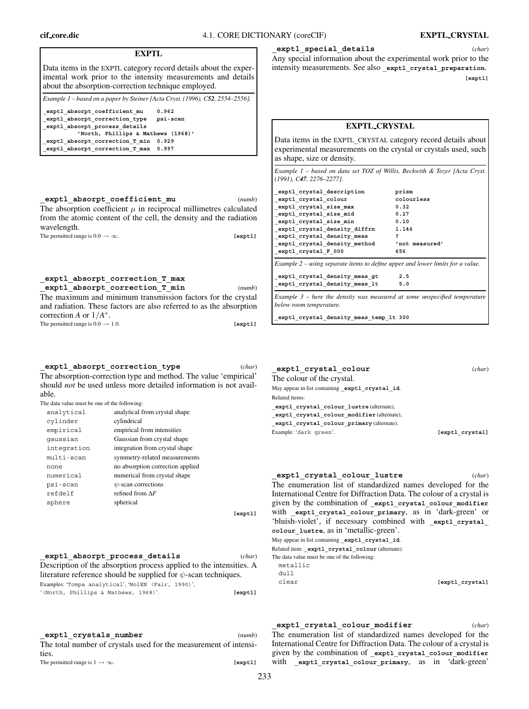Data items in the EXPTL category record details about the experimental work prior to the intensity measurements and details about the absorption-correction technique employed.

**EXPTL**

*Example 1 – based on a paper by Steiner [Acta Cryst. (1996), C52, 2554–2556].*

**\_exptl\_absorpt\_coefficient\_mu 0.962 \_exptl\_absorpt\_correction\_type psi-scan \_exptl\_absorpt\_process\_details 'North, Phillips & Mathews (1968)' \_exptl\_absorpt\_correction\_T\_min 0.929 \_exptl\_absorpt\_correction\_T\_max 0.997**

| exptl absorpt coefficient mu                                          | (numb)  |
|-----------------------------------------------------------------------|---------|
| The absorption coefficient $\mu$ in reciprocal millimetres calculated |         |
| from the atomic content of the cell, the density and the radiation    |         |
| wavelength.                                                           |         |
| The permitted range is $0.0 \rightarrow \infty$ .                     | [expt1] |
|                                                                       |         |

# **\_exptl\_absorpt\_correction\_T\_max**

**\_exptl\_absorpt\_correction\_T\_min** (*numb*) The maximum and minimum transmission factors for the crystal and radiation. These factors are also referred to as the absorption correction *A* or 1/*A*∗.

The permitted range is  $0.0 \rightarrow 1.0$ . **[exptl]** 

# **\_exptl\_absorpt\_correction\_type** (*char*) The absorption-correction type and method. The value 'empirical' should *not* be used unless more detailed information is not available.

The data value must be one of the following:

| analytical  | analytical from crystal shape    |
|-------------|----------------------------------|
| cylinder    | cylindrical                      |
| empirical   | empirical from intensities       |
| qaussian    | Gaussian from crystal shape      |
| integration | integration from crystal shape   |
| multi-scan  | symmetry-related measurements    |
| none        | no absorption correction applied |
| numerical   | numerical from crystal shape     |
| psi-scan    | $\psi$ -scan corrections         |
| refdelf     | refined from $\Delta F$          |
| sphere      | spherical                        |

**[exptl]**

### **\_exptl\_absorpt\_process\_details** (*char*)

Description of the absorption process applied to the intensities. A literature reference should be supplied for  $\psi$ -scan techniques. Examples: 'Tompa analytical', 'MolEN (Fair, 1990)', '(North, Phillips & Mathews, 1968)'. **[exptl]**

**\_exptl\_crystals\_number** (*numb*) The total number of crystals used for the measurement of intensities. The permitted range is  $1 \rightarrow \infty$ . **[exptl]** 

**\_exptl\_special\_details** (*char*)

Any special information about the experimental work prior to the intensity measurements. See also **\_exptl\_crystal\_preparation**. **[exptl]**

# **EXPTL CRYSTAL**

Data items in the EXPTL**\_**CRYSTAL category record details about experimental measurements on the crystal or crystals used, such as shape, size or density.

*Example 1 – based on data set TOZ of Willis, Beckwith & Tozer [Acta Cryst. (1991), C47, 2276–2277].*

| exptl crystal description    | prism          |
|------------------------------|----------------|
| exptl crystal colour         | colourless     |
| exptl crystal size max       | 0.32           |
| exptl crystal size mid       | 0.27           |
| exptl crystal size min       | 0.10           |
| exptl crystal density diffrn | 1.146          |
| exptl crystal density meas   | ?              |
| exptl crystal density method | 'not measured' |
| exptl crystal F 000          | 656            |
|                              |                |

*Example 2 – using separate items to define upper and lower limits for a value.*

| exptl_crystal_density meas gt | 2.5 |
|-------------------------------|-----|
| exptl_crystal density meas lt | 5.0 |

*Example 3 – here the density was measured at some unspecified temperature below room temperature.*

**\_exptl\_crystal\_density\_meas\_temp\_lt 300**

### **\_exptl\_crystal\_colour** (*char*)

The colour of the crystal. **\_exptl\_crystal\_colour\_primary** (alternate).

May appear in list containing **\_exptl\_crystal\_id**. Related items: **\_exptl\_crystal\_colour\_lustre** (alternate), **\_exptl\_crystal\_colour\_modifier** (alternate), Example: 'dark green'. **[exptl crystal]** 

**\_exptl\_crystal\_colour\_lustre** (*char*) The enumeration list of standardized names developed for the International Centre for Diffraction Data. The colour of a crystal is given by the combination of **\_exptl\_crystal\_colour\_modifier** with **exptl** crystal colour primary, as in 'dark-green' or 'bluish-violet', if necessary combined with **exptl** crystal **colour\_lustre**, as in 'metallic-green'. May appear in list containing **\_exptl\_crystal\_id**. Related item: **exptl crystal colour** (alternate). The data value must be one of the following: metallic dull<sup>1</sup> clear **[exptl** crystal]

# **\_exptl\_crystal\_colour\_modifier** (*char*) The enumeration list of standardized names developed for the International Centre for Diffraction Data. The colour of a crystal is given by the combination of **\_exptl\_crystal\_colour\_modifier** with **exptl** crystal colour primary, as in 'dark-green'

233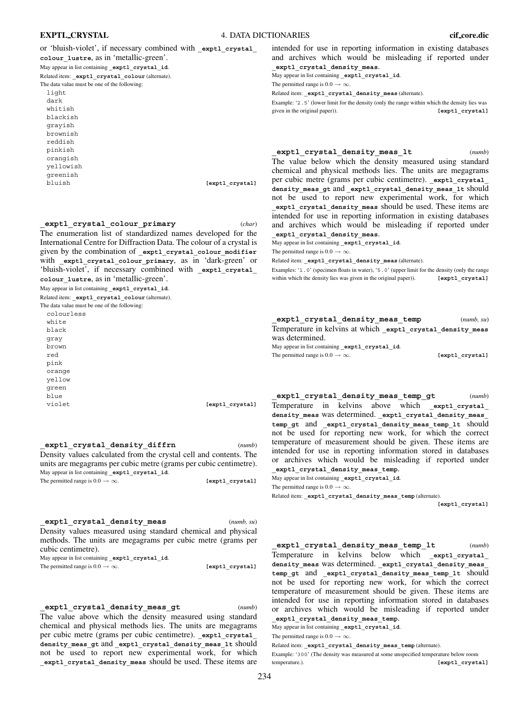or 'bluish-violet', if necessary combined with **exptl** crystal

**colour\_lustre**, as in 'metallic-green'. May appear in list containing **\_exptl\_crystal\_id**.

Related item: **exptl crystal colour** (alternate).

The data value must be one of the following:

light dark whitish blackish grayish brownish reddish pinkish orangish yellowish greenish bluish **[exptl** crystal]

**\_exptl\_crystal\_colour\_primary** (*char*)

The enumeration list of standardized names developed for the International Centre for Diffraction Data. The colour of a crystal is given by the combination of **\_exptl\_crystal\_colour\_modifier** with **\_exptl\_crystal\_colour\_primary**, as in 'dark-green' or 'bluish-violet', if necessary combined with **\_exptl\_crystal\_ colour\_lustre**, as in 'metallic-green'.

May appear in list containing **exptl** crystal id.

Related item: **\_exptl\_crystal\_colour** (alternate).

The data value must be one of the following: colourless white black gray brown red pink orange yellow green

blue violet *violet lexptl crystall* 

**\_exptl\_crystal\_density\_diffrn** (*numb*) Density values calculated from the crystal cell and contents. The units are megagrams per cubic metre (grams per cubic centimetre). May appear in list containing **\_exptl\_crystal\_id**.

The permitted range is  $0.0 \rightarrow \infty$ . **[exptl crystal]** 

**\_exptl\_crystal\_density\_meas** (*numb, su*) Density values measured using standard chemical and physical methods. The units are megagrams per cubic metre (grams per cubic centimetre).

May appear in list containing **exptl** crystal id.  $\begin{array}{l} \textbf{The permitted range is 0.0}\rightarrow \infty. \end{array} \begin{array}{l} \textbf{(exptl_ccrs)} \end{array}$ 

**\_exptl\_crystal\_density\_meas\_gt** (*numb*)

The value above which the density measured using standard chemical and physical methods lies. The units are megagrams per cubic metre (grams per cubic centimetre). **\_exptl\_crystal\_ density\_meas\_gt** and **\_exptl\_crystal\_density\_meas\_lt** should not be used to report new experimental work, for which **\_exptl\_crystal\_density\_meas** should be used. These items are

intended for use in reporting information in existing databases and archives which would be misleading if reported under **\_exptl\_crystal\_density\_meas**.

May appear in list containing **exptl** crystal id.

The permitted range is  $0.0 \rightarrow \infty$ .

Related item: **\_exptl\_crystal\_density\_meas** (alternate).

Example: '2.5' (lower limit for the density (only the range within which the density lies was given in the original paper)). **[exptl\_crystal]** 

**\_exptl\_crystal\_density\_meas\_lt** (*numb*)

The value below which the density measured using standard chemical and physical methods lies. The units are megagrams per cubic metre (grams per cubic centimetre). **exptl** crystal **density\_meas\_gt** and **\_exptl\_crystal\_density\_meas\_lt** should not be used to report new experimental work, for which **\_exptl\_crystal\_density\_meas** should be used. These items are intended for use in reporting information in existing databases and archives which would be misleading if reported under **\_exptl\_crystal\_density\_meas**.

May appear in list containing **\_exptl\_crystal\_id**.

The permitted range is  $0.0 \rightarrow \infty$ .

Related item: **\_exptl\_crystal\_density\_meas** (alternate).

Examples: '1.0' (specimen floats in water), '5.0' (upper limit for the density (only the range within which the density lies was given in the original paper)). **[exptl\_crystal]** 

**\_exptl\_crystal\_density\_meas\_temp** (*numb, su*) Temperature in kelvins at which **\_exptl\_crystal\_density\_meas** was determined. May appear in list containing **\_exptl\_crystal\_id**.

The permitted range is  $0.0 \rightarrow \infty$ . **[exptl crystal]** 

**\_exptl\_crystal\_density\_meas\_temp\_gt** (*numb*) Temperature in kelvins above which **\_exptl\_crystal\_ density\_meas** was determined. **\_exptl\_crystal\_density\_meas\_ temp\_gt** and **\_exptl\_crystal\_density\_meas\_temp\_lt** should not be used for reporting new work, for which the correct temperature of measurement should be given. These items are intended for use in reporting information stored in databases or archives which would be misleading if reported under

**\_exptl\_crystal\_density\_meas\_temp**. May appear in list containing **\_exptl\_crystal\_id**.

The permitted range is  $0.0 \rightarrow \infty$ .

Related item: **\_exptl\_crystal\_density\_meas\_temp** (alternate).

**[exptl\_crystal]**

**\_exptl\_crystal\_density\_meas\_temp\_lt** (*numb*) Temperature in kelvins below which exptl crystal **density\_meas** was determined. **\_exptl\_crystal\_density\_meas\_ temp\_gt** and **\_exptl\_crystal\_density\_meas\_temp\_lt** should not be used for reporting new work, for which the correct temperature of measurement should be given. These items are intended for use in reporting information stored in databases or archives which would be misleading if reported under **\_exptl\_crystal\_density\_meas\_temp**.

May appear in list containing **\_exptl\_crystal\_id**.

The permitted range is  $0.0 \rightarrow \infty$ .

Related item: **\_exptl\_crystal\_density\_meas\_temp** (alternate).

Example: '300' (The density was measured at some unspecified temperature below room temperature.). **[exptl\_crystal]**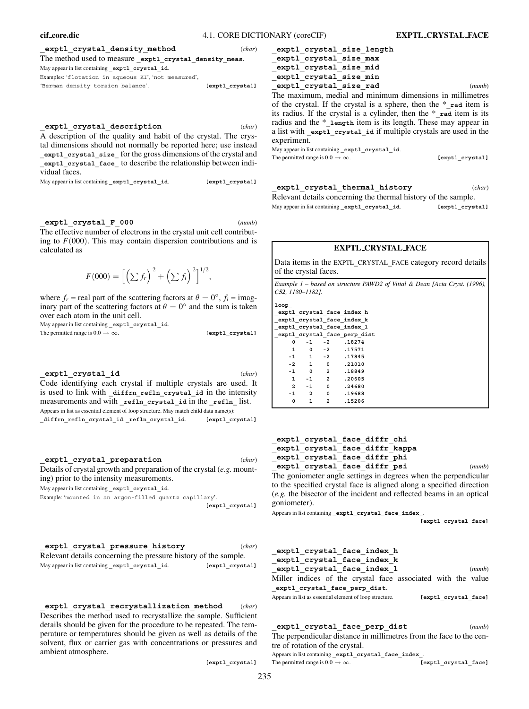**\_exptl\_crystal\_density\_method** (*char*)

The method used to measure exptl crystal density meas.

May appear in list containing **\_exptl\_crystal\_id**.

Examples: 'flotation in aqueous KI', 'not measured',

'Berman density torsion balance'. **[exptl\_crystal]** 

**\_exptl\_crystal\_description** (*char*)

A description of the quality and habit of the crystal. The crystal dimensions should not normally be reported here; use instead **\_exptl\_crystal\_size\_** for the gross dimensions of the crystal and **\_exptl\_crystal\_face\_** to describe the relationship between individual faces.

May appear in list containing **\_exptl\_crystal\_id**. **[exptl\_crystal]**

**\_exptl\_crystal\_F\_000** (*numb*) The effective number of electrons in the crystal unit cell contributing to  $F(000)$ . This may contain dispersion contributions and is calculated as

$$
F(000) = \left[ \left( \sum f_r \right)^2 + \left( \sum f_i \right)^2 \right]^{1/2},
$$

where  $f_r$  = real part of the scattering factors at  $\theta = 0^\circ$ ,  $f_i$  = imaginary part of the scattering factors at  $\theta = 0^{\circ}$  and the sum is taken over each atom in the unit cell.

May appear in list containing **\_exptl\_crystal\_id**. The permitted range is  $0.0 \rightarrow \infty$ . **[exptl crystal]** 

**\_exptl\_crystal\_id** (*char*) Code identifying each crystal if multiple crystals are used. It

is used to link with diffrn refln crystal id in the intensity measurements and with **\_refln\_crystal\_id** in the **\_refln\_** list. Appears in list as essential element of loop structure. May match child data name(s): **\_diffrn\_refln\_crystal\_id**, **\_refln\_crystal\_id**. **[exptl\_crystal]**

**\_exptl\_crystal\_preparation** (*char*) Details of crystal growth and preparation of the crystal (*e.g.* mounting) prior to the intensity measurements.

May appear in list containing **\_exptl\_crystal\_id**.

Example: 'mounted in an argon-filled quartz capillary'. **[exptl\_crystal]**

| exptl crystal pressure history                                  | (char)          |
|-----------------------------------------------------------------|-----------------|
| Relevant details concerning the pressure history of the sample. |                 |
| May appear in list containing exptl_crystal_id.                 | [exptl crystal] |

**\_exptl\_crystal\_recrystallization\_method** (*char*) Describes the method used to recrystallize the sample. Sufficient details should be given for the procedure to be repeated. The temperature or temperatures should be given as well as details of the solvent, flux or carrier gas with concentrations or pressures and ambient atmosphere.

**[exptl\_crystal]**

| (numb) |
|--------|
|        |

The maximum, medial and minimum dimensions in millimetres of the crystal. If the crystal is a sphere, then the \***\_rad** item is its radius. If the crystal is a cylinder, then the \***\_rad** item is its radius and the \***\_length** item is its length. These may appear in a list with **exptl** crystal id if multiple crystals are used in the experiment.

May appear in list containing **\_exptl\_crystal\_id**. The permitted range is  $0.0 \rightarrow \infty$ . **[exptl crystal]** 

**\_exptl\_crystal\_thermal\_history** (*char*) Relevant details concerning the thermal history of the sample.

May appear in list containing **\_exptl\_crystal\_id**. **[exptl\_crystal]**

## **EXPTL CRYSTAL FACE**

Data items in the EXPTL**\_**CRYSTAL**\_**FACE category record details of the crystal faces.

*Example 1 – based on structure PAWD2 of Vittal & Dean [Acta Cryst. (1996), C52, 1180–1182].*

| loop |                |                |                |                              |  |
|------|----------------|----------------|----------------|------------------------------|--|
|      |                |                |                | exptl crystal face index h   |  |
|      |                |                |                | exptl crystal face index k   |  |
|      |                |                |                | exptl crystal face index 1   |  |
|      |                |                |                | exptl crystal face perp dist |  |
|      | 0              |                | $-1$ $-2$      | .18274                       |  |
|      | 1              | 0              | $-2$           | .17571                       |  |
|      | $-1$           | $\mathbf{1}$   | $-2$           | .17845                       |  |
|      | $-2$           | 1              | $\Omega$       | .21010                       |  |
|      | $-1$           | $\Omega$       | $\overline{2}$ | .18849                       |  |
|      | 1              | $-1$           | $\overline{2}$ | .20605                       |  |
|      | $\overline{a}$ | $-1$           | 0              | .24680                       |  |
|      | $-1$           | $\overline{a}$ | 0              | .19688                       |  |

**0 1 2 .15206**

| exptl crystal face diffr chi                                         |        |
|----------------------------------------------------------------------|--------|
| exptl crystal face diffr kappa                                       |        |
| exptl crystal face diffr phi                                         |        |
| exptl crystal face diffr psi                                         | (numb) |
| The goniometer angle settings in degrees when the perpendicular      |        |
| to the specified crystal face is aligned along a specified direction |        |
| (e.g. the bisector of the incident and reflected beams in an optical |        |
| goniometer).                                                         |        |
| Appears in list containing exptl_crystal_face_index_.                |        |

**[exptl\_crystal\_face]**

| exptl crystal face index h                                                      |        |
|---------------------------------------------------------------------------------|--------|
| exptl crystal face index k                                                      |        |
| exptl crystal face index 1                                                      | (numb) |
| Miller indices of the crystal face associated with the value                    |        |
| exptl crystal face perp dist.                                                   |        |
| Appears in list as essential element of loop structure.<br>[exptl crystal face] |        |

**\_exptl\_crystal\_face\_perp\_dist** (*numb*)

The perpendicular distance in millimetres from the face to the centre of rotation of the crystal.

Appears in list containing **\_exptl\_crystal\_face\_index\_**. The permitted range is  $0.0 \rightarrow \infty$ . **[exptl\_crystal\_face]**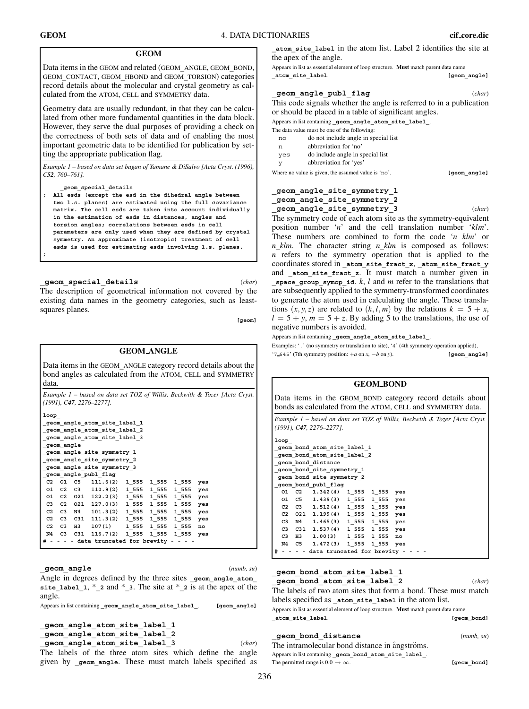**;**

### **GEOM**

Data items in the GEOM and related (GEOM**\_**ANGLE, GEOM**\_**BOND, GEOM**\_**CONTACT, GEOM**\_**HBOND and GEOM**\_**TORSION) categories record details about the molecular and crystal geometry as calculated from the ATOM, CELL and SYMMETRY data.

Geometry data are usually redundant, in that they can be calculated from other more fundamental quantities in the data block. However, they serve the dual purposes of providing a check on the correctness of both sets of data and of enabling the most important geometric data to be identified for publication by setting the appropriate publication flag.

*Example 1 – based on data set bagan of Yamane & DiSalvo [Acta Cryst. (1996), C52, 760–761].*

#### **\_geom\_special\_details**

**; All esds (except the esd in the dihedral angle between two l.s. planes) are estimated using the full covariance matrix. The cell esds are taken into account individually in the estimation of esds in distances, angles and torsion angles; correlations between esds in cell parameters are only used when they are defined by crystal symmetry. An approximate (isotropic) treatment of cell esds is used for estimating esds involving l.s. planes.**

**\_geom\_special\_details** (*char*) The description of geometrical information not covered by the existing data names in the geometry categories, such as leastsquares planes.

**[geom]**

## **GEOM ANGLE**

Data items in the GEOM**\_**ANGLE category record details about the bond angles as calculated from the ATOM, CELL and SYMMETRY data.

*Example 1 – based on data set TOZ of Willis, Beckwith & Tozer [Acta Cryst. (1991), C47, 2276–2277].*

```
loop_
_geom_angle_atom_site_label_1
_geom_angle_atom_site_label_2
_geom_angle_atom_site_label_3
_geom_angle
_geom_angle_site_symmetry_1
_geom_angle_site_symmetry_2
_geom_angle_site_symmetry_3
_geom_angle_publ_flag
C2 O1 C5 111.6(2) 1_555 1_555 1_555 yes
O1 C2 C3 110.9(2) 1_555 1_555 1_555 yes
O1 C2 O21 122.2(3) 1_555 1_555 1_555 yes
C3 C2 O21 127.0(3) 1_555 1_555 1_555 yes
C2 C3 N4 101.3(2) 1_555 1_555 1_555 yes
C2 C3 C31 111.3(2) 1_555 1_555 1_555 yes
C2 C3 H3 107(1) 1_555 1_555 1_555 no
N4 C3 C31 116.7(2) 1_555 1_555 1_555 yes
   # - - - - data truncated for brevity - - - -
```
# **\_geom\_angle** (*numb, su*)

Angle in degrees defined by the three sites **\_geom\_angle\_atom\_ site** label 1,  $*$  2 and  $*$  3. The site at  $*$  2 is at the apex of the angle.

Appears in list containing **\_geom\_angle\_atom\_site\_label\_**. **[geom\_angle]**

**\_geom\_angle\_atom\_site\_label\_1**

**\_geom\_angle\_atom\_site\_label\_2**

**\_geom\_angle\_atom\_site\_label\_3** (*char*)

The labels of the three atom sites which define the angle given by geom angle. These must match labels specified as

**\_atom\_site\_label** in the atom list. Label 2 identifies the site at the apex of the angle.

Appears in list as essential element of loop structure. **Must** match parent data name **\_atom\_site\_label**. **[geom\_angle]**

| geom angle publ flag                                                | (char) |
|---------------------------------------------------------------------|--------|
| This code signals whether the angle is referred to in a publication |        |
| or should be placed in a table of significant angles.               |        |
| Appears in list containing geom angle atom site label.              |        |
| The data value must be one of the following:                        |        |
| .                                                                   |        |

no do not include angle in special list

- n abbreviation for 'no'
- yes do include angle in special list y abbreviation for 'yes'

Where no value is given, the assumed value is 'no'. **[geom angle]** 

# **\_geom\_angle\_site\_symmetry\_1 \_geom\_angle\_site\_symmetry\_2**

**\_geom\_angle\_site\_symmetry\_3** (*char*) The symmetry code of each atom site as the symmetry-equivalent position number '*n*' and the cell translation number '*klm*'. These numbers are combined to form the code '*n klm*' or *n***\_***klm*. The character string *n***\_***klm* is composed as follows: *n* refers to the symmetry operation that is applied to the coordinates stored in **\_atom\_site\_fract\_x**, **\_atom\_site\_fract\_y** and atom site fract z. It must match a number given in **\_space\_group\_symop\_id**. *k*, *l* and *m* refer to the translations that are subsequently applied to the symmetry-transformed coordinates to generate the atom used in calculating the angle. These translations  $(x, y, z)$  are related to  $(k, l, m)$  by the relations  $k = 5 + x$ ,

 $l = 5 + y$ ,  $m = 5 + z$ . By adding 5 to the translations, the use of negative numbers is avoided.

Appears in list containing **\_geom\_angle\_atom\_site\_label\_**.

Examples: '.' (no symmetry or translation to site), '4' (4th symmetry operation applied), '7 645' (7th symmetry position: +*a* on *x*, −*b* on *y*). **[geom\_angle]**

## **GEOM BOND**

Data items in the GEOM**\_**BOND category record details about bonds as calculated from the ATOM, CELL and SYMMETRY data.

*Example 1 – based on data set TOZ of Willis, Beckwith & Tozer [Acta Cryst. (1991), C47, 2276–2277].*

| loop                                          |  |     |  |
|-----------------------------------------------|--|-----|--|
| geom bond atom site label 1                   |  |     |  |
| geom bond atom site label 2                   |  |     |  |
| geom bond distance                            |  |     |  |
| geom bond site symmetry 1                     |  |     |  |
| geom bond site symmetry 2                     |  |     |  |
| geom bond publ flag                           |  |     |  |
| 01 C2 1.342(4) 1 555 1 555                    |  | yes |  |
| $C5$ 1.439(3) 1 555 1 555<br>01               |  | yes |  |
| C2<br>$C3$ 1.512(4) 1 555 1 555               |  | yes |  |
| 021 1.199(4) 1 555 1 555<br>C2                |  | yes |  |
| C3<br>$1.465(3)$ 1 555 1 555<br>N4 –          |  | yes |  |
| $1.537(4)$ 1 555 1 555<br>C3<br>C31           |  | yes |  |
| $1.00(3)$ 1 555 1 555<br>C <sub>3</sub><br>H3 |  | no  |  |
| C5<br>$1.472(3)$ 1 555 1 555<br>N4            |  | yes |  |
| # - - - - data truncated for brevity - - -    |  |     |  |

# **\_geom\_bond\_atom\_site\_label\_1**

**\_geom\_bond\_atom\_site\_label\_2** (*char*) The labels of two atom sites that form a bond. These must match labels specified as  $\alpha$  atom site label in the atom list.

Appears in list as essential element of loop structure. **Must** match parent data name **\_atom\_site\_label**. **[geom\_bond]**

# **\_geom\_bond\_distance** (*numb, su*)

The intramolecular bond distance in ångströms. Appears in list containing **\_geom\_bond\_atom\_site\_label\_**. The permitted range is  $0.0 \rightarrow \infty$ . **[geom bond]**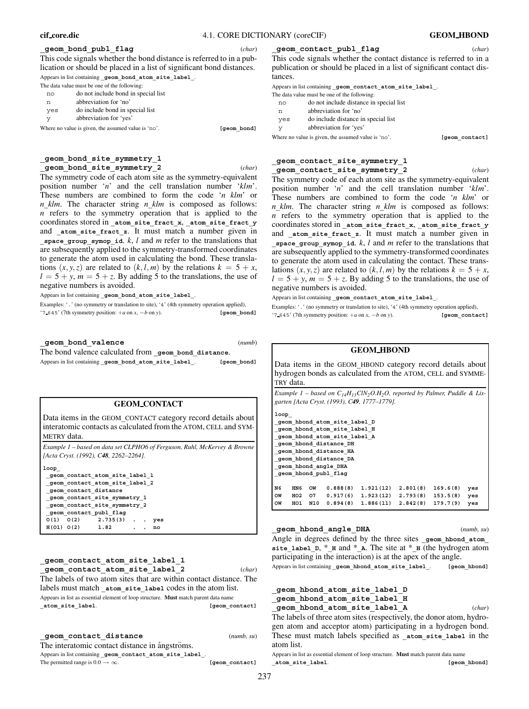## **\_geom\_bond\_publ\_flag** (*char*)

This code signals whether the bond distance is referred to in a publication or should be placed in a list of significant bond distances. Appears in list containing **\_geom\_bond\_atom\_site\_label\_**.

|     | The data value must be one of the following:        |             |
|-----|-----------------------------------------------------|-------------|
| no  | do not include bond in special list                 |             |
| n   | abbreviation for 'no'                               |             |
| yes | do include bond in special list                     |             |
| v   | abbreviation for 'yes'                              |             |
|     | Where no value is given, the assumed value is 'no'. | [geom bond] |

# **\_geom\_bond\_site\_symmetry\_1 \_geom\_bond\_site\_symmetry\_2** (*char*)

The symmetry code of each atom site as the symmetry-equivalent position number '*n*' and the cell translation number '*klm*'. These numbers are combined to form the code '*n klm*' or *n***\_***klm*. The character string *n***\_***klm* is composed as follows: *n* refers to the symmetry operation that is applied to the coordinates stored in **\_atom\_site\_fract\_x**, **\_atom\_site\_fract\_y** and atom site fract z. It must match a number given in space group symop id.  $k$ ,  $l$  and  $m$  refer to the translations that are subsequently applied to the symmetry-transformed coordinates to generate the atom used in calculating the bond. These translations  $(x, y, z)$  are related to  $(k, l, m)$  by the relations  $k = 5 + x$ ,  $l = 5 + y$ ,  $m = 5 + z$ . By adding 5 to the translations, the use of negative numbers is avoided.

Appears in list containing **\_geom\_bond\_atom\_site\_label\_**.

Examples: '.' (no symmetry or translation to site), '4' (4th symmetry operation applied), '7 645' (7th symmetry position: +*a* on *x*, −*b* on *y*). **[geom\_bond]**

**\_geom\_bond\_valence** (*numb*) The bond valence calculated from **\_geom\_bond\_distance**.

Appears in list containing **\_geom\_bond\_atom\_site\_label\_**. **[geom\_bond]**

# **GEOM CONTACT**

Data items in the GEOM**\_**CONTACT category record details about interatomic contacts as calculated from the ATOM, CELL and SYM-METRY data.

*Example 1 – based on data set CLPHO6 of Ferguson, Ruhl, McKervey & Browne [Acta Cryst. (1992), C48, 2262–2264].*

**loop\_**

| geom contact atom site label 1 |                              |  |         |    |  |  |
|--------------------------------|------------------------------|--|---------|----|--|--|
| geom contact atom site label 2 |                              |  |         |    |  |  |
|                                | geom contact distance        |  |         |    |  |  |
|                                | geom contact site symmetry 1 |  |         |    |  |  |
|                                | geom contact site symmetry 2 |  |         |    |  |  |
|                                | geom contact publ flag       |  |         |    |  |  |
|                                | $0(1)$ $0(2)$ $2.735(3)$ yes |  |         |    |  |  |
|                                | $H(01)$ $O(2)$ 1.82          |  | $\cdot$ | no |  |  |

# **\_geom\_contact\_atom\_site\_label\_1 \_geom\_contact\_atom\_site\_label\_2** (*char*) The labels of two atom sites that are within contact distance. The

labels must match atom site label codes in the atom list. Appears in list as essential element of loop structure. **Must** match parent data name **\_atom\_site\_label**. **[geom\_contact]**

## **\_geom\_contact\_distance** (*numb, su*)

The interatomic contact distance in ångströms. Appears in list containing **\_geom\_contact\_atom\_site\_label\_**.

The permitted range is  $0.0 \rightarrow \infty$ . **[geom contact]** 

### **\_geom\_contact\_publ\_flag** (*char*)

This code signals whether the contact distance is referred to in a publication or should be placed in a list of significant contact distances.

Appears in list containing **\_geom\_contact\_atom\_site\_label\_**.

|    | The data value must be one of the following: |  |
|----|----------------------------------------------|--|
| no | do not include distance in special list      |  |

n abbreviation for 'no'

yes do include distance in special list

y abbreviation for 'yes'

Where no value is given, the assumed value is 'no'. **[geom contact]** 

# **\_geom\_contact\_site\_symmetry\_1**

**\_geom\_contact\_site\_symmetry\_2** (*char*) The symmetry code of each atom site as the symmetry-equivalent position number '*n*' and the cell translation number '*klm*'. These numbers are combined to form the code '*n klm*' or *n***\_***klm*. The character string *n***\_***klm* is composed as follows: *n* refers to the symmetry operation that is applied to the coordinates stored in **\_atom\_site\_fract\_x**, **\_atom\_site\_fract\_y** and atom site fract z. It must match a number given in space group symop id.  $k$ ,  $l$  and  $m$  refer to the translations that are subsequently applied to the symmetry-transformed coordinates to generate the atom used in calculating the contact. These translations  $(x, y, z)$  are related to  $(k, l, m)$  by the relations  $k = 5 + x$ ,  $l = 5 + y$ ,  $m = 5 + z$ . By adding 5 to the translations, the use of negative numbers is avoided.

Appears in list containing **\_geom\_contact\_atom\_site\_label\_**.

Examples: '.' (no symmetry or translation to site), '4' (4th symmetry operation applied), '7 645' (7th symmetry position: +*a* on *x*, −*b* on *y*). **[geom\_contact]**

# **GEOM HBOND**

Data items in the GEOM**\_**HBOND category record details about hydrogen bonds as calculated from the ATOM, CELL and SYMME-TRY data.

*Example 1 – based on C14H13ClN2O.H2O, reported by Palmer, Puddle & Lisgarten [Acta Cryst. (1993), C49, 1777–1779].*

| loop |                      |     |                              |           |          |          |     |
|------|----------------------|-----|------------------------------|-----------|----------|----------|-----|
|      |                      |     | geom hbond atom site label D |           |          |          |     |
|      |                      |     | geom hbond atom site label H |           |          |          |     |
|      |                      |     | geom hbond atom site label A |           |          |          |     |
|      |                      |     | geom hbond distance DH       |           |          |          |     |
|      |                      |     | geom hbond distance HA       |           |          |          |     |
|      |                      |     | geom_hbond_distance_DA       |           |          |          |     |
|      | geom hbond angle DHA |     |                              |           |          |          |     |
|      |                      |     | geom hbond publ flag         |           |          |          |     |
|      |                      |     |                              |           |          |          |     |
| N6   | HN <sub>6</sub>      | OW  | 0.888(8)                     | 1.921(12) | 2.801(8) | 169.6(8) | yes |
| OW   | HO <sub>2</sub>      | 07  | 0.917(6)                     | 1.923(12) | 2.793(8) | 153.5(8) | yes |
| OW   | HO1                  | N10 | 0.894(8)                     | 1.886(11) | 2.842(8) | 179.7(9) | yes |
|      |                      |     |                              |           |          |          |     |

#### **\_geom\_hbond\_angle\_DHA** (*numb, su*)

Angle in degrees defined by the three sites **\_geom\_hbond\_atom\_ site\_label\_D**, \***\_H** and \***\_A**. The site at \***\_H** (the hydrogen atom participating in the interaction) is at the apex of the angle.

Appears in list containing **\_geom\_hbond\_atom\_site\_label\_**. **[geom\_hbond]**

**\_geom\_hbond\_atom\_site\_label\_D \_geom\_hbond\_atom\_site\_label\_H \_geom\_hbond\_atom\_site\_label\_A** (*char*)

The labels of three atom sites (respectively, the donor atom, hydrogen atom and acceptor atom) participating in a hydrogen bond. These must match labels specified as **\_atom\_site\_label** in the atom list.

Appears in list as essential element of loop structure. **Must** match parent data name **\_atom\_site\_label**. **[geom\_hbond]**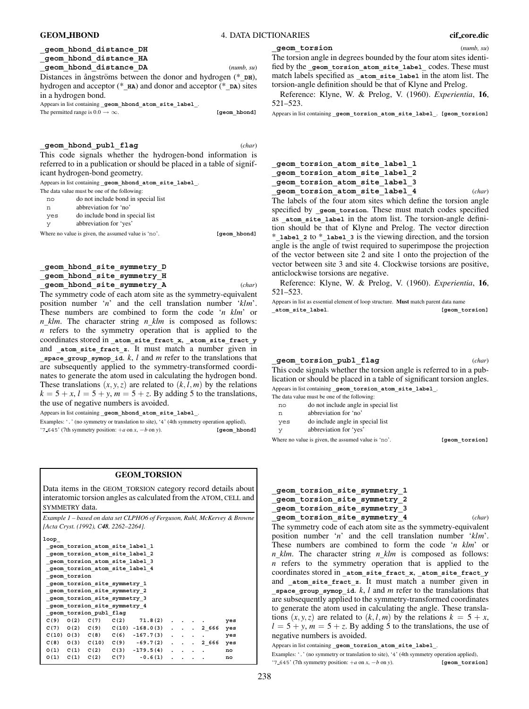**\_geom\_hbond\_distance\_HA \_geom\_hbond\_distance\_DA** (*numb, su*) Distances in ångströms between the donor and hydrogen (\*  $p$ H), hydrogen and acceptor (\***\_HA**) and donor and acceptor (\***\_DA**) sites in a hydrogen bond.

Appears in list containing **\_geom\_hbond\_atom\_site\_label\_**.

The permitted range is  $0.0 \rightarrow \infty$ . **[geom\_hbond]** 

**\_geom\_hbond\_distance\_DH**

**\_geom\_hbond\_publ\_flag** (*char*) This code signals whether the hydrogen-bond information is referred to in a publication or should be placed in a table of significant hydrogen-bond geometry.

Appears in list containing **\_geom\_hbond\_atom\_site\_label\_**.

The data value must be one of the following:

- no do not include bond in special list
- n abbreviation for 'no'
- yes do include bond in special list

y abbreviation for 'yes'

Where no value is given, the assumed value is 'no'. **[geom hbond]** 

|        | geom_hbond site symmetry D |  |
|--------|----------------------------|--|
|        | geom hbond site symmetry H |  |
| (char) | geom hbond site symmetry A |  |

The symmetry code of each atom site as the symmetry-equivalent position number '*n*' and the cell translation number '*klm*'. These numbers are combined to form the code '*n klm*' or *n***\_***klm*. The character string *n***\_***klm* is composed as follows: *n* refers to the symmetry operation that is applied to the coordinates stored in **\_atom\_site\_fract\_x**, **\_atom\_site\_fract\_y** and **\_atom\_site\_fract\_z**. It must match a number given in **\_space\_group\_symop\_id**. *k*, *l* and *m* refer to the translations that are subsequently applied to the symmetry-transformed coordinates to generate the atom used in calculating the hydrogen bond. These translations  $(x, y, z)$  are related to  $(k, l, m)$  by the relations  $k = 5 + x$ ,  $l = 5 + y$ ,  $m = 5 + z$ . By adding 5 to the translations, the use of negative numbers is avoided.

Appears in list containing **\_geom\_hbond\_atom\_site\_label\_**.

Examples: '.' (no symmetry or translation to site), '4' (4th symmetry operation applied), '7 645' (7th symmetry position: +*a* on *x*, −*b* on *y*). **[geom\_hbond]**

# **GEOM TORSION**

Data items in the GEOM**\_**TORSION category record details about interatomic torsion angles as calculated from the ATOM, CELL and SYMMETRY data.

*Example 1 – based on data set CLPHO6 of Ferguson, Ruhl, McKervey & Browne [Acta Cryst. (1992), C48, 2262–2264].*

| yes   |
|-------|
| yes   |
| yes   |
| yes   |
| no    |
| no    |
| 2 666 |

**\_geom\_torsion** (*numb, su*)

The torsion angle in degrees bounded by the four atom sites identified by the **\_geom\_torsion\_atom\_site\_label\_** codes. These must match labels specified as **\_atom\_site\_label** in the atom list. The torsion-angle definition should be that of Klyne and Prelog.

Reference: Klyne, W. & Prelog, V. (1960). *Experientia*, **16**, 521–523.

Appears in list containing **\_geom\_torsion\_atom\_site\_label\_**. **[geom\_torsion]**

**\_geom\_torsion\_atom\_site\_label\_1 \_geom\_torsion\_atom\_site\_label\_2 \_geom\_torsion\_atom\_site\_label\_3**

**\_geom\_torsion\_atom\_site\_label\_4** (*char*) The labels of the four atom sites which define the torsion angle specified by geom torsion. These must match codes specified as atom site label in the atom list. The torsion-angle definition should be that of Klyne and Prelog. The vector direction \***\_label\_2** to \***\_label\_3** is the viewing direction, and the torsion angle is the angle of twist required to superimpose the projection of the vector between site 2 and site 1 onto the projection of the vector between site 3 and site 4. Clockwise torsions are positive, anticlockwise torsions are negative.

Reference: Klyne, W. & Prelog, V. (1960). *Experientia*, **16**, 521–523.

Appears in list as essential element of loop structure. **Must** match parent data name **\_atom\_site\_label**. **[geom\_torsion]**

## **\_geom\_torsion\_publ\_flag** (*char*)

This code signals whether the torsion angle is referred to in a publication or should be placed in a table of significant torsion angles. Appears in list containing **\_geom\_torsion\_atom\_site\_label\_**.

The data value must be one of the following:

- no do not include angle in special list
- n abbreviation for 'no'
- yes do include angle in special list y abbreviation for 'yes'

Where no value is given, the assumed value is 'no'. [geom\_torsion]

|  | geom torsion site symmetry 1 |
|--|------------------------------|
|  | geom torsion site symmetry 2 |
|  | geom torsion site symmetry 3 |
|  | essa tamalan alta sumustus d |

**\_geom\_torsion\_site\_symmetry\_4** (*char*) The symmetry code of each atom site as the symmetry-equivalent position number '*n*' and the cell translation number '*klm*'. These numbers are combined to form the code '*n klm*' or *n***\_***klm*. The character string *n***\_***klm* is composed as follows: *n* refers to the symmetry operation that is applied to the coordinates stored in **\_atom\_site\_fract\_x**, **\_atom\_site\_fract\_y** and **\_atom\_site\_fract\_z**. It must match a number given in space group symop id.  $k$ ,  $l$  and  $m$  refer to the translations that are subsequently applied to the symmetry-transformed coordinates to generate the atom used in calculating the angle. These translations  $(x, y, z)$  are related to  $(k, l, m)$  by the relations  $k = 5 + x$ ,  $l = 5 + y$ ,  $m = 5 + z$ . By adding 5 to the translations, the use of negative numbers is avoided.

Appears in list containing **\_geom\_torsion\_atom\_site\_label\_**.

Examples: '.' (no symmetry or translation to site), '4' (4th symmetry operation applied), '7 645' (7th symmetry position: +*a* on *x*, −*b* on *y*). **[geom\_torsion]**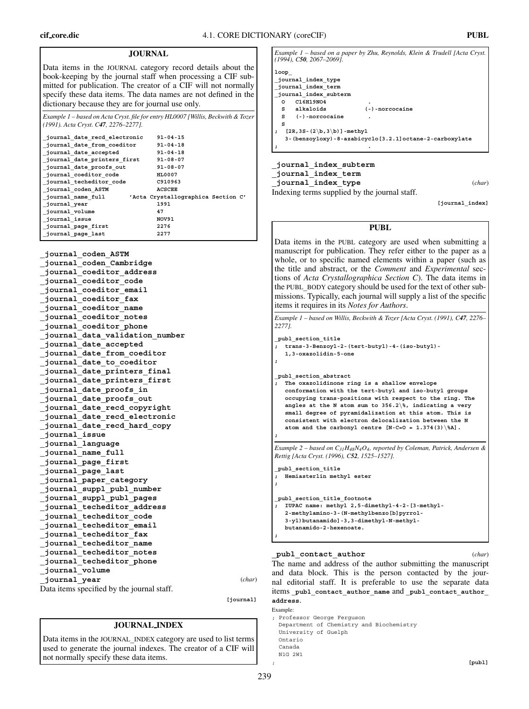# **JOURNAL**

Data items in the JOURNAL category record details about the book-keeping by the journal staff when processing a CIF submitted for publication. The creator of a CIF will not normally specify these data items. The data names are not defined in the dictionary because they are for journal use only.

| Example 1 – based on Acta Cryst. file for entry HL0007 [Willis, Beckwith & Tozer |  |
|----------------------------------------------------------------------------------|--|
| $(1991)$ . Acta Cryst. C47, 2276–2277].                                          |  |

| journal date recd electronic | $91 - 04 - 15$                     |
|------------------------------|------------------------------------|
| journal date from coeditor   | $91 - 04 - 18$                     |
| journal date accepted        | $91 - 04 - 18$                     |
| journal date printers first  | $91 - 08 - 07$                     |
| journal date proofs out      | $91 - 08 - 07$                     |
| journal coeditor code        | <b>HL0007</b>                      |
| journal techeditor code      | C910963                            |
| journal coden ASTM           | <b>ACSCEE</b>                      |
| journal name full            | 'Acta Crystallographica Section C' |
| journal year                 | 1991                               |
| journal volume               | 47                                 |
| journal issue                | NOV91                              |
| journal page first           | 2276                               |
| journal page last            | 2277                               |

**\_journal\_coden\_ASTM \_journal\_coden\_Cambridge \_journal\_coeditor\_address \_journal\_coeditor\_code \_journal\_coeditor\_email \_journal\_coeditor\_fax \_journal\_coeditor\_name \_journal\_coeditor\_notes \_journal\_coeditor\_phone \_journal\_data\_validation\_number \_journal\_date\_accepted \_journal\_date\_from\_coeditor \_journal\_date\_to\_coeditor \_journal\_date\_printers\_final \_journal\_date\_printers\_first \_journal\_date\_proofs\_in \_journal\_date\_proofs\_out \_journal\_date\_recd\_copyright \_journal\_date\_recd\_electronic \_journal\_date\_recd\_hard\_copy \_journal\_issue \_journal\_language \_journal\_name\_full \_journal\_page\_first \_journal\_page\_last \_journal\_paper\_category \_journal\_suppl\_publ\_number \_journal\_suppl\_publ\_pages \_journal\_techeditor\_address \_journal\_techeditor\_code \_journal\_techeditor\_email \_journal\_techeditor\_fax \_journal\_techeditor\_name \_journal\_techeditor\_notes \_journal\_techeditor\_phone \_journal\_volume \_journal\_year** (*char*) Data items specified by the journal staff.

**[journal]**

# **JOURNAL INDEX**

Data items in the JOURNAL**\_**INDEX category are used to list terms used to generate the journal indexes. The creator of a CIF will not normally specify these data items.

*Example 1 – based on a paper by Zhu, Reynolds, Klein & Trudell [Acta Cryst. (1994), C50, 2067–2069].* **loop\_ \_journal\_index\_type \_journal\_index\_term \_journal\_index\_subterm** O C16H19NO4<br>S alkaloids **S alkaloids (-)-norcocaine S (-)-norcocaine . S ; [2R,3S-(2**\**b,3**\**b)]-methyl 3-(benzoyloxy)-8-azabicyclo[3.2.1]octane-2-carboxylate ; .**

**\_journal\_index\_subterm \_journal\_index\_term \_journal\_index\_type** (*char*) Indexing terms supplied by the journal staff.

**[journal\_index]**

# **PUBL**

Data items in the PUBL category are used when submitting a manuscript for publication. They refer either to the paper as a whole, or to specific named elements within a paper (such as the title and abstract, or the *Comment* and *Experimental* sections of *Acta Crystallographica Section C*). The data items in the PUBL**\_**BODY category should be used for the text of other submissions. Typically, each journal will supply a list of the specific items it requires in its *Notes for Authors*.

*Example 1 – based on Willis, Beckwith & Tozer [Acta Cryst. (1991), C47, 2276– 2277].*

```
_publ_section_title
  ; trans-3-Benzoyl-2-(tert-butyl)-4-(iso-butyl)-
  1,3-oxazolidin-5-one
;
```
**\_publ\_section\_abstract ; The oxazolidinone ring is a shallow envelope conformation with the tert-butyl and iso-butyl groups occupying trans-positions with respect to the ring. The angles at the N atom sum to 356.2**\**%, indicating a very small degree of pyramidalization at this atom. This is consistent with electron delocalization between the N** atom and the carbonyl centre  $[N-C=0 = 1.374(3)\$ . **;**

*Example 2 – based on C31H48N4O4, reported by Coleman, Patrick, Andersen & Rettig [Acta Cryst. (1996), C52, 1525–1527].*

**\_publ\_section\_title**

**; Hemiasterlin methyl ester ; \_publ\_section\_title\_footnote ; IUPAC name: methyl 2,5-dimethyl-4-2-[3-methyl-2-methylamino-3-(N-methylbenzo[b]pyrrol-3-yl)butanamido]-3,3-dimethyl-N-methylbutanamido-2-hexenoate.**

### **\_publ\_contact\_author** (*char*)

The name and address of the author submitting the manuscript and data block. This is the person contacted by the journal editorial staff. It is preferable to use the separate data items **\_publ\_contact\_author\_name** and **\_publ\_contact\_author\_ address**.

```
Example:
; Professor George Ferguson
 Department of Chemistry and Biochemistry
 University of Guelph
 Ontario
 Canada
 N1G 2W1
; [publ]
```
**;**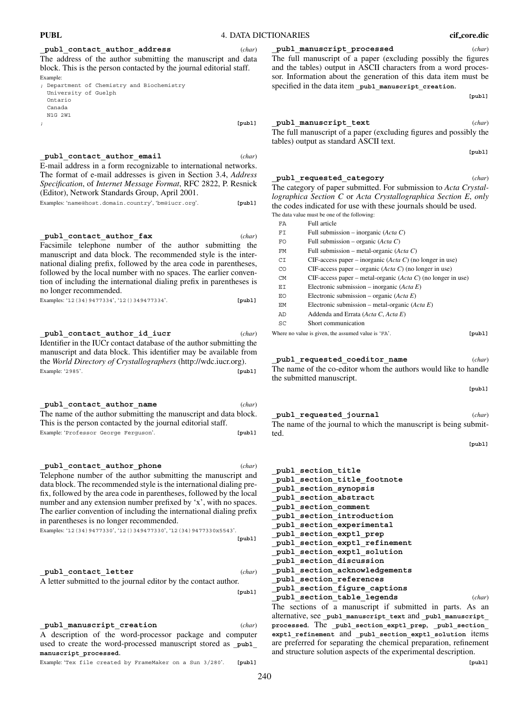Example:

Ontario Canada N1G 2W1

**\_publ\_contact\_author\_address** (*char*) The address of the author submitting the manuscript and data block. This is the person contacted by the journal editorial staff.

; **[publ]**

The format of e-mail addresses is given in Section 3.4, *Address Specification*, of *Internet Message Format*, RFC 2822, P. Resnick

Examples: 'name@host.domain.country', 'bm@iucr.org'. **[publ]**

national dialing prefix, followed by the area code in parentheses, followed by the local number with no spaces. The earlier convention of including the international dialing prefix in parentheses is

Examples: '12(34)9477334', '12()349477334'. **[publ]**

**\_publ\_contact\_author\_id\_iucr** (*char*) Identifier in the IUCr contact database of the author submitting the manuscript and data block. This identifier may be available from the *World Directory of Crystallographers* (http://wdc.iucr.org). Example: '2985'. **[publ]**

**\_publ\_contact\_author\_name** (*char*) The name of the author submitting the manuscript and data block.

Example: 'Professor George Ferguson'. **[publ]**

This is the person contacted by the journal editorial staff.

; Department of Chemistry and Biochemistry

(Editor), Network Standards Group, April 2001.

University of Guelph

no longer recommended.

**PUBL** 4. DATA DICTIONARIES **cif core.dic**

**\_publ\_manuscript\_processed** (*char*) The full manuscript of a paper (excluding possibly the figures and the tables) output in ASCII characters from a word processor. Information about the generation of this data item must be

specified in the data item **\_publ\_manuscript\_creation**.

**[publ]**

**\_publ\_manuscript\_text** (*char*) The full manuscript of a paper (excluding figures and possibly the

**\_publ\_contact\_author\_email** (*char*) E-mail address in a form recognizable to international networks. tables) output as standard ASCII text.

**\_publ\_requested\_category** (*char*)

**[publ]**

The category of paper submitted. For submission to *Acta Crystallographica Section C* or *Acta Crystallographica Section E*, *only* the codes indicated for use with these journals should be used. The data value must be one of the following: FA Full article FI Full submission – inorganic (*Acta C*) FO Full submission – organic (*Acta C*) FM Full submission – metal-organic (*Acta C*) CI CIF-access paper – inorganic (*Acta C*) (no longer in use)

CO CIF-access paper – organic (*Acta C*) (no longer in use) CM CIF-access paper – metal-organic (*Acta C*) (no longer in use) EI Electronic submission – inorganic (*Acta E*) EO Electronic submission – organic (*Acta E*)

EM Electronic submission – metal-organic (*Acta E*)

AD Addenda and Errata (*Acta C*, *Acta E*)

SC Short communication

Where no value is given, the assumed value is 'FA'. **[publ]** 

**\_publ\_requested\_coeditor\_name** (*char*)

The name of the co-editor whom the authors would like to handle the submitted manuscript.

**[publ]**

**\_publ\_requested\_journal** (*char*) The name of the journal to which the manuscript is being submit-

**[publ]**

**\_publ\_section\_title \_publ\_section\_title\_footnote \_publ\_section\_synopsis \_publ\_section\_abstract \_publ\_section\_comment \_publ\_section\_introduction \_publ\_section\_experimental \_publ\_section\_exptl\_prep \_publ\_section\_exptl\_refinement \_publ\_section\_exptl\_solution \_publ\_section\_discussion \_publ\_section\_acknowledgements \_publ\_section\_references \_publ\_section\_figure\_captions \_publ\_section\_table\_legends** (*char*)

The sections of a manuscript if submitted in parts. As an alternative, see **\_publ\_manuscript\_text** and **\_publ\_manuscript\_ processed**. The **\_publ\_section\_exptl\_prep**, **\_publ\_section\_ exptl\_refinement** and **\_publ\_section\_exptl\_solution** items are preferred for separating the chemical preparation, refinement and structure solution aspects of the experimental description.

**\_publ\_contact\_author\_phone** (*char*) Telephone number of the author submitting the manuscript and data block. The recommended style is the international dialing prefix, followed by the area code in parentheses, followed by the local number and any extension number prefixed by 'x', with no spaces. The earlier convention of including the international dialing prefix in parentheses is no longer recommended. Examples: '12(34)9477330', '12()349477330', '12(34)9477330x5543'. **[publ]**

**\_publ\_contact\_letter** (*char*) A letter submitted to the journal editor by the contact author.

**[publ]**

**\_publ\_manuscript\_creation** (*char*) A description of the word-processor package and computer used to create the word-processed manuscript stored as **\_publ\_ manuscript\_processed**.

Example: 'Tex file created by FrameMaker on a Sun 3/280'. **[publ]**

ted.

**[publ]**

Facsimile telephone number of the author submitting the manuscript and data block. The recommended style is the inter-

publ contact author fax (*char*)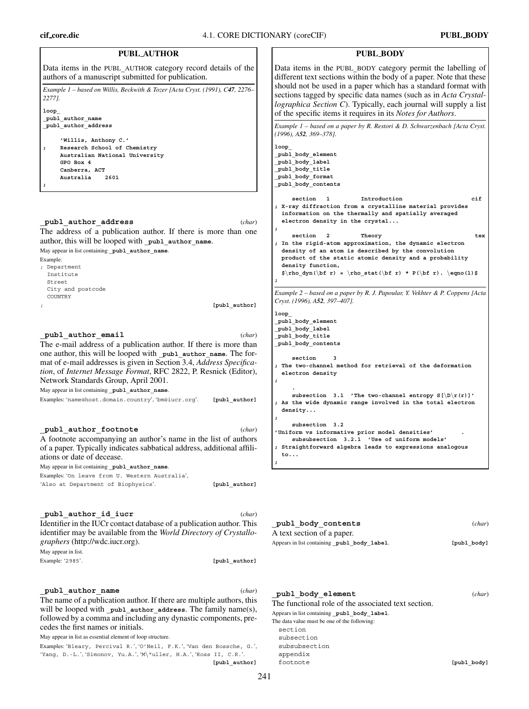| <b>PUBL_AUTHOR</b>                                                                                                                                                                                                                                                                                                                                     |                                                                     |
|--------------------------------------------------------------------------------------------------------------------------------------------------------------------------------------------------------------------------------------------------------------------------------------------------------------------------------------------------------|---------------------------------------------------------------------|
| Data items in the PUBL AUTHOR category record details of the<br>authors of a manuscript submitted for publication.                                                                                                                                                                                                                                     | Data ite<br>differer                                                |
| Example 1 – based on Willis, Beckwith & Tozer [Acta Cryst. (1991), C47, 2276–<br>2277].                                                                                                                                                                                                                                                                | should<br>sections                                                  |
| loop<br>publ_author_name                                                                                                                                                                                                                                                                                                                               | lograph<br>of the s                                                 |
| publ author address<br>'Willis, Anthony C.'                                                                                                                                                                                                                                                                                                            | Example<br>$(1996)$ , A                                             |
| Research School of Chemistry<br>;<br>Australian National University<br>GPO Box 4                                                                                                                                                                                                                                                                       | loop<br>publ b<br>publ b                                            |
| Canberra, ACT<br>Australia<br>2601                                                                                                                                                                                                                                                                                                                     | publ b<br>publ b<br>publ b                                          |
|                                                                                                                                                                                                                                                                                                                                                        | $\mathbf{s}$ e<br>; X-ray                                           |
| publ author address<br>(char)<br>The address of a publication author. If there is more than one                                                                                                                                                                                                                                                        | infor<br>elect<br>$\ddot{\phantom{0}}$<br>$\mathbf{s}$ e            |
| author, this will be looped with publ author name.<br>May appear in list containing publ author name.                                                                                                                                                                                                                                                  | ; In th<br>densi                                                    |
| Example:<br>; Department<br>Institute                                                                                                                                                                                                                                                                                                                  | produ<br>densi<br>\$\rho                                            |
| Street<br>City and postcode<br>COUNTRY                                                                                                                                                                                                                                                                                                                 | ;<br>Example                                                        |
| [publ author]<br>$\ddot{i}$                                                                                                                                                                                                                                                                                                                            | $Cryst.$ (19)<br>loop                                               |
| publ author email<br>(char)<br>The e-mail address of a publication author. If there is more than<br>one author, this will be looped with publ author name. The for-<br>mat of e-mail addresses is given in Section 3.4, Address Specifica-<br>tion, of Internet Message Format, RFC 2822, P. Resnick (Editor),<br>Network Standards Group, April 2001. | publ b<br>publ b<br>publ b<br>publ b<br>se<br>; The t<br>elect<br>; |
| May appear in list containing publ author name.<br>Examples: 'name@host.domain.country', 'bm@iucr.org'.<br>[publ author]                                                                                                                                                                                                                               | su<br>; As th<br>densi<br>;                                         |
| _publ_author_footnote<br>(char)<br>A footnote accompanying an author's name in the list of authors<br>of a paper. Typically indicates sabbatical address, additional affili-<br>ations or date of decease.                                                                                                                                             | su<br>'Unifor<br>su<br>; Strai<br>$\mathsf{to} \dots$               |
| May appear in list containing publ_author_name.<br>Examples: 'On leave from U. Western Australia',                                                                                                                                                                                                                                                     | ;                                                                   |
| 'Also at Department of Biophysics'.<br>[publ author]                                                                                                                                                                                                                                                                                                   |                                                                     |
| publ author id iucr<br>(char)<br>Identifier in the IUCr contact database of a publication author. This<br>identifier may be available from the World Directory of Crystallo-<br><i>graphers</i> (http://wdc.iucr.org).<br>May appear in list.                                                                                                          | publ<br>A text se<br>Appears in 1                                   |
| Example: '2985'.<br>[publ author]                                                                                                                                                                                                                                                                                                                      |                                                                     |
| publ author name<br>(char)<br>The name of a publication author. If there are multiple authors, this<br>will be looped with _publ_author_address. The family name(s),<br>followed by a comma and including any dynastic components, pre-                                                                                                                | publ<br>The funo<br>Appears in 1<br>The data va                     |

cedes the first names or initials. May appear in list as essential element of loop structure.

Examples: 'Bleary, Percival R.', 'O'Neil, F.K.', 'Van den Bossche, G.', 'Yang, D.-L.', 'Simonov, Yu.A.', 'M\"uller, H.A.', 'Ross II, C.R.'. **[publ\_author]**

| Data items in the PUBL_BODY category permit the labelling of<br>different text sections within the body of a paper. Note that these<br>should not be used in a paper which has a standard format with<br>sections tagged by specific data names (such as in Acta Crystal-<br>lographica Section C). Typically, each journal will supply a list<br>of the specific items it requires in its Notes for Authors. |
|---------------------------------------------------------------------------------------------------------------------------------------------------------------------------------------------------------------------------------------------------------------------------------------------------------------------------------------------------------------------------------------------------------------|
| Example $1$ – based on a paper by R. Restori & D. Schwarzenbach [Acta Cryst.<br>$(1996)$ , A52, 369–378].                                                                                                                                                                                                                                                                                                     |
| loop<br>publ_body_element<br>publ body label<br>publ body title<br>publ_body_format<br>publ_body_contents                                                                                                                                                                                                                                                                                                     |
| cif<br>section<br>1<br>Introduction<br>; X-ray diffraction from a crystalline material provides<br>information on the thermally and spatially averaged<br>electron density in the crystal<br>;                                                                                                                                                                                                                |
| section<br>2<br>Theory<br>tex<br>; In the rigid-atom approximation, the dynamic electron<br>density of an atom is described by the convolution<br>product of the static atomic density and a probability<br>density function,<br>$\rho(\bf{r}) = \rho \text{ with } \bf{r}$ * P(\bf r) . \eqno(1) \$                                                                                                          |
| ;<br>Example 2 – based on a paper by R. J. Papoular, Y. Vekhter & P. Coppens [Acta]<br>Cryst. (1996), A52, 397-407].                                                                                                                                                                                                                                                                                          |
| loop<br>$\verb publ_body_element $<br>publ_body_label<br>_publ_body_title<br>publ_body_contents                                                                                                                                                                                                                                                                                                               |
| section<br>З<br>; The two-channel method for retrieval of the deformation<br>electron density<br>;                                                                                                                                                                                                                                                                                                            |
| 3.1<br>'The two-channel entropy $S[\D\r(r)]'$<br>subsection<br>; As the wide dynamic range involved in the total electron<br>density<br>÷                                                                                                                                                                                                                                                                     |
| subsection<br>3.2<br>'Uniform vs informative prior model densities'<br>subsubsection 3.2.1<br>'Use of uniform models'                                                                                                                                                                                                                                                                                         |
| Straightforward algebra leads to expressions analogous<br>$\ddot{\phantom{0}}$                                                                                                                                                                                                                                                                                                                                |

**PUBL BODY**

| publ body contents                          | (char)      |
|---------------------------------------------|-------------|
| A text section of a paper.                  |             |
| Appears in list containing publ body label. | [publ body] |

| publ body element                                   | (char) |
|-----------------------------------------------------|--------|
| The functional role of the associated text section. |        |
| Appears in list containing publ body label.         |        |
| The data value must be one of the following:        |        |
| section                                             |        |
|                                                     |        |

subsection subsubsection appendix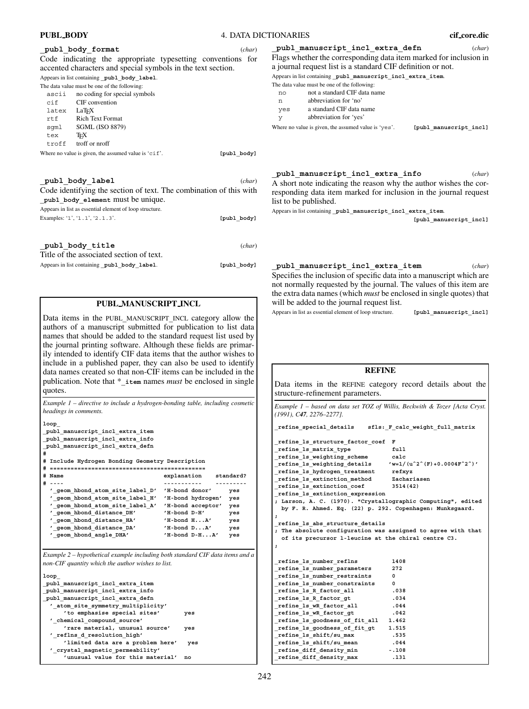### **PUBL BODY** 4. DATA DICTIONARIES **cif core.dic**

| <b>PUBL_BODY</b>     |                                                                    | 4. DATA D   |
|----------------------|--------------------------------------------------------------------|-------------|
|                      | publ body format                                                   | (char)      |
|                      | Code indicating the appropriate typesetting conventions for        |             |
|                      | accented characters and special symbols in the text section.       |             |
|                      | Appears in list containing publ body label.                        |             |
|                      | The data value must be one of the following:                       |             |
|                      | ascii no coding for special symbols                                |             |
| $\operatorname{cif}$ | CIF convention                                                     |             |
|                      | latex LaT <sub>F</sub> X                                           |             |
|                      | rtf Rich Text Format                                               |             |
|                      | $sgm1$ SGML (ISO 8879)                                             |             |
|                      | tex T <sub>F</sub> X                                               |             |
|                      | troff troff or nroff                                               |             |
|                      | Where no value is given, the assumed value is 'cif'.               | [publ body] |
|                      | publ body label                                                    | (char)      |
|                      | Code identifying the section of text. The combination of this with |             |
|                      | publ body element must be unique.                                  |             |
|                      | Appears in list as essential element of loop structure.            |             |
|                      | Examples: '1', '1.1', '2.1.3'.                                     | [publ body] |

| publ body title                             | (char)      |
|---------------------------------------------|-------------|
| Title of the associated section of text.    |             |
| Appears in list containing publ body label. | [publ body] |

# **PUBL MANUSCRIPT INCL**

Data items in the PUBL**\_**MANUSCRIPT**\_**INCL category allow the authors of a manuscript submitted for publication to list data names that should be added to the standard request list used by the journal printing software. Although these fields are primarily intended to identify CIF data items that the author wishes to include in a published paper, they can also be used to identify data names created so that non-CIF items can be included in the publication. Note that \***\_item** names *must* be enclosed in single quotes.

*Example 1 – directive to include a hydrogen-bonding table, including cosmetic headings in comments.*

```
loop_
_publ_manuscript_incl_extra_item
_publ_manuscript_incl_extra_info
_publ_manuscript_incl_extra_defn
#
# Include Hydrogen Bonding Geometry Description
# =============================================
# Name explanation standard?
# ---- ----------- ---------
 '_geom_hbond_atom_site_label_D' 'H-bond donor' yes
  '_geom_hbond_atom_site_label_H' 'H-bond hydrogen' yes
  '_geom_hbond_atom_site_label_A' 'H-bond acceptor' yes
  '_geom_hbond_distance_DH' 'H-bond D-H' yes
  '_geom_hbond_distance_HA' 'H-bond H...A' yes
  '_geom_hbond_distance_DA' 'H-bond D...A' yes
 '_geom_hbond_angle_DHA' 'H-bond D-H...A' yes
```
*Example 2 – hypothetical example including both standard CIF data items and a non-CIF quantity which the author wishes to list.*

| loop                               |     |
|------------------------------------|-----|
| publ manuscript incl extra item    |     |
| publ manuscript incl extra info    |     |
| publ manuscript incl extra defn    |     |
| ' atom site symmetry multiplicity' |     |
| 'to emphasise special sites'       | yes |
| ' chemical compound source'        |     |
| 'rare material, unusual source'    | yes |
| ' reflns d resolution high'        |     |
| 'limited data are a problem here'  | yes |
| ' crystal magnetic permeability'   |     |
| 'unusual value for this material'  | no  |

| publ manuscript incl extra defn                                   | (char) |
|-------------------------------------------------------------------|--------|
| Flags whether the corresponding data item marked for inclusion in |        |
| a journal request list is a standard CIF definition or not.       |        |
| Appears in list containing publ manuscript incl extra item.       |        |
| The data value must be one of the following:                      |        |

- no not a standard CIF data name
- n abbreviation for 'no'
- yes a standard CIF data name
- y abbreviation for 'yes'

Where no value is given, the assumed value is 'yes'. [publ\_manuscript\_incl]

# **\_publ\_manuscript\_incl\_extra\_info** (*char*)

A short note indicating the reason why the author wishes the corresponding data item marked for inclusion in the journal request list to be published.

Appears in list containing **\_publ\_manuscript\_incl\_extra\_item**.

**[publ\_manuscript\_incl]**

### **\_publ\_manuscript\_incl\_extra\_item** (*char*)

Specifies the inclusion of specific data into a manuscript which are not normally requested by the journal. The values of this item are the extra data names (which *must* be enclosed in single quotes) that will be added to the journal request list.

Appears in list as essential element of loop structure. **[publ\_manuscript\_incl]** 

#### **REFINE**

Data items in the REFINE category record details about the structure-refinement parameters.

*Example 1 – based on data set TOZ of Willis, Beckwith & Tozer [Acta Cryst. (1991), C47, 2276–2277].*

**\_refine\_special\_details sfls:\_F\_calc\_weight\_full\_matrix**

```
_refine_ls_structure_factor_coef F
_refine_ls_matrix_type full
_refine_ls_weighting_scheme calc<br>refine<sup>_</sup>ls_weighting_details /w=1/(u^2^(F)+0.0004F^2^)/
_refine_ls_weighting_details 'w=1/(uˆ2ˆ(F)+0.0004Fˆ2ˆ)'
_refine_ls_hydrogen_treatment refxyz
_refine_ls_extinction_method Zachariasen
_refine_ls_extinction_coef 3514(42)
_refine_ls_extinction_expression
; Larson, A. C. (1970). "Crystallographic Computing", edited
 by F. R. Ahmed. Eq. (22) p. 292. Copenhagen: Munksgaard.
;
_refine_ls_abs_structure_details
 ; The absolute configuration was assigned to agree with that
 of its precursor l-leucine at the chiral centre C3.
;
_refine_ls_number_reflns 1408
_refine_ls_number_parameters 272
_refine_ls_number_restraints 0
_refine_ls_number_constraints 0
_refine_ls_R_factor_all .038
_refine_ls_R_factor_gt .034
_refine_ls_wR_factor_all .044
_refine_ls_wR_factor_gt .042
_refine_ls_goodness_of_fit_all 1.462
_refine_ls_goodness_of_fit_gt 1.515
_refine_ls_shift/su_max .535
_refine_ls_shift/su_mean .044
_refine_diff_density_min -.108
_refine_diff_density_max .131
```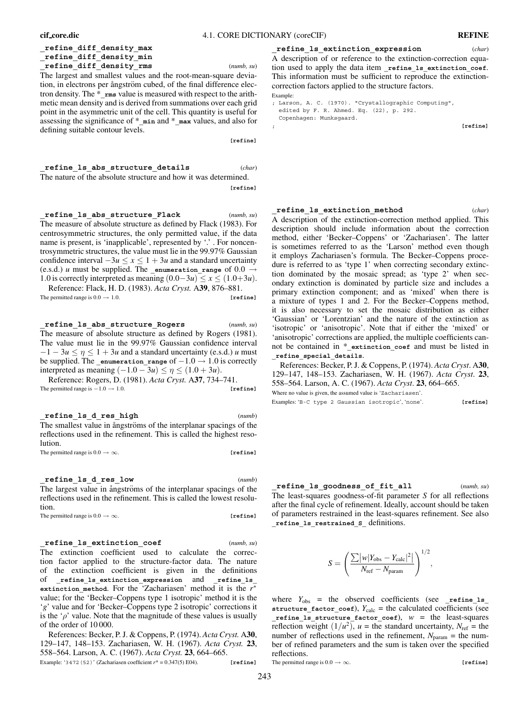**\_refine\_diff\_density\_max \_refine\_diff\_density\_min \_refine\_diff\_density\_rms** (*numb, su*)

The largest and smallest values and the root-mean-square deviation, in electrons per ångström cubed, of the final difference electron density. The \***\_rms** value is measured with respect to the arithmetic mean density and is derived from summations over each grid point in the asymmetric unit of the cell. This quantity is useful for assessing the significance of \***\_min** and \***\_max** values, and also for defining suitable contour levels.

**[refine]**

**\_refine\_ls\_abs\_structure\_details** (*char*) The nature of the absolute structure and how it was determined.

**[refine]**

**\_refine\_ls\_abs\_structure\_Flack** (*numb, su*) The measure of absolute structure as defined by Flack (1983). For centrosymmetric structures, the only permitted value, if the data name is present, is 'inapplicable', represented by '.' . For noncentrosymmetric structures, the value must lie in the 99.97% Gaussian confidence interval  $-3u$  ≤  $x$  ≤ 1 + 3*u* and a standard uncertainty (e.s.d.) *u* must be supplied. The **\_enumeration\_range** of  $0.0 \rightarrow$ 1.0 is correctly interpreted as meaning  $(0.0-3u)$  ≤  $x$  ≤  $(1.0+3u)$ .

Reference: Flack, H. D. (1983). *Acta Cryst.* A**39**, 876–881. The permitted range is  $0.0 \rightarrow 1.0$ . **[refine]** 

**\_refine\_ls\_abs\_structure\_Rogers** (*numb, su*) The measure of absolute structure as defined by Rogers (1981). The value must lie in the 99.97% Gaussian confidence interval  $-1 - 3u < n < 1 + 3u$  and a standard uncertainty (e.s.d.) *u* must be supplied. The **\_enumeration\_range** of −1.0 → 1.0 is correctly interpreted as meaning (−1.0 − 3*u*) ≤ η ≤ (1.0 + 3*u*).

Reference: Rogers, D. (1981). *Acta Cryst.* A**37**, 734–741. The permitted range is  $-1.0 \rightarrow 1.0$ . **[refine**]

**\_refine\_ls\_d\_res\_high** (*numb*) The smallest value in ångströms of the interplanar spacings of the reflections used in the refinement. This is called the highest resolution.

The permitted range is  $0.0 \rightarrow \infty$ . **[refine]** 

**\_refine\_ls\_d\_res\_low** (*numb*) The largest value in ångströms of the interplanar spacings of the reflections used in the refinement. This is called the lowest resolution.

The permitted range is  $0.0 \rightarrow \infty$ . **[refine]** 

**\_refine\_ls\_extinction\_coef** (*numb, su*) The extinction coefficient used to calculate the correction factor applied to the structure-factor data. The nature of the extinction coefficient is given in the definitions of **\_refine\_ls\_extinction\_expression** and **\_refine\_ls\_ extinction method.** For the 'Zachariasen' method it is the *r*<sup>∗</sup> value; for the 'Becker–Coppens type 1 isotropic' method it is the '*g*' value and for 'Becker–Coppens type 2 isotropic' corrections it is the ' $\rho$ ' value. Note that the magnitude of these values is usually of the order of 10 000.

References: Becker, P. J. & Coppens, P. (1974). *Acta Cryst.* A**30**, 129–147, 148–153. Zachariasen, W. H. (1967). *Acta Cryst.* **23**, 558–564. Larson, A. C. (1967). *Acta Cryst.* **23**, 664–665.

Example: '3472(52)' (Zachariasen coefficient *r*\* = 0.347(5) E04). **[refine]**

**\_refine\_ls\_extinction\_expression** (*char*)

A description of or reference to the extinction-correction equation used to apply the data item **\_refine\_ls\_extinction\_coef**. This information must be sufficient to reproduce the extinctioncorrection factors applied to the structure factors.

Example:

|                                          |  |  |  | ; Larson, A. C. (1970). "Crystallographic Computing", |  |
|------------------------------------------|--|--|--|-------------------------------------------------------|--|
| edited by F. R. Ahmed. Eq. (22), p. 292. |  |  |  |                                                       |  |
| Copenhagen: Munksgaard.                  |  |  |  |                                                       |  |

; **[refine]**

### **\_refine\_ls\_extinction\_method** (*char*)

A description of the extinction-correction method applied. This description should include information about the correction method, either 'Becker–Coppens' or 'Zachariasen'. The latter is sometimes referred to as the 'Larson' method even though it employs Zachariasen's formula. The Becker–Coppens procedure is referred to as 'type 1' when correcting secondary extinction dominated by the mosaic spread; as 'type 2' when secondary extinction is dominated by particle size and includes a primary extinction component; and as 'mixed' when there is a mixture of types 1 and 2. For the Becker–Coppens method, it is also necessary to set the mosaic distribution as either 'Gaussian' or 'Lorentzian' and the nature of the extinction as 'isotropic' or 'anisotropic'. Note that if either the 'mixed' or 'anisotropic' corrections are applied, the multiple coefficients cannot be contained in \***\_extinction\_coef** and must be listed in **\_refine\_special\_details**.

References: Becker, P. J. & Coppens, P. (1974). *Acta Cryst*. A**30**, 129–147, 148–153. Zachariasen, W. H. (1967). *Acta Cryst*. **23**, 558–564. Larson, A. C. (1967). *Acta Cryst*. **23**, 664–665. Where no value is given, the assumed value is 'Zachariasen'.

Examples: 'B-C type 2 Gaussian isotropic', 'none'. **[refine]**

**\_refine\_ls\_goodness\_of\_fit\_all** (*numb, su*) The least-squares goodness-of-fit parameter *S* for all reflections after the final cycle of refinement. Ideally, account should be taken of parameters restrained in the least-squares refinement. See also **\_refine\_ls\_restrained\_S\_** definitions.

$$
S = \left(\frac{\sum |w|Y_{\text{obs}} - Y_{\text{calc}}|^2|}{N_{\text{ref}} - N_{\text{param}}}\right)^{1/2},
$$

where  $Y_{obs}$  = the observed coefficients (see \_refine\_ls\_  $structure_factor\_coeff$ ,  $Y_{calc}$  = the calculated coefficients (see **\_refine\_ls\_structure\_factor\_coef**), *w* = the least-squares reflection weight  $(1/u^2)$ ,  $u =$  the standard uncertainty,  $N_{\text{ref}} =$  the number of reflections used in the refinement,  $N_{\text{param}} =$  the number of refined parameters and the sum is taken over the specified reflections.

The permitted range is  $0.0 \rightarrow \infty$ . **[refine]**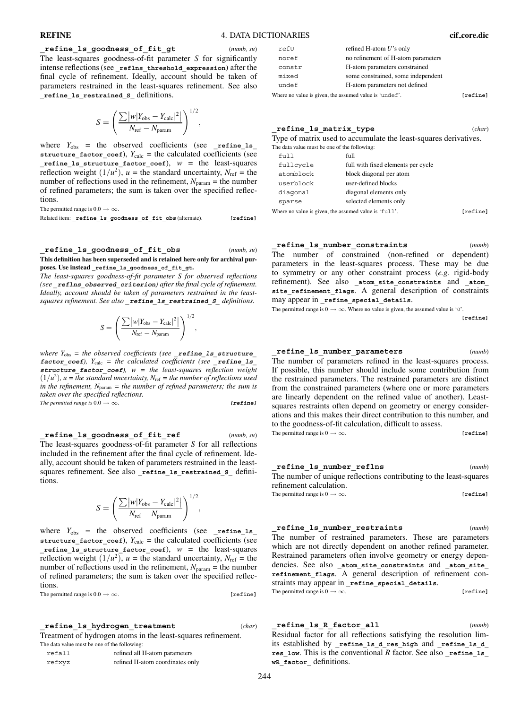### **\_refine\_ls\_goodness\_of\_fit\_gt** (*numb, su*)

The least-squares goodness-of-fit parameter *S* for significantly intense reflections (see **\_reflns\_threshold\_expression**) after the final cycle of refinement. Ideally, account should be taken of parameters restrained in the least-squares refinement. See also **\_refine\_ls\_restrained\_S\_** definitions.

$$
S = \left(\frac{\sum |w|Y_{\text{obs}} - Y_{\text{calc}}|^2|}{N_{\text{ref}} - N_{\text{param}}}\right)^{1/2}
$$

,

,

,

where  $Y_{obs}$  = the observed coefficients (see **\_refine\_ls structure** factor coef),  $Y_{\text{calc}}$  = the calculated coefficients (see **\_refine\_ls\_structure\_factor\_coef**), *w* = the least-squares reflection weight  $(1/u^2)$ ,  $u =$  the standard uncertainty,  $N_{\text{ref}} =$  the number of reflections used in the refinement,  $N_{\text{param}}$  = the number of refined parameters; the sum is taken over the specified reflections.

The permitted range is  $0.0 \rightarrow \infty$ .

Related item: **\_refine\_ls\_goodness\_of\_fit\_obs** (alternate). **[refine]**

**\_refine\_ls\_goodness\_of\_fit\_obs** (*numb, su*) **This definition has been superseded and is retained here only for archival purposes. Use instead \_refine\_ls\_goodness\_of\_fit\_gt.**

*The least-squares goodness-of-fit parameter S for observed reflections (see* **\_reflns\_observed\_criterion***) after the final cycle of refinement. Ideally, account should be taken of parameters restrained in the leastsquares refinement. See also* **\_refine\_ls\_restrained\_S\_** *definitions.*

$$
S = \left(\frac{\sum |w|Y_{\text{obs}} - Y_{\text{calc}}|^2}{N_{\text{ref}} - N_{\text{param}}}\right)^{1/2}
$$

*where*  $Y_{obs}$  = the observed coefficients (see **refine** 1s structure **factor** coef),  $Y_{\text{calc}} =$  the calculated coefficients (see **refine** 1s **structure\_factor\_coef***), w = the least-squares reflection weight*  $(1/u^2)$ ,  $u =$  the standard uncertainty,  $N_{\text{ref}} =$  the number of reflections used *in the refinement, N*param *= the number of refined parameters; the sum is taken over the specified reflections.*

*The permitted range is*  $0.0 \rightarrow \infty$ . **[refine]** 

**\_refine\_ls\_goodness\_of\_fit\_ref** (*numb, su*) The least-squares goodness-of-fit parameter *S* for all reflections included in the refinement after the final cycle of refinement. Ideally, account should be taken of parameters restrained in the leastsquares refinement. See also refine 1s restrained s definitions.

$$
S = \left(\frac{\sum |w|Y_{\text{obs}} - Y_{\text{calc}}|^2|}{N_{\text{ref}} - N_{\text{param}}}\right)^{1/2}
$$

where  $Y_{obs}$  = the observed coefficients (see **\_refine\_ls**  $structure_factor\_coeff,$   $Y_{calc}$  = the calculated coefficients (see **refine 1s structure factor coef),**  $w =$  the least-squares reflection weight  $(1/u^2)$ ,  $u =$  the standard uncertainty,  $N_{\text{ref}} =$  the number of reflections used in the refinement,  $N_{\text{param}}$  = the number of refined parameters; the sum is taken over the specified reflections.

The permitted range is  $0.0 \rightarrow \infty$ . **[refine]** 

**\_refine\_ls\_hydrogen\_treatment** (*char*)

Treatment of hydrogen atoms in the least-squares refinement.

| The data value must be one of the following: |                                 |
|----------------------------------------------|---------------------------------|
| refall                                       | refined all H-atom parameters   |
| refxyz                                       | refined H-atom coordinates only |

| refU   | refined H-atom $U$ 's only         |
|--------|------------------------------------|
| noref  | no refinement of H-atom parameters |
| constr | H-atom parameters constrained      |
| mixed  | some constrained, some independent |
| undef  | H-atom parameters not defined      |
|        |                                    |

Where no value is given, the assumed value is 'undef'. **[refine]** 

**\_refine\_ls\_matrix\_type** (*char*)

Type of matrix used to accumulate the least-squares derivatives. The data value must be one of the following:

| full      | full                               |
|-----------|------------------------------------|
| fullcycle | full with fixed elements per cycle |
| atomblock | block diagonal per atom            |
| userblock | user-defined blocks                |
| diagonal  | diagonal elements only             |
| sparse    | selected elements only             |
|           |                                    |

Where no value is given, the assumed value is 'full'. **[refine]** 

**\_refine\_ls\_number\_constraints** (*numb*)

The number of constrained (non-refined or dependent) parameters in the least-squares process. These may be due to symmetry or any other constraint process (*e.g.* rigid-body refinement). See also **\_atom\_site\_constraints** and **\_atom\_** site refinement flags. A general description of constraints may appear in **\_refine\_special\_details**.

The permitted range is  $0 \to \infty$ . Where no value is given, the assumed value is '0'. **[refine]**

# **\_refine\_ls\_number\_parameters** (*numb*)

The number of parameters refined in the least-squares process. If possible, this number should include some contribution from the restrained parameters. The restrained parameters are distinct from the constrained parameters (where one or more parameters are linearly dependent on the refined value of another). Leastsquares restraints often depend on geometry or energy considerations and this makes their direct contribution to this number, and to the goodness-of-fit calculation, difficult to assess. The permitted range is  $0 \rightarrow \infty$ . **[refine]** 

| refine ls number reflns                                            | (numb)   |
|--------------------------------------------------------------------|----------|
| The number of unique reflections contributing to the least-squares |          |
| refinement calculation.                                            |          |
| The permitted range is $0 \rightarrow \infty$ .                    | [refine] |
|                                                                    |          |

**\_refine\_ls\_number\_restraints** (*numb*) The number of restrained parameters. These are parameters which are not directly dependent on another refined parameter. Restrained parameters often involve geometry or energy dependencies. See also **\_atom\_site\_constraints** and **\_atom\_site\_ refinement\_flags**. A general description of refinement constraints may appear in **\_refine\_special\_details**. The permitted range is  $0 \rightarrow \infty$ . **[refine]** 

**\_refine\_ls\_R\_factor\_all** (*numb*) Residual factor for all reflections satisfying the resolution limits established by **\_refine\_ls\_d\_res\_high** and **\_refine\_ls\_d\_ res\_low**. This is the conventional *R* factor. See also **\_refine\_ls\_ wR\_factor\_** definitions.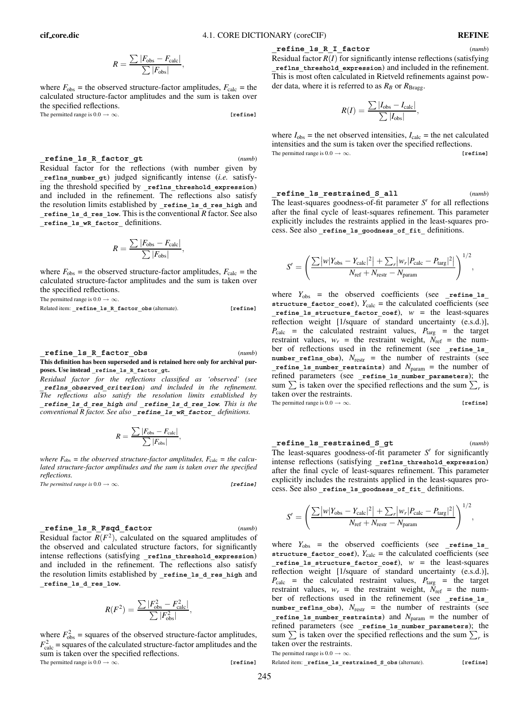$$
R = \frac{\sum |F_{\text{obs}} - F_{\text{calc}}|}{\sum |F_{\text{obs}}|},
$$

where  $F_{obs}$  = the observed structure-factor amplitudes,  $F_{calc}$  = the calculated structure-factor amplitudes and the sum is taken over the specified reflections.

The permitted range is 
$$
0.0 \rightarrow \infty
$$
. [refine]

**\_refine\_ls\_R\_factor\_gt** (*numb*) Residual factor for the reflections (with number given by **\_reflns\_number\_gt**) judged significantly intense (*i.e.* satisfying the threshold specified by reflns threshold expression) and included in the refinement. The reflections also satisfy the resolution limits established by **\_refine\_ls\_d\_res\_high** and **\_refine\_ls\_d\_res\_low**. This is the conventional *R* factor. See also **\_refine\_ls\_wR\_factor\_** definitions.

$$
R = \frac{\sum |F_{\text{obs}} - F_{\text{calc}}|}{\sum |F_{\text{obs}}|},
$$

where  $F_{obs}$  = the observed structure-factor amplitudes,  $F_{calc}$  = the calculated structure-factor amplitudes and the sum is taken over the specified reflections.

The permitted range is  $0.0 \rightarrow \infty$ .

Related item: **\_refine\_ls\_R\_factor\_obs** (alternate). **[refine]**

**\_refine\_ls\_R\_factor\_obs** (*numb*) **This definition has been superseded and is retained here only for archival purposes. Use instead \_refine\_ls\_R\_factor\_gt.**

*Residual factor for the reflections classified as 'observed' (see* **\_reflns\_observed\_criterion***) and included in the refinement. The reflections also satisfy the resolution limits established by* **\_refine\_ls\_d\_res\_high** *and* **\_refine\_ls\_d\_res\_low***. This is the conventional R factor. See also* **\_refine\_ls\_wR\_factor\_** *definitions.*

$$
R = \frac{\sum |F_{\text{obs}} - F_{\text{calc}}|}{\sum |F_{\text{obs}}|},
$$

where  $F_{obs}$  = the observed structure-factor amplitudes,  $F_{calc}$  = the calcu*lated structure-factor amplitudes and the sum is taken over the specified reflections.*

*The permitted range is*  $0.0 \rightarrow \infty$ *.* [**refine**]

**\_refine\_ls\_R\_Fsqd\_factor** (*numb*)

Residual factor  $\overline{R}(F^2)$ , calculated on the squared amplitudes of the observed and calculated structure factors, for significantly intense reflections (satisfying **\_reflns\_threshold\_expression**) and included in the refinement. The reflections also satisfy the resolution limits established by **\_refine\_ls\_d\_res\_high** and **\_refine\_ls\_d\_res\_low**.

$$
R(F^{2}) = \frac{\sum |F_{obs}^{2} - F_{calc}^{2}|}{\sum |F_{obs}^{2}|},
$$

where  $F_{obs}^2$  = squares of the observed structure-factor amplitudes,  $F_{\text{calc}}^2$  = squares of the calculated structure-factor amplitudes and the sum is taken over the specified reflections. The permitted range is  $0.0 \rightarrow \infty$ . **[refine]** 

**\_refine\_ls\_R\_I\_factor** (*numb*)

Residual factor  $R(I)$  for significantly intense reflections (satisfying **\_reflns\_threshold\_expression**) and included in the refinement. This is most often calculated in Rietveld refinements against powder data, where it is referred to as  $R_B$  or  $R_{\text{Bragg}}$ .

$$
R(I) = \frac{\sum |I_{\text{obs}} - I_{\text{calc}}|}{\sum |I_{\text{obs}}|},
$$

where  $I_{obs}$  = the net observed intensities,  $I_{calc}$  = the net calculated intensities and the sum is taken over the specified reflections. The permitted range is  $0.0 \rightarrow \infty$ . **[refine]** 

**\_refine\_ls\_restrained\_S\_all** (*numb*) The least-squares goodness-of-fit parameter  $S'$  for all reflections after the final cycle of least-squares refinement. This parameter explicitly includes the restraints applied in the least-squares process. See also **\_refine\_ls\_goodness\_of\_fit\_** definitions.

$$
S' = \left(\frac{\sum |w|Y_{\text{obs}} - Y_{\text{calc}}|^2 + \sum_r |w_r|P_{\text{calc}} - P_{\text{targ}}|^2|}{N_{\text{ref}} + N_{\text{restr}} - N_{\text{param}}}\right)^{1/2},
$$

where  $Y_{obs}$  = the observed coefficients (see **\_refine\_ls**  $structure\_factor\_coeff$ ,  $Y_{calc}$  = the calculated coefficients (see **\_refine\_ls\_structure\_factor\_coef**), *w* = the least-squares reflection weight [1/square of standard uncertainty (e.s.d.)],  $P_{\text{calc}}$  = the calculated restraint values,  $P_{\text{targ}}$  = the target restraint values,  $w_r$  = the restraint weight,  $N_{\text{ref}}$  = the number of reflections used in the refinement (see **\_refine\_ls\_**  $number_reflns_obs$ ),  $N_{restr}$  = the number of restraints (see **\_refine\_ls\_number\_restraints**) and *N*param = the number of refined parameters (see **\_refine\_ls\_number\_parameters**); the sum  $\sum$  is taken over the specified reflections and the sum  $\sum_{r}$  is taken over the restraints.

The permitted range is  $0.0 \rightarrow \infty$ . **[refine]** 

**\_refine\_ls\_restrained\_S\_gt** (*numb*) The least-squares goodness-of-fit parameter  $S'$  for significantly intense reflections (satisfying **\_reflns\_threshold\_expression**) after the final cycle of least-squares refinement. This parameter explicitly includes the restraints applied in the least-squares process. See also refine 1s goodness of fit definitions.

$$
S' = \left(\frac{\sum |w|Y_{\text{obs}} - Y_{\text{calc}}|^2 + \sum_r |w_r|P_{\text{calc}} - P_{\text{targ}}|^2|}{N_{\text{ref}} + N_{\text{restr}} - N_{\text{param}}}\right)^{1/2},
$$

where  $Y_{obs}$  = the observed coefficients (see \_refine\_ls\_  $structure_factor\_coeff$ ,  $Y_{calc}$  = the calculated coefficients (see **\_refine\_ls\_structure\_factor\_coef**), *w* = the least-squares reflection weight [1/square of standard uncertainty (e.s.d.)],  $P_{\text{calc}}$  = the calculated restraint values,  $P_{\text{targ}}$  = the target restraint values,  $w_r$  = the restraint weight,  $N_{\text{ref}}$  = the number of reflections used in the refinement (see **\_refine\_ls\_**  $number_reflns_obs$ ),  $N_{restr}$  = the number of restraints (see **\_refine\_ls\_number\_restraints**) and *N*param = the number of refined parameters (see **\_refine\_ls\_number\_parameters**); the sum  $\sum$  is taken over the specified reflections and the sum  $\sum_{r}$  is taken over the restraints.

The permitted range is  $0.0 \rightarrow \infty$ .

Related item: **\_refine\_ls\_restrained\_S\_obs** (alternate). **[refine]**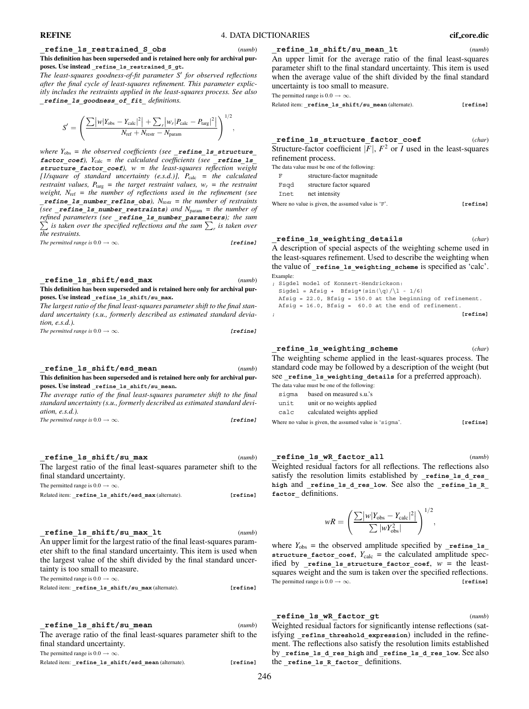**\_refine\_ls\_restrained\_S\_obs** (*numb*) **This definition has been superseded and is retained here only for archival pur-**

**poses. Use instead \_refine\_ls\_restrained\_S\_gt.** *The least-squares goodness-of-fit parameter S for observed reflections after the final cycle of least-squares refinement. This parameter explicitly includes the restraints applied in the least-squares process. See also* **\_refine\_ls\_goodness\_of\_fit\_** *definitions.*

$$
S' = \left(\frac{\sum |w|Y_{\text{obs}} - Y_{\text{calc}}|^2 + \sum_r |w_r|P_{\text{calc}} - P_{\text{targ}}|^2|}{N_{\text{ref}} + N_{\text{restr}} - N_{\text{param}}}\right)^{1/2},
$$

*where Y*obs *= the observed coefficients (see* **\_refine\_ls\_structure\_**  $\text{factor}$  coef),  $Y_{\text{calc}}$  = the calculated coefficients (see \_**refine**\_1s\_ **structure\_factor\_coef***), w = the least-squares reflection weight [1/square of standard uncertainty (e.s.d.)], P*calc *= the calculated restraint values,*  $P_{\text{targ}} =$  *the target restraint values,*  $w_r =$  *the restraint weight, N*ref *= the number of reflections used in the refinement (see refine 1s number reflns obs),*  $N_{\text{restr}} =$  *the number of restraints (see* **\_refine\_ls\_number\_restraints***) and N*param *= the number of*  $\sum$  *is taken over the specified reflections and the sum*  $\sum_{r}$  *is taken over refined parameters (see* **\_refine\_ls\_number\_parameters***); the sum the restraints.*

*The permitted range is*  $0.0 \rightarrow \infty$ . [**refine**]

**\_refine\_ls\_shift/esd\_max** (*numb*) **This definition has been superseded and is retained here only for archival purposes. Use instead \_refine\_ls\_shift/su\_max.**

*The largest ratio of the final least-squares parameter shift to the final standard uncertainty (s.u., formerly described as estimated standard deviation, e.s.d.).*

*The permitted range is*  $0.0 \rightarrow \infty$ . **[refine]** 

**\_refine\_ls\_shift/esd\_mean** (*numb*) **This definition has been superseded and is retained here only for archival purposes. Use instead \_refine\_ls\_shift/su\_mean.**

*The average ratio of the final least-squares parameter shift to the final standard uncertainty (s.u., formerly described as estimated standard deviation, e.s.d.).*

| The permitted range is $0.0 \rightarrow \infty$ . | <i>[refine]</i> |
|---------------------------------------------------|-----------------|
|---------------------------------------------------|-----------------|

**\_refine\_ls\_shift/su\_max** (*numb*) The largest ratio of the final least-squares parameter shift to the final standard uncertainty. The permitted range is  $0.0 \rightarrow \infty$ . Related item: **\_refine\_ls\_shift/esd\_max** (alternate). **[refine]**

**\_refine\_ls\_shift/su\_max\_lt** (*numb*) An upper limit for the largest ratio of the final least-squares parameter shift to the final standard uncertainty. This item is used when the largest value of the shift divided by the final standard uncertainty is too small to measure.

The permitted range is  $0.0 \rightarrow \infty$ .

| Related item: refine 1s shift/su max (alternate).<br>[refine] |  |
|---------------------------------------------------------------|--|
|---------------------------------------------------------------|--|

**\_refine\_ls\_shift/su\_mean** (*numb*) The average ratio of the final least-squares parameter shift to the final standard uncertainty.

The permitted range is  $0.0 \rightarrow \infty$ .

Related item: **\_refine\_ls\_shift/esd\_mean** (alternate). **[refine]**

**\_refine\_ls\_shift/su\_mean\_lt** (*numb*)

An upper limit for the average ratio of the final least-squares parameter shift to the final standard uncertainty. This item is used when the average value of the shift divided by the final standard uncertainty is too small to measure.

The permitted range is 0.0  $\rightarrow \infty$ .

Related item: **\_refine\_ls\_shift/su\_mean** (alternate). **[refine]**

| refine ls structure factor coef                                           | (char) |
|---------------------------------------------------------------------------|--------|
| Structure-factor coefficient $ F $ , $F^2$ or I used in the least-squares |        |
| refinement process.                                                       |        |

The data value must be one of the following:

- F structure-factor magnitude
- Fsqd structure factor squared
- Inet net intensity

Where no value is given, the assumed value is 'F'. **[refine]** 

**\_refine\_ls\_weighting\_details** (*char*) A description of special aspects of the weighting scheme used in the least-squares refinement. Used to describe the weighting when the value of **refine** 1s weighting scheme is specified as 'calc'. Example:

; Sigdel model of Konnert-Hendrickson: Sigdel = Afsig + Bfsig\*(sin(\q)/\l - 1/6) Afsig = 22.0, Bfsig = 150.0 at the beginning of refinement. Afsig =  $16.0$ , Bfsig =  $60.0$  at the end of refinement. ; **[refine]**

**\_refine\_ls\_weighting\_scheme** (*char*) The weighting scheme applied in the least-squares process. The standard code may be followed by a description of the weight (but see **\_refine\_ls\_weighting\_details** for a preferred approach).

|       | re data value must be one of the following.          |
|-------|------------------------------------------------------|
| siqma | based on measured s.u.'s                             |
| unit  | unit or no weights applied                           |
| . 7   | المستلف والمستحدث والمستند المستند المستندا والمستند |

calc calculated weights applied

**\_refine\_ls\_wR\_factor\_all** (*numb*) Weighted residual factors for all reflections. The reflections also satisfy the resolution limits established by **\_refine\_ls\_d\_res\_ high** and **\_refine\_ls\_d\_res\_low**. See also the **\_refine\_ls\_R\_ factor\_** definitions.

$$
wR = \left(\frac{\sum |w|Y_{\text{obs}} - Y_{\text{calc}}|^2|}{\sum |wY_{\text{obs}}^2|}\right)^{1/2},
$$

where  $Y_{obs}$  = the observed amplitude specified by **refine** 1s structure\_factor\_coef,  $Y_{\text{calc}}$  = the calculated amplitude specified by **refine** 1s structure factor coef,  $w =$  the leastsquares weight and the sum is taken over the specified reflections. The permitted range is  $0.0 \rightarrow \infty$ . **[refine]** 

Weighted residual factors for significantly intense reflections (satisfying **\_reflns\_threshold\_expression**) included in the refinement. The reflections also satisfy the resolution limits established by **\_refine\_ls\_d\_res\_high** and **\_refine\_ls\_d\_res\_low**. See also the **\_refine\_ls\_R\_factor\_** definitions.

**\_refine\_ls\_wR\_factor\_gt** (*numb*)

The data value must be one of the foll

Where no value is given, the assumed value is 'sigma'. **[refine]**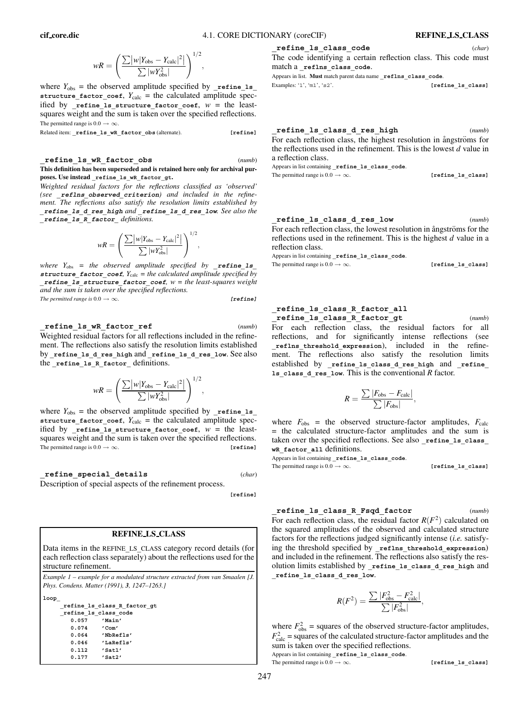$$
wR = \left(\frac{\sum |w|Y_{\text{obs}} - Y_{\text{calc}}|^2|}{\sum |wY_{\text{obs}}^2|}\right)^{1/2},
$$

where  $Y_{obs}$  = the observed amplitude specified by  $\text{refine}$  1s  $structure_factor\_coeff,$   $Y_{calc}$  = the calculated amplitude specified by **\_refine\_ls\_structure\_factor\_coef**, *w* = the leastsquares weight and the sum is taken over the specified reflections. The permitted range is  $0.0 \rightarrow \infty$ .

Related item: **refine** 1s wR factor obs (alternate). [**refine**]

**\_refine\_ls\_wR\_factor\_obs** (*numb*) **This definition has been superseded and is retained here only for archival purposes. Use instead \_refine\_ls\_wR\_factor\_gt.**

*Weighted residual factors for the reflections classified as 'observed' (see* **\_reflns\_observed\_criterion***) and included in the refinement. The reflections also satisfy the resolution limits established by* **\_refine\_ls\_d\_res\_high** *and* **\_refine\_ls\_d\_res\_low***. See also the* **\_refine\_ls\_R\_factor\_** *definitions.*

$$
wR = \left(\frac{\sum |w|Y_{\text{obs}} - Y_{\text{calc}}|^2|}{\sum |wY_{\text{obs}}^2|}\right)^{1/2},
$$

*where Y*obs *= the observed amplitude specified by* **\_refine\_ls\_ structure** factor coef,  $Y_{\text{calc}} =$  the calculated amplitude specified by **\_refine\_ls\_structure\_factor\_coef***, w = the least-squares weight and the sum is taken over the specified reflections.*

*The permitted range is*  $0.0 \rightarrow \infty$ . [**refine**]

**\_refine\_ls\_wR\_factor\_ref** (*numb*) Weighted residual factors for all reflections included in the refinement. The reflections also satisfy the resolution limits established by **\_refine\_ls\_d\_res\_high** and **\_refine\_ls\_d\_res\_low**. See also the **\_refine\_ls\_R\_factor\_** definitions.

$$
wR = \left(\frac{\sum |w|Y_{\text{obs}} - Y_{\text{calc}}|^2|}{\sum |wY_{\text{obs}}^2|}\right)^{1/2},
$$

where  $Y_{obs}$  = the observed amplitude specified by  $\text{__refine\_ls}\text{__}$ structure\_factor\_coef,  $Y_{\text{calc}}$  = the calculated amplitude specified by **refine** 1s structure factor coef,  $w =$  the leastsquares weight and the sum is taken over the specified reflections. The permitted range is  $0.0 \rightarrow \infty$ . **[refine]** 

**\_refine\_special\_details** (*char*)

Description of special aspects of the refinement process.

**[refine]**

# **REFINE LS CLASS**

Data items in the REFINE**\_**LS**\_**CLASS category record details (for each reflection class separately) about the reflections used for the structure refinement.

*Example 1 – example for a modulated structure extracted from van Smaalen [J. Phys. Condens. Matter (1991), 3, 1247–1263.]*

| loop |       |                             |
|------|-------|-----------------------------|
|      |       | refine ls class R factor gt |
|      |       | refine ls class code        |
|      | 0.057 | 'Main'                      |
|      | 0.074 | $'$ Com $'$                 |
|      | 0.064 | 'NbRefls'                   |
|      | 0.046 | 'LaRefls'                   |
|      | 0.112 | 'Satl'                      |
|      | 0.177 | $'s$ at2 $'$                |

**\_refine\_ls\_class\_code** (*char*)

The code identifying a certain reflection class. This code must match a **\_reflns\_class\_code**.

Appears in list. **Must** match parent data name **\_reflns\_class\_code**. Examples: '1', 'm1', 's2'. **[refine ls class]** 

**\_refine\_ls\_class\_d\_res\_high** (*numb*) For each reflection class, the highest resolution in ångströms for the reflections used in the refinement. This is the lowest *d* value in a reflection class.

Appears in list containing **\_refine\_ls\_class\_code**.

| The permitted range is $0.0 \rightarrow \infty$ . | [refine 1s class] |
|---------------------------------------------------|-------------------|
|                                                   |                   |



For each reflection class, the lowest resolution in angestroms for the reflections used in the refinement. This is the highest *d* value in a reflection class.

Appears in list containing **\_refine\_ls\_class\_code**.

The permitted range is  $0.0 \rightarrow \infty$ . **[refine ls class]** 

# **\_refine\_ls\_class\_R\_factor\_all \_refine\_ls\_class\_R\_factor\_gt** (*numb*)

For each reflection class, the residual factors for all reflections, and for significantly intense reflections (see **\_reflns\_threshold\_expression**), included in the refinement. The reflections also satisfy the resolution limits established by **\_refine\_ls\_class\_d\_res\_high** and **\_refine\_ ls\_class\_d\_res\_low**. This is the conventional *R* factor.

$$
R = \frac{\sum |F_{\text{obs}} - F_{\text{calc}}|}{\sum |F_{\text{obs}}|},
$$

where  $F_{obs}$  = the observed structure-factor amplitudes,  $F_{calc}$ = the calculated structure-factor amplitudes and the sum is taken over the specified reflections. See also **\_refine\_ls\_class\_ wR\_factor\_all** definitions.

Appears in list containing **\_refine\_ls\_class\_code**. The permitted range is  $0.0 \rightarrow \infty$ . **[refine ls class]** 

**\_refine\_ls\_class\_R\_Fsqd\_factor** (*numb*) For each reflection class, the residual factor  $R(F^2)$  calculated on the squared amplitudes of the observed and calculated structure factors for the reflections judged significantly intense (*i.e.* satisfying the threshold specified by reflns threshold expression) and included in the refinement. The reflections also satisfy the resolution limits established by **\_refine\_ls\_class\_d\_res\_high** and **\_refine\_ls\_class\_d\_res\_low**.

$$
R(F^{2}) = \frac{\sum |F_{\text{obs}}^{2} - F_{\text{calc}}^{2}|}{\sum |F_{\text{obs}}^{2}|},
$$

where  $F_{obs}^2$  = squares of the observed structure-factor amplitudes,  $F_{\text{calc}}^2$  = squares of the calculated structure-factor amplitudes and the sum is taken over the specified reflections.

Appears in list containing **\_refine\_ls\_class\_code**. The permitted range is  $0.0 \rightarrow \infty$ . **[refine\_ls\_class]**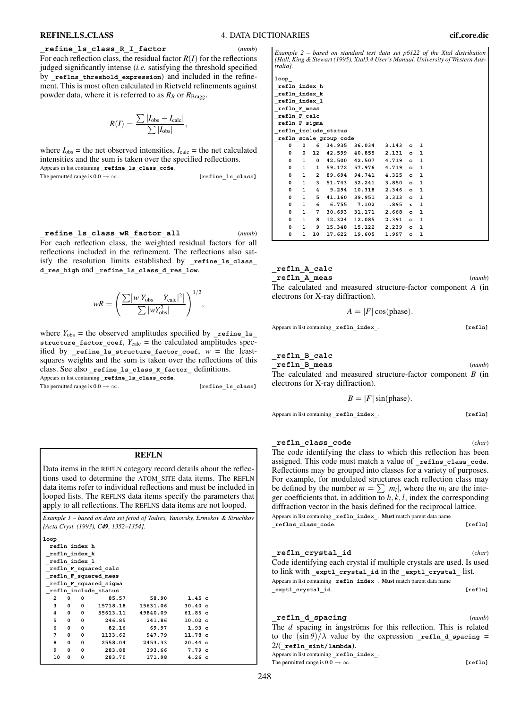# **\_refine\_ls\_class\_R\_I\_factor** (*numb*)

For each reflection class, the residual factor  $R(I)$  for the reflections judged significantly intense (*i.e.* satisfying the threshold specified by reflns threshold expression) and included in the refinement. This is most often calculated in Rietveld refinements against powder data, where it is referred to as  $R_B$  or  $R_{\text{Bragg}}$ .

$$
R(I) = \frac{\sum |I_{\text{obs}} - I_{\text{calc}}|}{\sum |I_{\text{obs}}|},
$$

where  $I_{obs}$  = the net observed intensities,  $I_{calc}$  = the net calculated intensities and the sum is taken over the specified reflections. Appears in list containing **\_refine\_ls\_class\_code**.

The permitted range is  $0.0 \rightarrow \infty$ . **[refine\_ls\_class]** 

**\_refine\_ls\_class\_wR\_factor\_all** (*numb*) For each reflection class, the weighted residual factors for all reflections included in the refinement. The reflections also satisfy the resolution limits established by refine 1s class **d\_res\_high** and **\_refine\_ls\_class\_d\_res\_low**.

$$
wR = \left(\frac{\sum |w|Y_{\text{obs}} - Y_{\text{calc}}|^2|}{\sum |wY_{\text{obs}}^2|}\right)^{1/2},
$$

where  $Y_{obs}$  = the observed amplitudes specified by refine 1s **structure factor coef,**  $Y_{\text{calc}}$  = the calculated amplitudes specified by **refine** 1s structure factor coef,  $w =$  the leastsquares weights and the sum is taken over the reflections of this class. See also **\_refine\_ls\_class\_R\_factor\_** definitions. Appears in list containing **\_refine\_ls\_class\_code**.

The permitted range is  $0.0 \rightarrow \infty$ . **[refine ls class]** 

#### **REFLN**

Data items in the REFLN category record details about the reflections used to determine the ATOM**\_**SITE data items. The REFLN data items refer to individual reflections and must be included in looped lists. The REFLNS data items specify the parameters that apply to all reflections. The REFLNS data items are not looped.

*Example 1 – based on data set fetod of Todres, Yanovsky, Ermekov & Struchkov [Acta Cryst. (1993), C49, 1352–1354].*

| loop |               |   |               |                       |          |                    |  |  |  |
|------|---------------|---|---------------|-----------------------|----------|--------------------|--|--|--|
|      | refln index h |   |               |                       |          |                    |  |  |  |
|      |               |   | refln index k |                       |          |                    |  |  |  |
|      |               |   | refln index l |                       |          |                    |  |  |  |
|      |               |   |               | refln F squared calc  |          |                    |  |  |  |
|      |               |   |               | refln F squared meas  |          |                    |  |  |  |
|      |               |   |               | refln F squared sigma |          |                    |  |  |  |
|      |               |   |               | refln include status  |          |                    |  |  |  |
|      | 2             | 0 | 0             | 85.57                 | 58.90    | $1.45$ o           |  |  |  |
|      | 3             | 0 | 0             | 15718.18              | 15631.06 | $30.40$ o          |  |  |  |
|      | 4             | 0 | 0             | 55613.11              | 49840.09 | $61.86$ $\circ$    |  |  |  |
|      | 5             | 0 | 0             | 246.85                | 241.86   | 10.02 <sub>o</sub> |  |  |  |
|      | 6             | 0 | 0             | 82.16                 | 69.97    | $1.93$ o           |  |  |  |
|      | 7             | 0 | 0             | 1133.62               | 947.79   | $11.78$ o          |  |  |  |
|      | 8             | 0 | 0             | 2558.04               | 2453.33  | $20.44$ o          |  |  |  |
|      | 9             | 0 | 0             | 283.88                | 393.66   | $7.79$ o           |  |  |  |
|      | 10            | 0 | 0             | 283.70                | 171.98   | $4.26$ o           |  |  |  |
|      |               |   |               |                       |          |                    |  |  |  |

*Example 2 – based on standard test data set p6122 of the Xtal distribution [Hall, King & Stewart (1995). Xtal3.4 User's Manual. University of Western Australia].*

| loop          |              |                |                        |                             |       |         |              |  |  |
|---------------|--------------|----------------|------------------------|-----------------------------|-------|---------|--------------|--|--|
| refln index h |              |                |                        |                             |       |         |              |  |  |
| refln_index k |              |                |                        |                             |       |         |              |  |  |
| refln_index 1 |              |                |                        |                             |       |         |              |  |  |
| refln F meas  |              |                |                        |                             |       |         |              |  |  |
| refln F calc  |              |                |                        |                             |       |         |              |  |  |
| refln F sigma |              |                |                        |                             |       |         |              |  |  |
|               |              |                | refln include status   |                             |       |         |              |  |  |
|               |              |                |                        |                             |       |         |              |  |  |
|               |              |                | refln scale group code |                             |       |         |              |  |  |
| 0             |              |                |                        | 0 6 34.935 36.034 3.143 o 1 |       |         |              |  |  |
| 0             | $\mathbf{0}$ | 12             |                        | 42.599 40.855 2.131         |       | $\circ$ | - 1          |  |  |
| 0             | $1 \quad$    | $\mathbf{0}$   |                        | 42.500 42.507 4.719 o       |       |         | - 1          |  |  |
| 0             | $1 \quad$    | $\mathbf{1}$   |                        | 59.172 57.976 4.719 o       |       |         | - 1          |  |  |
| 0             | $1 \quad$    | $\overline{a}$ |                        | 89.694 94.741 4.325         |       | $\circ$ | - 1          |  |  |
| 0             | $1 \quad$    | $\mathbf{3}$   |                        | 51.743 52.241 3.850         |       | $\circ$ | - 1          |  |  |
| 0             | $1 \quad$    | 4              |                        | 9.294 10.318 2.346 o        |       |         | $\mathbf{1}$ |  |  |
| 0             | $1 \quad$    | 5              |                        | 41.160 39.951 3.313         |       | $\circ$ | $\mathbf{1}$ |  |  |
| 0             | $1 \quad$    | 6              |                        | $6.755$ $7.102$ $.895$ < 1  |       |         |              |  |  |
| 0             | 1            | $7^{\circ}$    |                        | 30.693 31.171 2.668         |       | $\circ$ | - 1          |  |  |
| $\Omega$      | 1            | 8              |                        | 12.324 12.085 2.391         |       | $\circ$ | $\mathbf{1}$ |  |  |
| 0             | $\mathbf{1}$ | 9              |                        | 15.348 15.122 2.239 o       |       |         | 1            |  |  |
| 0             | $\mathbf{1}$ | 10             |                        | 17.622 19.605               | 1.997 | $\circ$ | $\mathbf{1}$ |  |  |
|               |              |                |                        |                             |       |         |              |  |  |

$$
\_refln\_A\_calc
$$

**\_refln\_A\_meas** (*numb*) The calculated and measured structure-factor component *A* (in

Appears in list containing **\_refln\_index\_**. **[refln]**

electrons for X-ray diffraction).

**\_refln\_B\_calc \_refln\_B\_meas** (*numb*)

The calculated and measured structure-factor component *B* (in electrons for X-ray diffraction).

 $A = |F| \cos(\text{phase}).$ 

 $B = |F| \sin(\text{phase}).$ 

Appears in list containing **\_refln\_index\_**. **[refln]**

**\_refln\_class\_code** (*char*) The code identifying the class to which this reflection has been assigned. This code must match a value of **\_reflns\_class\_code**. Reflections may be grouped into classes for a variety of purposes. For example, for modulated structures each reflection class may be defined by the number  $m = \sum |m_i|$ , where the  $m_i$  are the integer coefficients that, in addition to *h*, *k*, *l*, index the corresponding diffraction vector in the basis defined for the reciprocal lattice. Appears in list containing **\_refln\_index\_**. **Must** match parent data name **\_reflns\_class\_code**. **[refln]**

**\_refln\_crystal\_id** (*char*) Code identifying each crystal if multiple crystals are used. Is used to link with **exptl** crystal id in the **exptl** crystal list. Appears in list containing **\_refln\_index\_**. **Must** match parent data name **\_exptl\_crystal\_id**. **[refln]**

**\_refln\_d\_spacing** (*numb*) The  $d$  spacing in angströms for this reflection. This is related to the  $(\sin \theta)/\lambda$  value by the expression **\_refln\_d\_spacing** = 2/(**\_refln\_sint/lambda**).

Appears in list containing **\_refln\_index\_**. The permitted range is  $0.0 \rightarrow \infty$ . **[refln]**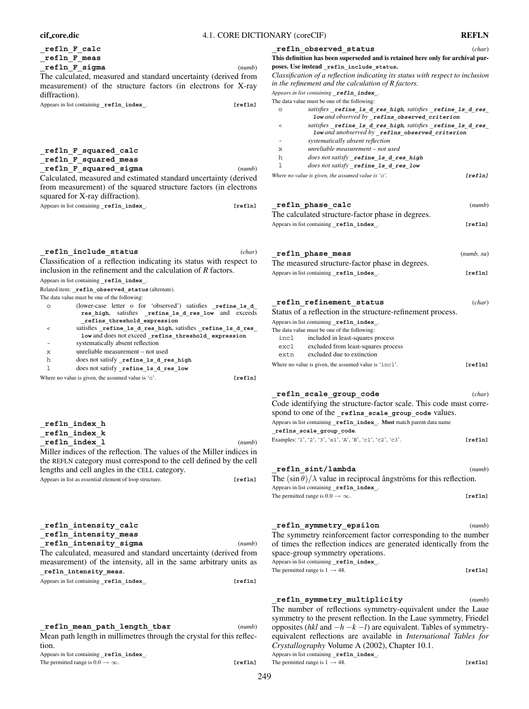|                | AE DICTIONART (COLCET)                                                                  | IVET ELY   |
|----------------|-----------------------------------------------------------------------------------------|------------|
|                | refln observed status                                                                   | (char)     |
|                | This definition has been superseded and is retained here only for archival pur-         |            |
| (numb)         | poses. Use instead refln include status.                                                |            |
| ed from        | Classification of a reflection indicating its status with respect to inclusion          |            |
| r X-ray        | in the refinement and the calculation of R factors.                                     |            |
|                | Appears in list containing refln index.<br>The data value must be one of the following: |            |
| [refln]        | satisfies _refine_ls_d_res_high,satisfies _refine_ls_d_res_<br>O                        |            |
|                | low and observed by reflns observed criterion                                           |            |
|                | satisfies _refine_1s_d_res_high, satisfies _refine_1s_d_res_<br>$\,<$                   |            |
|                | low and unobserved by _reflns_observed_criterion                                        |            |
|                | systematically absent reflection<br>unreliable measurement - not used                   |            |
|                | х<br>does not satisfy refine 1s d res high<br>h                                         |            |
|                | does not satisfy refine 1s d res_low<br>ı                                               |            |
| (numb)         | Where no value is given, the assumed value is ' $\circ$ '.                              | [refln]    |
| (derived       |                                                                                         |            |
| lectrons       |                                                                                         |            |
|                | refln phase calc                                                                        | (numb)     |
| [refln]        |                                                                                         |            |
|                | The calculated structure-factor phase in degrees.                                       | [refln]    |
|                | Appears in list containing refln index.                                                 |            |
|                |                                                                                         |            |
| (char)         |                                                                                         |            |
| spect to       | refln phase meas                                                                        | (numb, su) |
| ١.             | The measured structure-factor phase in degrees.                                         |            |
|                | Appears in list containing refln index.                                                 | [refln]    |
|                |                                                                                         |            |
|                |                                                                                         |            |
| <b>e ls d</b>  | refln refinement status                                                                 | (char)     |
| exceeds        | Status of a reflection in the structure-refinement process.                             |            |
|                | Appears in list containing refln index.                                                 |            |
| d_res_<br>sion | The data value must be one of the following:<br>incl                                    |            |
|                | included in least-squares process<br>excluded from least-squares process<br>excl        |            |
|                | excluded due to extinction<br>extn                                                      |            |
|                | Where no value is given, the assumed value is 'incl'.                                   | [refln]    |
|                |                                                                                         |            |
| [refln]        |                                                                                         |            |
|                | refln_scale_group code                                                                  | (char)     |
|                | Code identifying the structure-factor scale. This code must corre-                      |            |
|                | spond to one of the _reflns_scale_group_code values.                                    |            |
|                | Appears in list containing refln index. Must match parent data name                     |            |
|                | reflns_scale_group_code.                                                                |            |
| (numb)         | Examples: '1', '2', '3', 's1', 'A', 'B', 'c1', 'c2', 'c3'.                              | [refln]    |
| dices in       |                                                                                         |            |
| the cell       |                                                                                         |            |
|                | refln sint/lambda                                                                       | (numb)     |
| [refln]        | The $(\sin \theta)/\lambda$ value in reciprocal angströms for this reflection.          |            |
|                | Appears in list containing refln index.                                                 |            |
|                | The permitted range is $0.0 \rightarrow \infty$ .                                       | [refln]    |
|                |                                                                                         |            |
|                |                                                                                         |            |
|                | refln symmetry epsilon                                                                  | (numb)     |
|                | The symmetry reinforcement factor corresponding to the number                           |            |
| (numb)         | of times the reflection indices are generated identically from the                      |            |
| ed from        | space-group symmetry operations.                                                        |            |
| units as       | Appears in list containing refln index.                                                 |            |
|                | The permitted range is $1 \rightarrow 48$ .                                             | [refln]    |
| [refln]        |                                                                                         |            |
|                |                                                                                         |            |
|                | refln symmetry multiplicity                                                             | (numb)     |
|                | The number of reflections symmetry-equivalent under the Laue                            |            |
|                | symmetry to the present reflection. In the Laue symmetry, Friedel                       |            |
| (numb)         | opposites (hkl and $-h - k - l$ ) are equivalent. Tables of symmetry-                   |            |
| s reflec-      | equivalent reflections are available in International Tables for                        |            |

# **\_refln\_F\_calc \_refln\_F\_meas**

**\_refln\_F\_sigma** (*numb*) The calculated, measured and standard uncertainty (derived measurement) of the structure factors (in electrons for diffraction).

| Appears in list containing refln index |  | [refln] |
|----------------------------------------|--|---------|

# **\_refln\_F\_squared\_calc \_refln\_F\_squared\_meas \_refln\_F\_squared\_sigma** (*numb*)

Calculated, measured and estimated standard uncertainty ( from measurement) of the squared structure factors (in el squared for X-ray diffraction).

Appears in list containing **\_refln\_index**\_.

**\_refln\_include\_status** (*char*) Classification of a reflection indicating its status with rea inclusion in the refinement and the calculation of *R* factors.

Appears in list containing **\_refln\_index\_**.

Related item: **\_refln\_observed\_status** (alternate).

The data value must be one of the following:

- o (lower-case letter o for 'observed') satisfies **refine**  $res\_high$ , satisfies  $_refine\_ls\_d\_res\_low$  and **\_reflns\_threshold\_expression**
- < satisfies **\_refine\_ls\_d\_res\_high**, satisfies **\_refine\_ls\_d\_res\_** low and does not exceed <u>reflns</u>\_threshold\_expres
- systematically absent reflection
- x unreliable measurement not used
- h does not satisfy **\_refine\_ls\_d\_res\_high**
- l does not satisfy **\_refine\_ls\_d\_res\_low**

Where no value is given, the assumed value is  $\circ \circ$ .

| refln index h |                                                                       |
|---------------|-----------------------------------------------------------------------|
| refln index k |                                                                       |
| refln index l | (numb)                                                                |
|               | Miller indices of the reflection. The values of the Miller indices in |
|               |                                                                       |

# the REFLN category must correspond to the cell defined by lengths and cell angles in the CELL category.

Appears in list as essential element of loop structure.

| refln intensity calc  |        |
|-----------------------|--------|
| refln intensity meas  |        |
| refln intensity sigma | (numb) |

The calculated, measured and standard uncertainty (derived measurement) of the intensity, all in the same arbitrary **\_refln\_intensity\_meas**.

Appears in list containing **\_refln\_index\_**.

**\_refln\_mean\_path\_length\_tbar** (*numb*) Mean path length in millimetres through the crystal for thi tion. Appears in list containing **\_refln\_index\_**.

The permitted range is  $0.0 \rightarrow \infty$ . **[refln]** 

equivalent reflections are available in *International Tables for Crystallography* Volume A (2002), Chapter 10.1. Appears in list containing **\_refln\_index\_**.

The permitted range is  $1 \rightarrow 48$ . [refln]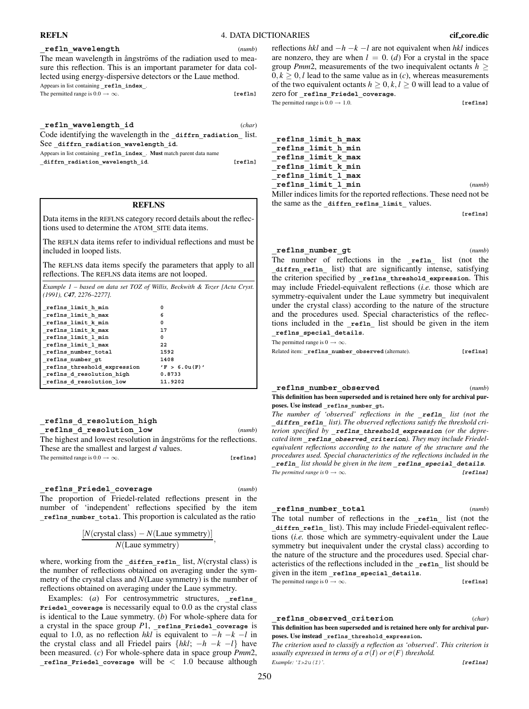# **\_refln\_wavelength** (*numb*)

The mean wavelength in ångströms of the radiation used to measure this reflection. This is an important parameter for data collected using energy-dispersive detectors or the Laue method. Appears in list containing **\_refln\_index\_**.

The permitted range is  $0.0 \rightarrow \infty$ . **[refln]** 

**\_refln\_wavelength\_id** (*char*) Code identifying the wavelength in the diffrn radiation list. See diffrn radiation wavelength id. Appears in list containing **\_refln\_index\_**. **Must** match parent data name **\_diffrn\_radiation\_wavelength\_id**. **[refln]**

# **REFLNS**

Data items in the REFLNS category record details about the reflections used to determine the ATOM**\_**SITE data items.

The REFLN data items refer to individual reflections and must be included in looped lists.

The REFLNS data items specify the parameters that apply to all reflections. The REFLNS data items are not looped.

*Example 1 – based on data set TOZ of Willis, Beckwith & Tozer [Acta Cryst. (1991), C47, 2276–2277].*

| reflns limit h min          | 0             |
|-----------------------------|---------------|
| reflns limit h max          | 6             |
| reflns limit k min          | 0             |
| reflns limit k max          | 17            |
| reflns limit 1 min          | 0             |
| reflns limit 1 max          | 22            |
| reflns number total         | 1592          |
| reflns number gt            | 1408          |
| reflns threshold expression | 'F > 6.0u(F)' |
| reflns d resolution high    | 0.8733        |
| reflns d resolution low     | 11.9202       |
|                             |               |

# **\_reflns\_d\_resolution\_high \_reflns\_d\_resolution\_low** (*numb*) The highest and lowest resolution in ångströms for the reflections. These are the smallest and largest *d* values.

The permitted range is  $0.0 \rightarrow \infty$ . **[reflns]** 

# **\_reflns\_Friedel\_coverage** (*numb*)

The proportion of Friedel-related reflections present in the number of 'independent' reflections specified by the item **\_reflns\_number\_total**. This proportion is calculated as the ratio

$$
\frac{[N(crystal class) - N(Laue symmetry)]}{N(Laue symmetry)},
$$

where, working from the diffrn refln list, *N*(crystal class) is the number of reflections obtained on averaging under the symmetry of the crystal class and *N*(Laue symmetry) is the number of reflections obtained on averaging under the Laue symmetry.

Examples: (*a*) For centrosymmetric structures, reflns Friedel coverage is necessarily equal to 0.0 as the crystal class is identical to the Laue symmetry. (*b*) For whole-sphere data for a crystal in the space group *P*1, **\_reflns\_Friedel\_coverage** is equal to 1.0, as no reflection *hkl* is equivalent to −*h* −*k* −*l* in the crystal class and all Friedel pairs  $\{hkl; -h -k -l\}$  have been measured. (*c*) For whole-sphere data in space group *Pmm*2, **\_reflns\_Friedel\_coverage** will be < 1.0 because although

reflections *hkl* and −*h* −*k* −*l* are not equivalent when *hkl* indices are nonzero, they are when  $l = 0$ . (*d*) For a crystal in the space group *Pmm*2, measurements of the two inequivalent octants  $h \geq$  $0, k \geq 0, l$  lead to the same value as in (*c*), whereas measurements of the two equivalent octants  $h \geq 0, k, l \geq 0$  will lead to a value of zero for **\_reflns\_Friedel\_coverage**. The permitted range is  $0.0 \rightarrow 1.0$ . **[reflns]** 

**\_reflns\_limit\_h\_max \_reflns\_limit\_h\_min \_reflns\_limit\_k\_max \_reflns\_limit\_k\_min \_reflns\_limit\_l\_max \_reflns\_limit\_l\_min** (*numb*)

Miller indices limits for the reported reflections. These need not be the same as the diffrn reflns limit values.

**[reflns]**

**\_reflns\_number\_gt** (*numb*) The number of reflections in the **refln** list (not the **\_diffrn\_refln\_** list) that are significantly intense, satisfying the criterion specified by reflns threshold expression. This may include Friedel-equivalent reflections (*i.e.* those which are symmetry-equivalent under the Laue symmetry but inequivalent under the crystal class) according to the nature of the structure and the procedures used. Special characteristics of the reflections included in the **refln** list should be given in the item **\_reflns\_special\_details**.

The permitted range is  $0 \rightarrow \infty$ .

Related item: **\_reflns\_number\_observed** (alternate). **[reflns]**

### **\_reflns\_number\_observed** (*numb*) **This definition has been superseded and is retained here only for archival purposes. Use instead \_reflns\_number\_gt.**

*The number of 'observed' reflections in the* **\_refln\_** *list (not the* **\_diffrn\_refln\_** *list). The observed reflections satisfy the threshold criterion specified by* **\_reflns\_threshold\_expression** *(or the deprecated item* **\_reflns\_observed\_criterion***). They may include Friedelequivalent reflections according to the nature of the structure and the procedures used. Special characteristics of the reflections included in the* **\_refln\_** *list should be given in the item* **\_reflns\_special\_details***. The permitted range is*  $0 \rightarrow \infty$ . **[reflns]** 

# **\_reflns\_number\_total** (*numb*) The total number of reflections in the **\_refln\_** list (not the **\_diffrn\_refln\_** list). This may include Friedel-equivalent reflections (*i.e.* those which are symmetry-equivalent under the Laue symmetry but inequivalent under the crystal class) according to the nature of the structure and the procedures used. Special characteristics of the reflections included in the **\_refln\_** list should be

given in the item **\_reflns\_special\_details**.

**\_reflns\_observed\_criterion** (*char*) **This definition has been superseded and is retained here only for archival purposes. Use instead \_reflns\_threshold\_expression.** *The criterion used to classify a reflection as 'observed'. This criterion is*

The permitted range is  $0 \to \infty$ . **[reflns]** 

*usually expressed in terms of a*  $\sigma(I)$  *or*  $\sigma(F)$  *threshold. Example: '*I>2u(I)*'.* **[reflns]**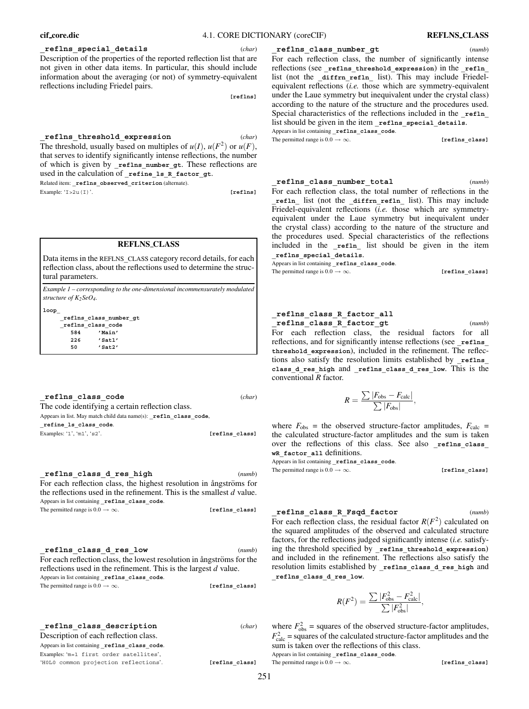### **cif core.dic** 4.1. CORE DICTIONARY (coreCIF) **REFLNS CLASS**

### **\_reflns\_special\_details** (*char*)

Description of the properties of the reported reflection list that are not given in other data items. In particular, this should include information about the averaging (or not) of symmetry-equivalent reflections including Friedel pairs.

**[reflns]**

**\_reflns\_threshold\_expression** (*char*) The threshold, usually based on multiples of  $u(I)$ ,  $u(F^2)$  or  $u(F)$ , that serves to identify significantly intense reflections, the number of which is given by **\_reflns\_number\_gt**. These reflections are used in the calculation of **\_refine\_ls\_R\_factor\_gt**. Related item: **\_reflns\_observed\_criterion** (alternate).

Example: 'I>2u(I)'. **[reflns]** 

# **REFLNS CLASS**

Data items in the REFLNS**\_**CLASS category record details, for each reflection class, about the reflections used to determine the structural parameters.

*Example 1 – corresponding to the one-dimensional incommensurately modulated structure of K2SeO4.*

**loop\_**

**\_reflns\_class\_number\_gt \_reflns\_class\_code 584 'Main' 226 'Sat1' 50 'Sat2'**

**\_reflns\_class\_code** (*char*) The code identifying a certain reflection class. Appears in list. May match child data name(s): **\_refln\_class\_code**, **\_refine\_ls\_class\_code**. Examples: '1', 'm1', 's2'. **[reflns\_class]**

**\_reflns\_class\_d\_res\_high** (*numb*) For each reflection class, the highest resolution in angströms for the reflections used in the refinement. This is the smallest *d* value. Appears in list containing reflns class code. The permitted range is  $0.0 \rightarrow \infty$ . **[reflns\_class]** 

**\_reflns\_class\_d\_res\_low** (*numb*) For each reflection class, the lowest resolution in angstroms for the reflections used in the refinement. This is the largest *d* value. Appears in list containing reflns class code. The permitted range is  $0.0 \rightarrow \infty$ . **[reflns\_class]** 

**\_reflns\_class\_description** (*char*)

Description of each reflection class.

Appears in list containing **\_reflns\_class\_code**. Examples: 'm=1 first order satellites', 'H0L0 common projection reflections'. **[reflns\_class]**

**\_reflns\_class\_number\_gt** (*numb*)

For each reflection class, the number of significantly intense reflections (see **\_reflns\_threshold\_expression**) in the **\_refln\_** list (not the diffrn refln list). This may include Friedelequivalent reflections (*i.e.* those which are symmetry-equivalent under the Laue symmetry but inequivalent under the crystal class) according to the nature of the structure and the procedures used. Special characteristics of the reflections included in the **refln** list should be given in the item reflns special details. Appears in list containing **\_reflns\_class\_code**.

The permitted range is  $0.0 \rightarrow \infty$ . **[reflns\_class]** 

**\_reflns\_class\_number\_total** (*numb*) For each reflection class, the total number of reflections in the **\_refln\_** list (not the **\_diffrn\_refln\_** list). This may include Friedel-equivalent reflections (*i.e.* those which are symmetryequivalent under the Laue symmetry but inequivalent under the crystal class) according to the nature of the structure and the procedures used. Special characteristics of the reflections included in the **\_refln\_** list should be given in the item **\_reflns\_special\_details**.

Appears in list containing **\_reflns\_class\_code**. The permitted range is  $0.0 \rightarrow \infty$ . **[reflns\_class]** 

# **\_reflns\_class\_R\_factor\_all**

**\_reflns\_class\_R\_factor\_gt** (*numb*) For each reflection class, the residual factors for all reflections, and for significantly intense reflections (see **\_reflns\_ threshold\_expression**), included in the refinement. The reflections also satisfy the resolution limits established by **\_reflns\_ class\_d\_res\_high** and **\_reflns\_class\_d\_res\_low**. This is the conventional *R* factor.

$$
R = \frac{\sum |F_{\text{obs}} - F_{\text{calc}}|}{\sum |F_{\text{obs}}|},
$$

where  $F_{\text{obs}}$  = the observed structure-factor amplitudes,  $F_{\text{calc}}$  = the calculated structure-factor amplitudes and the sum is taken over the reflections of this class. See also reflns class **wR\_factor\_all** definitions.

Appears in list containing **\_reflns\_class\_code**. The permitted range is  $0.0 \rightarrow \infty$ . **[reflns\_class]** 

**\_reflns\_class\_R\_Fsqd\_factor** (*numb*) For each reflection class, the residual factor  $R(F^2)$  calculated on the squared amplitudes of the observed and calculated structure factors, for the reflections judged significantly intense (*i.e.* satisfying the threshold specified by **\_reflns\_threshold\_expression**) and included in the refinement. The reflections also satisfy the resolution limits established by **\_reflns\_class\_d\_res\_high** and **\_reflns\_class\_d\_res\_low**.

$$
R(F^{2}) = \frac{\sum |F_{\text{obs}}^{2} - F_{\text{calc}}^{2}|}{\sum |F_{\text{obs}}^{2}|},
$$

where  $F_{obs}^2$  = squares of the observed structure-factor amplitudes,  $F_{\text{calc}}^2$  = squares of the calculated structure-factor amplitudes and the sum is taken over the reflections of this class. Appears in list containing **\_reflns\_class\_code**.

The permitted range is  $0.0 \rightarrow \infty$ . **[reflns\_class]**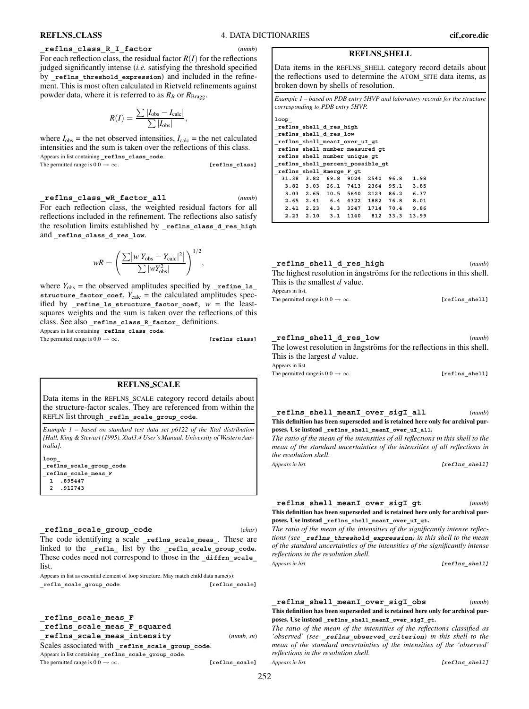## **\_reflns\_class\_R\_I\_factor** (*numb*)

For each reflection class, the residual factor  $R(I)$  for the reflections judged significantly intense (*i.e.* satisfying the threshold specified by reflns threshold expression) and included in the refinement. This is most often calculated in Rietveld refinements against powder data, where it is referred to as  $R_B$  or  $R_{\text{Bragg}}$ .

$$
R(I) = \frac{\sum |I_{\text{obs}} - I_{\text{calc}}|}{\sum |I_{\text{obs}}|},
$$

where  $I_{obs}$  = the net observed intensities,  $I_{calc}$  = the net calculated intensities and the sum is taken over the reflections of this class. Appears in list containing reflns class code.

The permitted range is  $0.0 \rightarrow \infty$ . **[reflns\_class]** 

**\_reflns\_class\_wR\_factor\_all** (*numb*)

For each reflection class, the weighted residual factors for all reflections included in the refinement. The reflections also satisfy the resolution limits established by reflns class d res high and reflns class d res low.

$$
wR = \left(\frac{\sum |w|Y_{\text{obs}} - Y_{\text{calc}}|^2|}{\sum |wY_{\text{obs}}^2|}\right)^{1/2},
$$

where  $Y_{obs}$  = the observed amplitudes specified by **refine** 1s **structure** factor coef,  $Y_{\text{calc}}$  = the calculated amplitudes specified by **refine** 1s structure factor coef,  $w =$  the leastsquares weights and the sum is taken over the reflections of this class. See also **\_reflns\_class\_R\_factor\_** definitions.

Appears in list containing reflns class code. The permitted range is  $0.0 \rightarrow \infty$ . **[reflns class]** 

### **REFLNS SCALE**

Data items in the REFLNS**\_**SCALE category record details about the structure-factor scales. They are referenced from within the REFLN list through **\_refln\_scale\_group\_code**.

*Example 1 – based on standard test data set p6122 of the Xtal distribution [Hall, King & Stewart (1995). Xtal3.4 User's Manual. University of Western Australia].*

**loop\_ \_reflns\_scale\_group\_code \_reflns\_scale\_meas\_F 1 .895447 2 .912743**

### **\_reflns\_scale\_group\_code** (*char*)

The code identifying a scale **\_reflns\_scale\_meas\_**. These are linked to the **refln** list by the **refln** scale group code. These codes need not correspond to those in the diffrn scale list.

Appears in list as essential element of loop structure. May match child data name(s): **\_refln\_scale\_group\_code**. **[reflns\_scale]**

**\_reflns\_scale\_meas\_F \_reflns\_scale\_meas\_F\_squared \_reflns\_scale\_meas\_intensity** (*numb, su*) Scales associated with **\_reflns\_scale\_group\_code**. Appears in list containing **\_reflns\_scale\_group\_code**.

The permitted range is  $0.0 \rightarrow \infty$ . **[reflns\_scale]** 

### **REFLNS SHELL**

Data items in the REFLNS**\_**SHELL category record details about the reflections used to determine the ATOM**\_**SITE data items, as broken down by shells of resolution.

|                                     |                                    |  |  |                                    | Example $1$ – based on PDB entry 5HVP and laboratory records for the structure |
|-------------------------------------|------------------------------------|--|--|------------------------------------|--------------------------------------------------------------------------------|
| corresponding to PDB entry 5HVP.    |                                    |  |  |                                    |                                                                                |
|                                     |                                    |  |  |                                    |                                                                                |
| loop                                |                                    |  |  |                                    |                                                                                |
| reflns_shell_d_res high             |                                    |  |  |                                    |                                                                                |
| reflns shell d res low              |                                    |  |  |                                    |                                                                                |
| reflns shell meanI over uI gt       |                                    |  |  |                                    |                                                                                |
| reflns shell number measured gt     |                                    |  |  |                                    |                                                                                |
| reflns shell number unique gt       |                                    |  |  |                                    |                                                                                |
| reflns shell percent possible gt    |                                    |  |  |                                    |                                                                                |
| reflns shell Rmerge F gt            |                                    |  |  |                                    |                                                                                |
| 31.38 3.82 69.8 9024 2540 96.8 1.98 |                                    |  |  |                                    |                                                                                |
|                                     |                                    |  |  | 3.82 3.03 26.1 7413 2364 95.1 3.85 |                                                                                |
|                                     | 3.03 2.65 10.5 5640 2123 86.2 6.37 |  |  |                                    |                                                                                |
|                                     | 2.65 2.41 6.4 4322 1882 76.8 8.01  |  |  |                                    |                                                                                |
|                                     |                                    |  |  | 2.41 2.23 4.3 3247 1714 70.4 9.86  |                                                                                |
|                                     | $2.23$ $2.10$ $3.1$ $1140$         |  |  | 812 33.3 13.99                     |                                                                                |

| reflns shell d res high                                                | (numb)         |
|------------------------------------------------------------------------|----------------|
| The highest resolution in ångströms for the reflections in this shell. |                |
| This is the smallest d value.                                          |                |
| Appears in list.                                                       |                |
| The permitted range is $0.0 \rightarrow \infty$ .                      | [reflns shell] |
|                                                                        |                |
|                                                                        |                |
|                                                                        |                |
|                                                                        |                |

**\_reflns\_shell\_d\_res\_low** (*numb*) The lowest resolution in ångströms for the reflections in this shell. This is the largest *d* value. Appears in list.

The permitted range is  $0.0 \rightarrow \infty$ . **[reflns\_shell**]

**\_reflns\_shell\_meanI\_over\_sigI\_all** (*numb*) **This definition has been superseded and is retained here only for archival purposes. Use instead \_reflns\_shell\_meanI\_over\_uI\_all.**

*The ratio of the mean of the intensities of all reflections in this shell to the mean of the standard uncertainties of the intensities of all reflections in the resolution shell.*

*Appears in list.* **[reflns\_shell]**

| reflns shell meanI over sigI gt                                                 | (numb) |
|---------------------------------------------------------------------------------|--------|
| This definition has been superseded and is retained here only for archival pur- |        |
| poses. Use instead reflns shell meanI over uI gt.                               |        |

*The ratio of the mean of the intensities of the significantly intense reflections (see* **\_reflns\_threshold\_expression***) in this shell to the mean of the standard uncertainties of the intensities of the significantly intense reflections in the resolution shell.*

*Appears in list.* **[reflns\_shell]**

**\_reflns\_shell\_meanI\_over\_sigI\_obs** (*numb*) **This definition has been superseded and is retained here only for archival purposes. Use instead \_reflns\_shell\_meanI\_over\_sigI\_gt.**

*The ratio of the mean of the intensities of the reflections classified as 'observed' (see* **\_reflns\_observed\_criterion***) in this shell to the mean of the standard uncertainties of the intensities of the 'observed' reflections in the resolution shell.*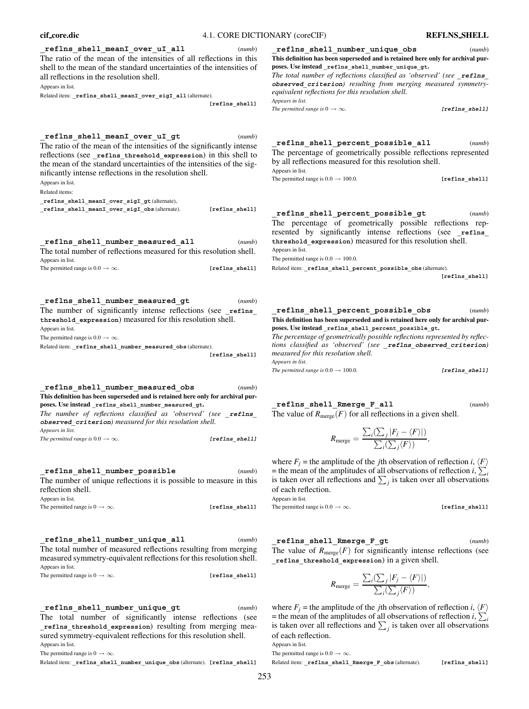| cif_core.dic                                                                                                                                                                                                                                                                                                                                        |                                            | 4.1. CORE DICTIONARY (coreCIF)                                                                                                                                                                                                                                                                                                                                                                                                                 | <b>REFLNS SHELL</b>      |
|-----------------------------------------------------------------------------------------------------------------------------------------------------------------------------------------------------------------------------------------------------------------------------------------------------------------------------------------------------|--------------------------------------------|------------------------------------------------------------------------------------------------------------------------------------------------------------------------------------------------------------------------------------------------------------------------------------------------------------------------------------------------------------------------------------------------------------------------------------------------|--------------------------|
| reflns shell meanI over uI all<br>The ratio of the mean of the intensities of all reflections in this<br>shell to the mean of the standard uncertainties of the intensities of<br>all reflections in the resolution shell.<br>Appears in list.<br>Related item: _reflns_shell_meanI_over_sigI_all(alternate).                                       | (numb)                                     | reflns shell number unique obs<br>This definition has been superseded and is retained here only for archival pur-<br>poses. Use instead _reflns_shell_number_unique_gt.<br>The total number of reflections classified as 'observed' (see reflns<br>observed_criterion) resulting from merging measured symmetry-<br>equivalent reflections for this resolution shell.<br>Appears in list.                                                      | (numb)                   |
|                                                                                                                                                                                                                                                                                                                                                     | [reflns shell]                             | The permitted range is $0 \rightarrow \infty$ .                                                                                                                                                                                                                                                                                                                                                                                                | [reflns shell]           |
| reflns shell meanI over uI gt<br>The ratio of the mean of the intensities of the significantly intense<br>reflections (see _reflns_threshold_expression) in this shell to<br>the mean of the standard uncertainties of the intensities of the sig-<br>nificantly intense reflections in the resolution shell.<br>Appears in list.<br>Related items: | (numb)                                     | reflns shell percent possible all<br>The percentage of geometrically possible reflections represented<br>by all reflections measured for this resolution shell.<br>Appears in list.<br>The permitted range is $0.0 \rightarrow 100.0$ .                                                                                                                                                                                                        | (numb)<br>[reflns_shell] |
| reflns_shell_meanI_over_sigI_gt(alternate),                                                                                                                                                                                                                                                                                                         |                                            |                                                                                                                                                                                                                                                                                                                                                                                                                                                |                          |
| reflns_shell_meanI_over_sigI_obs(alternate).<br>reflns shell number measured all<br>The total number of reflections measured for this resolution shell.<br>Appears in list.<br>The permitted range is $0.0 \rightarrow \infty$ .                                                                                                                    | [reflns_shell]<br>(numb)<br>[reflns_shell] | reflns shell percent possible gt<br>The percentage of geometrically possible reflections rep-<br>resented by significantly intense reflections (see _reflns<br>threshold_expression) measured for this resolution shell.<br>Appears in list.<br>The permitted range is $0.0 \rightarrow 100.0$ .<br>Related item: reflns shell percent possible obs (alternate).                                                                               | (numb)                   |
|                                                                                                                                                                                                                                                                                                                                                     |                                            |                                                                                                                                                                                                                                                                                                                                                                                                                                                | [reflns_shell]           |
| reflns shell number measured gt<br>The number of significantly intense reflections (see reflns<br>threshold expression) measured for this resolution shell.<br>Appears in list.<br>The permitted range is $0.0 \rightarrow \infty$ .<br>Related item: reflns shell number measured obs (alternate).                                                 | (numb)<br>[reflns_shell]                   | _reflns_shell_percent_possible_obs<br>This definition has been superseded and is retained here only for archival pur-<br>poses. Use instead reflns shell percent possible gt.<br>The percentage of geometrically possible reflections represented by reflec-<br>tions classified as 'observed' (see _reflns_observed_criterion)<br>measured for this resolution shell.<br>Appears in list.<br>The permitted range is $0.0 \rightarrow 100.0$ . | (numb)<br>[reflns shell] |
| reflns shell number measured obs                                                                                                                                                                                                                                                                                                                    | (numb)                                     |                                                                                                                                                                                                                                                                                                                                                                                                                                                |                          |
| This definition has been superseded and is retained here only for archival pur-<br>poses. Use instead _reflns_shell_number_measured_gt.<br>The number of reflections classified as 'observed' (see _ <b>reflns</b><br>observed_criterion) measured for this resolution shell.                                                                       |                                            | reflns_shell_Rmerge_F_all_<br>The value of $R_{\text{merge}}(F)$ for all reflections in a given shell.                                                                                                                                                                                                                                                                                                                                         | (numb)                   |
| Appears in list.<br>The permitted range is $0.0 \rightarrow \infty$ .                                                                                                                                                                                                                                                                               | [reflns shell]                             | $R_{\text{merge}} = \frac{\sum_i (\sum_j  F_j - \langle F \rangle )}{\sum_i (\sum_j \langle F \rangle)},$                                                                                                                                                                                                                                                                                                                                      |                          |
| _reflns_shell_number_possible<br>The number of unique reflections it is possible to measure in this<br>reflection shell.<br>Appears in list.<br>The permitted range is $0 \rightarrow \infty$ .                                                                                                                                                     | (numb)<br>[reflns_shell]                   | where $F_j$ = the amplitude of the <i>j</i> th observation of reflection <i>i</i> , $\langle F \rangle$<br>= the mean of the amplitudes of all observations of reflection i, $\sum_i$<br>is taken over all reflections and $\sum_i$ is taken over all observations<br>of each reflection.<br>Appears in list.<br>The permitted range is $0.0 \rightarrow \infty$ .                                                                             | [reflns_shell]           |
|                                                                                                                                                                                                                                                                                                                                                     |                                            |                                                                                                                                                                                                                                                                                                                                                                                                                                                |                          |
| _reflns_shell_number_unique_all<br>The total number of measured reflections resulting from merging<br>measured symmetry-equivalent reflections for this resolution shell.<br>Appears in list.                                                                                                                                                       | (numb)                                     | _reflns_shell_Rmerge_F_gt<br>The value of $R_{\text{merge}}(F)$ for significantly intense reflections (see<br>_reflns_threshold_expression) in a given shell.                                                                                                                                                                                                                                                                                  | (numb)                   |
| The permitted range is $0 \rightarrow \infty$ .                                                                                                                                                                                                                                                                                                     | [reflns_shell]                             | $R_{\text{merge}} = \frac{\sum_i (\sum_j  F_j - \langle F \rangle )}{\sum_i (\sum_i \langle F \rangle)},$                                                                                                                                                                                                                                                                                                                                      |                          |
| reflns shell number unique gt<br>The total number of significantly intense reflections (see<br>_reflns_threshold_expression) resulting from merging mea-                                                                                                                                                                                            | (numb)                                     | where $F_i$ = the amplitude of the <i>j</i> th observation of reflection <i>i</i> , $\langle F \rangle$<br>= the mean of the amplitudes of all observations of reflection i, $\sum_i$<br>is taken over all reflections and $\sum_i$ is taken over all observations                                                                                                                                                                             |                          |

The total number of significantly intense reflections (see **\_reflns\_threshold\_expression**) resulting from merging measured symmetry-equivalent reflections for this resolution shell. Appears in list.

The permitted range is 0  $\rightarrow \infty$ .

Related item: **\_reflns\_shell\_number\_unique\_obs** (alternate). **[reflns\_shell]**

of each reflection. Appears in list.

The permitted range is  $0.0 \rightarrow \infty$ .

Related item: **\_reflns\_shell\_Rmerge\_F\_obs** (alternate). **[reflns\_shell]**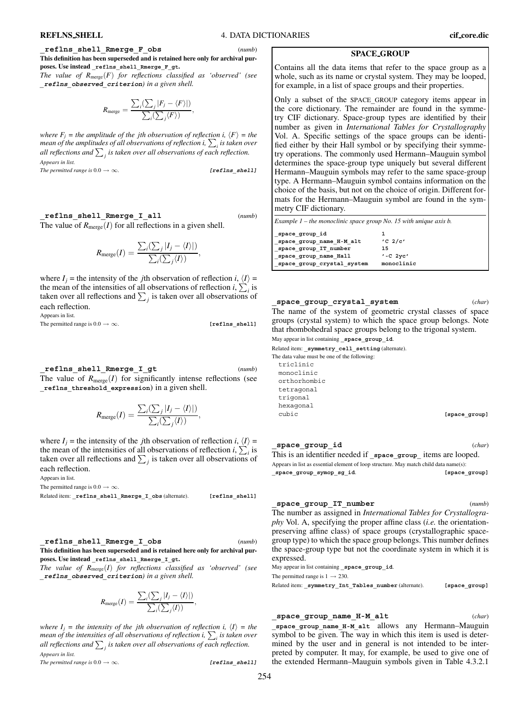**\_reflns\_shell\_Rmerge\_F\_obs** (*numb*) **This definition has been superseded and is retained here only for archival purposes. Use instead \_reflns\_shell\_Rmerge\_F\_gt.**

*The value of*  $R_{\text{merge}}(F)$  *for reflections classified as 'observed' (see* **\_reflns\_observed\_criterion***) in a given shell.*

$$
R_{\text{merge}} = \frac{\sum_i (\sum_j |F_j - \langle F \rangle|)}{\sum_i (\sum_j \langle F \rangle)},
$$

*where*  $F_j$  = *the amplitude of the jth observation of reflection i,*  $\langle F \rangle$  = *the* mean of the amplitudes of all observations of reflection i,  $\sum_i$  is taken over all reflections and  $\sum_j$  is taken over all observations of each reflection. *Appears in list.*

*The permitted range is*  $0.0 \rightarrow \infty$ . **[reflns shell]** 

**\_reflns\_shell\_Rmerge\_I\_all** (*numb*) The value of  $R_{\text{merge}}(I)$  for all reflections in a given shell.

$$
R_{\text{merge}}(I) = \frac{\sum_i (\sum_j |I_j - \langle I \rangle|)}{\sum_i (\sum_j \langle I \rangle)},
$$

where  $I_i$  = the intensity of the *j*th observation of reflection *i*,  $\langle I \rangle$  = the mean of the intensities of all observations of reflection  $i$ ,  $\sum_i$  is taken over all reflections and  $\sum_j$  is taken over all observations of each reflection.

Appears in list. The permitted range is  $0.0 \rightarrow \infty$ . **[reflns\_shell**]

**\_reflns\_shell\_Rmerge\_I\_gt** (*numb*) The value of  $R_{\text{merge}}(I)$  for significantly intense reflections (see

**\_reflns\_threshold\_expression**) in a given shell.

$$
R_{\text{merge}}(I) = \frac{\sum_i (\sum_j |I_j - \langle I \rangle|)}{\sum_i (\sum_j \langle I \rangle)},
$$

where  $I_j$  = the intensity of the *j*th observation of reflection *i*,  $\langle I \rangle$  = the mean of the intensities of all observations of reflection  $i$ ,  $\sum_i$  is taken over all reflections and  $\sum_j$  is taken over all observations of each reflection.

Appears in list.

The permitted range is  $0.0 \rightarrow \infty$ .

Related item: **\_reflns\_shell\_Rmerge\_I\_obs** (alternate). **[reflns\_shell]**

**\_reflns\_shell\_Rmerge\_I\_obs** (*numb*) **This definition has been superseded and is retained here only for archival pur-**

**poses. Use instead \_reflns\_shell\_Rmerge\_I\_gt.** *The value of R*merge(*I*) *for reflections classified as 'observed' (see*

**\_reflns\_observed\_criterion***) in a given shell.*

$$
R_{\text{merge}}(I) = \frac{\sum_i (\sum_j |I_j - \langle I \rangle|)}{\sum_i (\sum_j \langle I \rangle)},
$$

*where*  $I_j$  = *the intensity of the jth observation of reflection i,*  $\langle I \rangle$  = *the* mean of the intensities of all observations of reflection i,  $\sum_i$  is taken over all reflections and  $\sum_j$  is taken over all observations of each reflection. *Appears in list.*

*The permitted range is*  $0.0 \rightarrow \infty$ . **[reflns shell]** 

#### **SPACE GROUP**

Contains all the data items that refer to the space group as a whole, such as its name or crystal system. They may be looped, for example, in a list of space groups and their properties.

Only a subset of the SPACE**\_**GROUP category items appear in the core dictionary. The remainder are found in the symmetry CIF dictionary. Space-group types are identified by their number as given in *International Tables for Crystallography* Vol. A. Specific settings of the space groups can be identified either by their Hall symbol or by specifying their symmetry operations. The commonly used Hermann–Mauguin symbol determines the space-group type uniquely but several different Hermann–Mauguin symbols may refer to the same space-group type. A Hermann–Mauguin symbol contains information on the choice of the basis, but not on the choice of origin. Different formats for the Hermann–Mauguin symbol are found in the symmetry CIF dictionary.

| Example $1$ – the monoclinic space group No. 15 with unique axis b. |                               |
|---------------------------------------------------------------------|-------------------------------|
| space group id                                                      |                               |
| space group name H-M alt                                            | $^{\prime}$ C 2/c $^{\prime}$ |
| space group IT number                                               | 15                            |
| space group name Hall                                               | $'$ -C $2yc'$                 |
| space_group_crystal system                                          | monoclinic                    |

**\_space\_group\_crystal\_system** (*char*) The name of the system of geometric crystal classes of space groups (crystal system) to which the space group belongs. Note that rhombohedral space groups belong to the trigonal system. May appear in list containing **\_space\_group\_id**. Related item: **\_symmetry\_cell\_setting** (alternate). The data value must be one of the following: triclinic monoclinic orthorhombic tetragonal trigonal

hexagonal cubic *cubic cubic cubic cubic cubic cubic cubic cubic cubic c* 

**\_space\_group\_id** (*char*) This is an identifier needed if **\_space\_group\_** items are looped. Appears in list as essential element of loop structure. May match child data name(s): **\_space\_group\_symop\_sg\_id**. **[space\_group]**

**\_space\_group\_IT\_number** (*numb*) The number as assigned in *International Tables for Crystallography* Vol. A, specifying the proper affine class (*i.e.* the orientationpreserving affine class) of space groups (crystallographic spacegroup type) to which the space group belongs. This number defines the space-group type but not the coordinate system in which it is

expressed. May appear in list containing **\_space\_group\_id**. The permitted range is  $1 \rightarrow 230$ . Related item: **\_symmetry\_Int\_Tables\_number** (alternate). **[space\_group]**

### **\_space\_group\_name\_H-M\_alt** (*char*)

**\_space\_group\_name\_H-M\_alt** allows any Hermann–Mauguin symbol to be given. The way in which this item is used is determined by the user and in general is not intended to be interpreted by computer. It may, for example, be used to give one of the extended Hermann–Mauguin symbols given in Table 4.3.2.1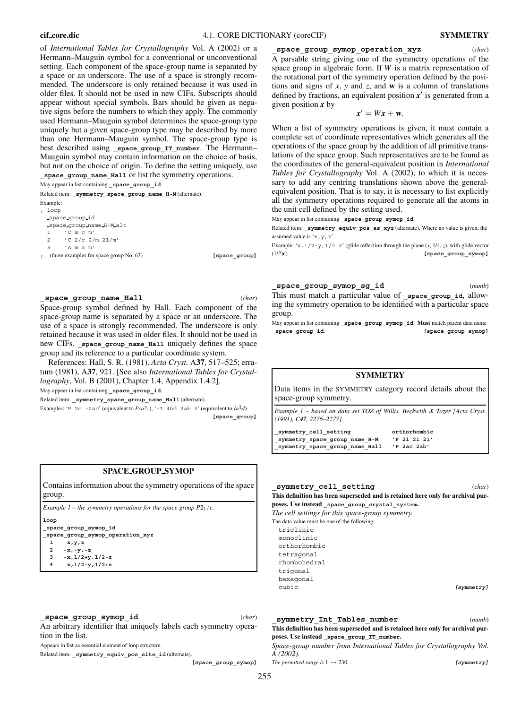Example: ; loop

space group id

1 'C m c m' 2 'C 2/c 2/m 21/m' 3 'A m a m'

space group name H-M alt

of *International Tables for Crystallography* Vol. A (2002) or a Hermann–Mauguin symbol for a conventional or unconventional setting. Each component of the space-group name is separated by a space or an underscore. The use of a space is strongly recommended. The underscore is only retained because it was used in older files. It should not be used in new CIFs. Subscripts should appear without special symbols. Bars should be given as negative signs before the numbers to which they apply. The commonly **\_space\_group\_symop\_operation\_xyz** (*char*) A parsable string giving one of the symmetry operations of the space group in algebraic form. If *W* is a matrix representation of the rotational part of the symmetry operation defined by the positions and signs of *x*, *y* and *z*, and **w** is a column of translations defined by fractions, an equivalent position  $x'$  is generated from a given position *x* by

 $x' = Wx + w$ .

When a list of symmetry operations is given, it must contain a complete set of coordinate representatives which generates all the operations of the space group by the addition of all primitive translations of the space group. Such representatives are to be found as the coordinates of the general-equivalent position in *International Tables for Crystallography* Vol. A (2002), to which it is necessary to add any centring translations shown above the generalequivalent position. That is to say, it is necessary to list explicitly all the symmetry operations required to generate all the atoms in the unit cell defined by the setting used.

May appear in list containing **\_space\_group\_symop\_id**.

Related item: **\_symmetry\_equiv\_pos\_as\_xyz** (alternate). Where no value is given, the assumed value is  $x, y, z'$ .

Example: 'x,  $1/2-y$ ,  $1/2+z$ ' (glide reflection through the plane  $(x, 1/4, z)$ , with glide vector (1/2)**c**). **[space\_group\_symop]**

**\_space\_group\_name\_Hall** (*char*)

May appear in list containing **\_space\_group\_id**.

Related item: symmetry space group name H-M (alternate).

Space-group symbol defined by Hall. Each component of the space-group name is separated by a space or an underscore. The use of a space is strongly recommended. The underscore is only retained because it was used in older files. It should not be used in new CIFs. **\_space\_group\_name\_Hall** uniquely defines the space group and its reference to a particular coordinate system.

; (three examples for space group No. 63) **[space\_group]**

used Hermann–Mauguin symbol determines the space-group type uniquely but a given space-group type may be described by more than one Hermann–Mauguin symbol. The space-group type is best described using **\_space\_group\_IT\_number**. The Hermann– Mauguin symbol may contain information on the choice of basis, but not on the choice of origin. To define the setting uniquely, use **\_space\_group\_name\_Hall** or list the symmetry operations.

References: Hall, S. R. (1981). *Acta Cryst.* A**37**, 517–525; erratum (1981), A**37**, 921. [See also *International Tables for Crystallography*, Vol. B (2001), Chapter 1.4, Appendix 1.4.2]. May appear in list containing **space** group id.

Related item: **\_symmetry\_space\_group\_name\_Hall** (alternate).

Examples: 'P 2c -2ac' (equivalent to  $Pca2_1$ ), '-I 4bd 2ab 3' (equivalent to  $Ia\bar{3}d$ ). **[space\_group]**

# **SPACE GROUP SYMOP**

Contains information about the symmetry operations of the space group.

*Example 1 – the symmetry operations for the space group P2*<sup>1</sup>/ $c$ .

#### **loop\_**

**\_space\_group\_symop\_id \_space\_group\_symop\_operation\_xyz**

- **1 x,y,z**
- **2 -x,-y,-z**
- **3 -x,1/2+y,1/2-z**
- **4 x,1/2-y,1/2+z**

#### **\_space\_group\_symop\_id** (*char*)

An arbitrary identifier that uniquely labels each symmetry operation in the list.

Appears in list as essential element of loop structure.

Related item: **\_symmetry\_equiv\_pos\_site\_id** (alternate).

**[space\_group\_symop]**

#### **\_space\_group\_symop\_sg\_id** (*numb*)

This must match a particular value of space group id, allowing the symmetry operation to be identified with a particular space group.

May appear in list containing **\_space\_group\_symop\_id**. **Must** match parent data name **\_space\_group\_id**. **[space\_group\_symop]**

# **SYMMETRY**

Data items in the SYMMETRY category record details about the space-group symmetry.

*Example 1 – based on data set TOZ of Willis, Beckwith & Tozer [Acta Cryst. (1991), C47, 2276–2277].*

**\_symmetry\_cell\_setting orthorhombic \_symmetry\_space\_group\_name\_H-M 'P 21 21 21' \_symmetry\_space\_group\_name\_Hall 'P 2ac 2ab'**

# **\_symmetry\_cell\_setting** (*char*) **This definition has been superseded and is retained here only for archival purposes. Use instead \_space\_group\_crystal\_system.**

*The cell settings for this space-group symmetry.* The data value must be one of the following:

triclinic monoclinic orthorhombic tetragonal rhombohedral trigonal hexagonal cubic **[symmetry]**

## **\_symmetry\_Int\_Tables\_number** (*numb*) **This definition has been superseded and is retained here only for archival purposes. Use instead \_space\_group\_IT\_number.**

*Space-group number from International Tables for Crystallography Vol. A (2002).*

*The permitted range is*  $1 \rightarrow 230$ . [symmetry]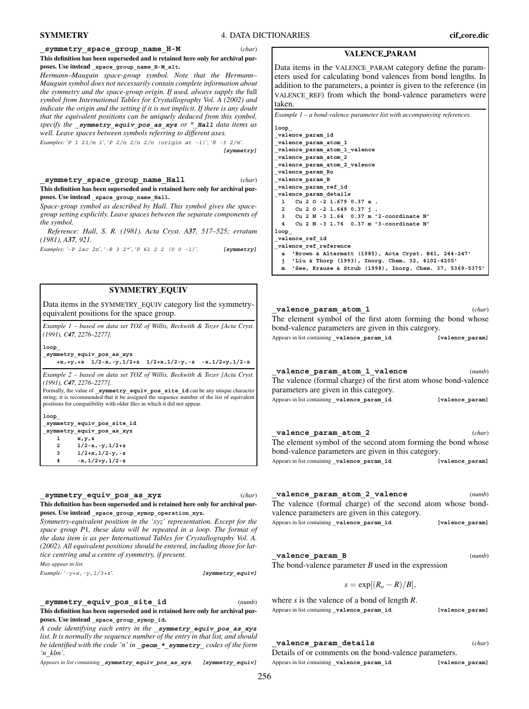#### **\_symmetry\_space\_group\_name\_H-M** (*char*)

**This definition has been superseded and is retained here only for archival purposes. Use instead \_space\_group\_name\_H-M\_alt.**

*Hermann–Mauguin space-group symbol. Note that the Hermann– Mauguin symbol does not necessarily contain complete information about the symmetry and the space-group origin. If used, always supply the* full *symbol from International Tables for Crystallography Vol. A (2002) and indicate the origin and the setting if it is not implicit. If there is any doubt that the equivalent positions can be uniquely deduced from this symbol, specify the* **\_symmetry\_equiv\_pos\_as\_xyz** *or \****\_Hall** *data items as well. Leave spaces between symbols referring to different axes.*

*Examples: '*<sup>P</sup> <sup>1</sup> 21/m <sup>1</sup>*', '*<sup>P</sup> 2/n 2/n 2/n (origin at -1)*', '*<sup>R</sup> -3 2/m*'.* **[symmetry]**

**\_symmetry\_space\_group\_name\_Hall** (*char*) **This definition has been superseded and is retained here only for archival purposes. Use instead \_space\_group\_name\_Hall.**

*Space-group symbol as described by Hall. This symbol gives the spacegroup setting explicitly. Leave spaces between the separate components of the symbol.*

*Reference: Hall, S. R. (1981). Acta Cryst. A37, 517–525; erratum (1981), A37, 921.*

*Examples: '*-P 2ac 2n*', '*-R <sup>3</sup> 2"*', '*<sup>P</sup> <sup>61</sup> <sup>2</sup> <sup>2</sup> (0 <sup>0</sup> -1)*'.* **[symmetry]**

### **SYMMETRY EQUIV**

Data items in the SYMMETRY**\_**EQUIV category list the symmetryequivalent positions for the space group.

*Example 1 – based on data set TOZ of Willis, Beckwith & Tozer [Acta Cryst. (1991), C47, 2276–2277].*

**loop\_**

**\_symmetry\_equiv\_pos\_as\_xyz +x,+y,+z 1/2-x,-y,1/2+z 1/2+x,1/2-y,-z -x,1/2+y,1/2-z**

*Example 2 – based on data set TOZ of Willis, Beckwith & Tozer [Acta Cryst. (1991), C47, 2276–2277].*

Formally, the value of **symmetry** equiv pos site id can be any unique character string; it is recommended that it be assigned the sequence number of the list of equivalent positions for compatibility with older files in which it did not appear.

**loop\_**

**\_symmetry\_equiv\_pos\_site\_id \_symmetry\_equiv\_pos\_as\_xyz**

**1 x,y,z 2 1/2-x,-y,1/2+z 3 1/2+x,1/2-y,-z 4 -x,1/2+y,1/2-z**

### **\_symmetry\_equiv\_pos\_as\_xyz** (*char*) **This definition has been superseded and is retained here only for archival pur-**

**poses. Use instead \_space\_group\_symop\_operation\_xyz.** *Symmetry-equivalent position in the 'xyz' representation. Except for the space group P*1*, these data will be repeated in a loop. The format of the data item is as per International Tables for Crystallography Vol. A.*

*(2002). All equivalent positions should be entered, including those for lattice centring and a centre of symmetry, if present. May appear in list.*

*Example: '*-y+x,-y,1/3+z*'.* **[symmetry\_equiv]**

**\_symmetry\_equiv\_pos\_site\_id** (*numb*) **This definition has been superseded and is retained here only for archival purposes. Use instead \_space\_group\_symop\_id.**

*A code identifying each entry in the* **\_symmetry\_equiv\_pos\_as\_xyz** *list. It is normally the sequence number of the entry in that list, and should be identified with the code 'n' in* **\_geom\_\*\_symmetry\_** *codes of the form 'n***\_***klm'.*

*Appears in list containing* **\_symmetry\_equiv\_pos\_as\_xyz***.* **[symmetry\_equiv]**

### **VALENCE PARAM**

Data items in the VALENCE**\_**PARAM category define the parameters used for calculating bond valences from bond lengths. In addition to the parameters, a pointer is given to the reference (in VALENCE**\_**REF) from which the bond-valence parameters were taken.

*Example 1 – a bond-valence parameter list with accompanying references.*

| loop                                                       |
|------------------------------------------------------------|
| valence param id                                           |
| valence param atom 1                                       |
| valence param atom 1 valence                               |
| valence param atom 2                                       |
| valence param atom 2 valence                               |
| valence param Ro                                           |
| valence param B                                            |
| valence param ref id                                       |
| valence param details                                      |
| 1 Cu 2 0 - 2 1.679 0.37 a.                                 |
| 2 Cu 2 O -2 1.649 0.37 i.                                  |
| 3 Cu 2 N -3 1.64 0.37 m '2-coordinate N'                   |
| 4 Cu 2 N -3 1.76 0.37 m '3-coordinate N'                   |
| loop                                                       |
| valence ref id                                             |
| valence ref reference                                      |
| a 'Brown & Altermatt (1985), Acta Cryst. B41, 244-247'     |
| j 'Liu & Thorp (1993), Inorg. Chem. 32, 4102-4205'         |
| m 'See, Krause & Strub (1998), Inorg. Chem. 37, 5369-5375' |

| valence param atom 1                                        |                 | (char) |
|-------------------------------------------------------------|-----------------|--------|
| The element symbol of the first atom forming the bond whose |                 |        |
| bond-valence parameters are given in this category.         |                 |        |
| Appears in list containing valence param id.                | [valence param] |        |
|                                                             |                 |        |
|                                                             |                 |        |
|                                                             |                 |        |

| valence param atom 1 valence                                                                                                                                                                                                                                                                                                                                            | (numb)          |
|-------------------------------------------------------------------------------------------------------------------------------------------------------------------------------------------------------------------------------------------------------------------------------------------------------------------------------------------------------------------------|-----------------|
| The valence (formal charge) of the first atom whose bond-valence<br>parameters are given in this category.                                                                                                                                                                                                                                                              |                 |
| Appears in list containing valence param id.                                                                                                                                                                                                                                                                                                                            | [valence param] |
| valence param atom 2<br>$\overline{r}$ , the company of $\overline{r}$ , $\overline{r}$ , $\overline{r}$ , $\overline{r}$ , $\overline{r}$ , $\overline{r}$ , $\overline{r}$ , $\overline{r}$ , $\overline{r}$ , $\overline{r}$ , $\overline{r}$ , $\overline{r}$ , $\overline{r}$ , $\overline{r}$ , $\overline{r}$ , $\overline{r}$ , $\overline{r}$ , $\overline{r}$ | (char)          |

The element symbol of the second atom forming the bond whose bond-valence parameters are given in this category. Appears in list containing **\_valence\_param\_id**. **[valence\_param]**

| valence param atom 2 valence                                    | (numb) |
|-----------------------------------------------------------------|--------|
| The valence (formal charge) of the second atom whose bond-      |        |
| valence parameters are given in this category.                  |        |
| Appears in list containing valence param id.<br>[valence param] |        |

**\_valence\_param\_B** (*numb*)

The bond-valence parameter *B* used in the expression

$$
s=\exp[(R_o-R)/B],
$$

where *s* is the valence of a bond of length *R*. Appears in list containing **\_valence\_param\_id**. **[valence\_param]**

# **\_valence\_param\_details** (*char*)

Details of or comments on the bond-valence parameters. Appears in list containing **\_valence\_param\_id**. **[valence\_param]**